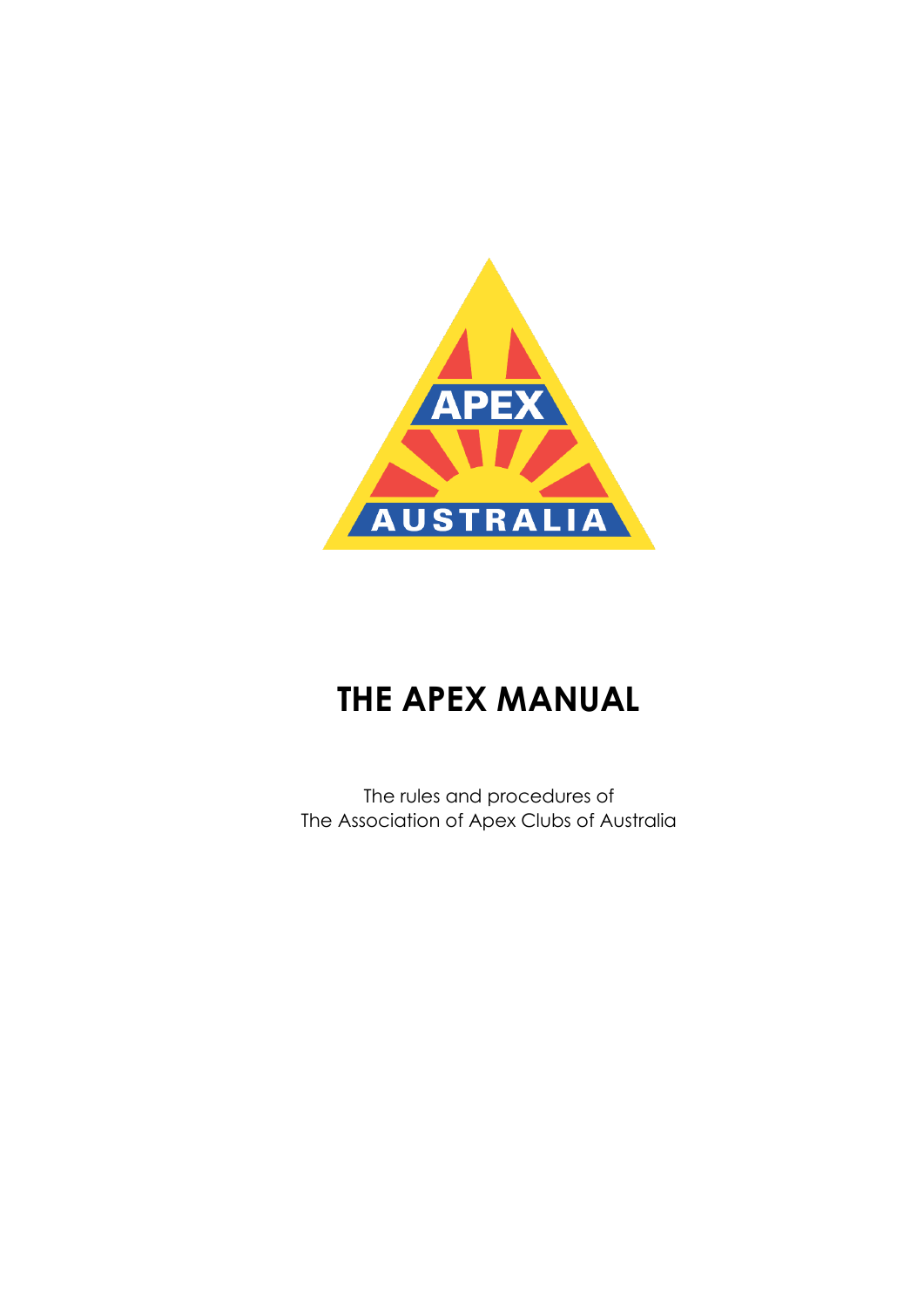

# **THE APEX MANUAL**

The rules and procedures of The Association of Apex Clubs of Australia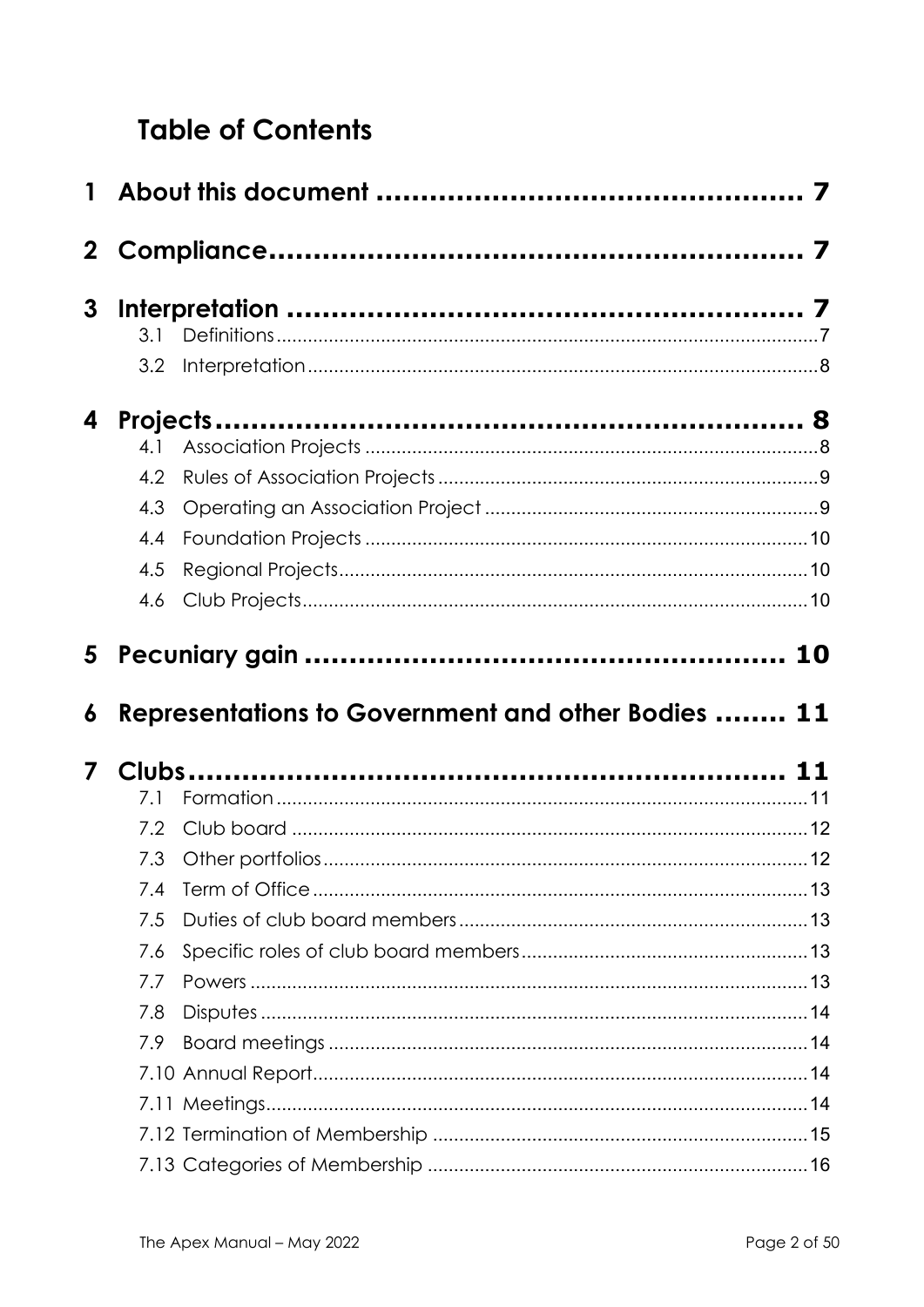# **Table of Contents**

| 3                       |     |                                                    |  |  |
|-------------------------|-----|----------------------------------------------------|--|--|
|                         | 3.1 |                                                    |  |  |
|                         | 3.2 |                                                    |  |  |
| 4                       |     |                                                    |  |  |
|                         | 4.1 |                                                    |  |  |
|                         | 4.2 |                                                    |  |  |
|                         | 4.3 |                                                    |  |  |
|                         | 4.4 |                                                    |  |  |
|                         | 4.5 |                                                    |  |  |
|                         | 4.6 |                                                    |  |  |
|                         |     |                                                    |  |  |
| 6                       |     | Representations to Government and other Bodies  11 |  |  |
| $\overline{\mathbf{z}}$ |     |                                                    |  |  |
|                         | 7.1 |                                                    |  |  |
|                         | 7.2 |                                                    |  |  |
|                         |     |                                                    |  |  |
|                         | 7.4 |                                                    |  |  |
|                         | 7.5 |                                                    |  |  |
|                         | 7.6 |                                                    |  |  |
|                         | 7.7 |                                                    |  |  |
|                         | 7.8 |                                                    |  |  |
|                         | 7.9 |                                                    |  |  |
|                         |     |                                                    |  |  |
|                         |     |                                                    |  |  |
|                         |     |                                                    |  |  |
|                         |     |                                                    |  |  |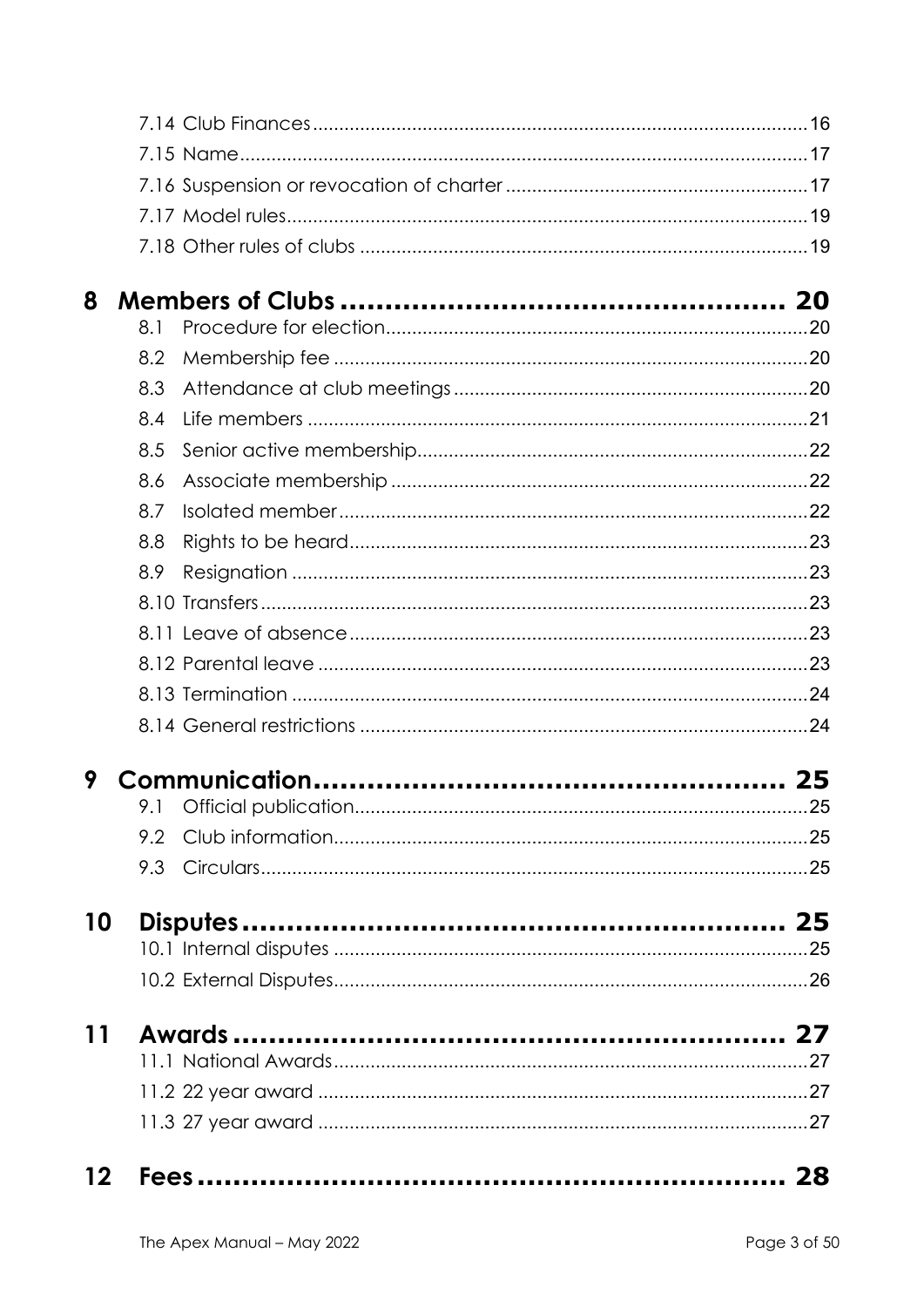| 12 <sup>12</sup> |            |  |
|------------------|------------|--|
|                  |            |  |
|                  |            |  |
|                  |            |  |
| <b>11</b>        |            |  |
|                  |            |  |
|                  |            |  |
| 10               |            |  |
|                  |            |  |
|                  | 9.3        |  |
|                  | 9.2        |  |
| 9                |            |  |
|                  |            |  |
|                  |            |  |
|                  |            |  |
|                  |            |  |
|                  |            |  |
|                  |            |  |
|                  | 8.9        |  |
|                  | 8.8        |  |
|                  | 8.7        |  |
|                  | 8.6        |  |
|                  | 8.5        |  |
|                  | 8.4        |  |
|                  | 8.2<br>8.3 |  |
|                  |            |  |
| 8                | 8.1        |  |
|                  |            |  |
|                  |            |  |
|                  |            |  |
|                  |            |  |
|                  |            |  |
|                  |            |  |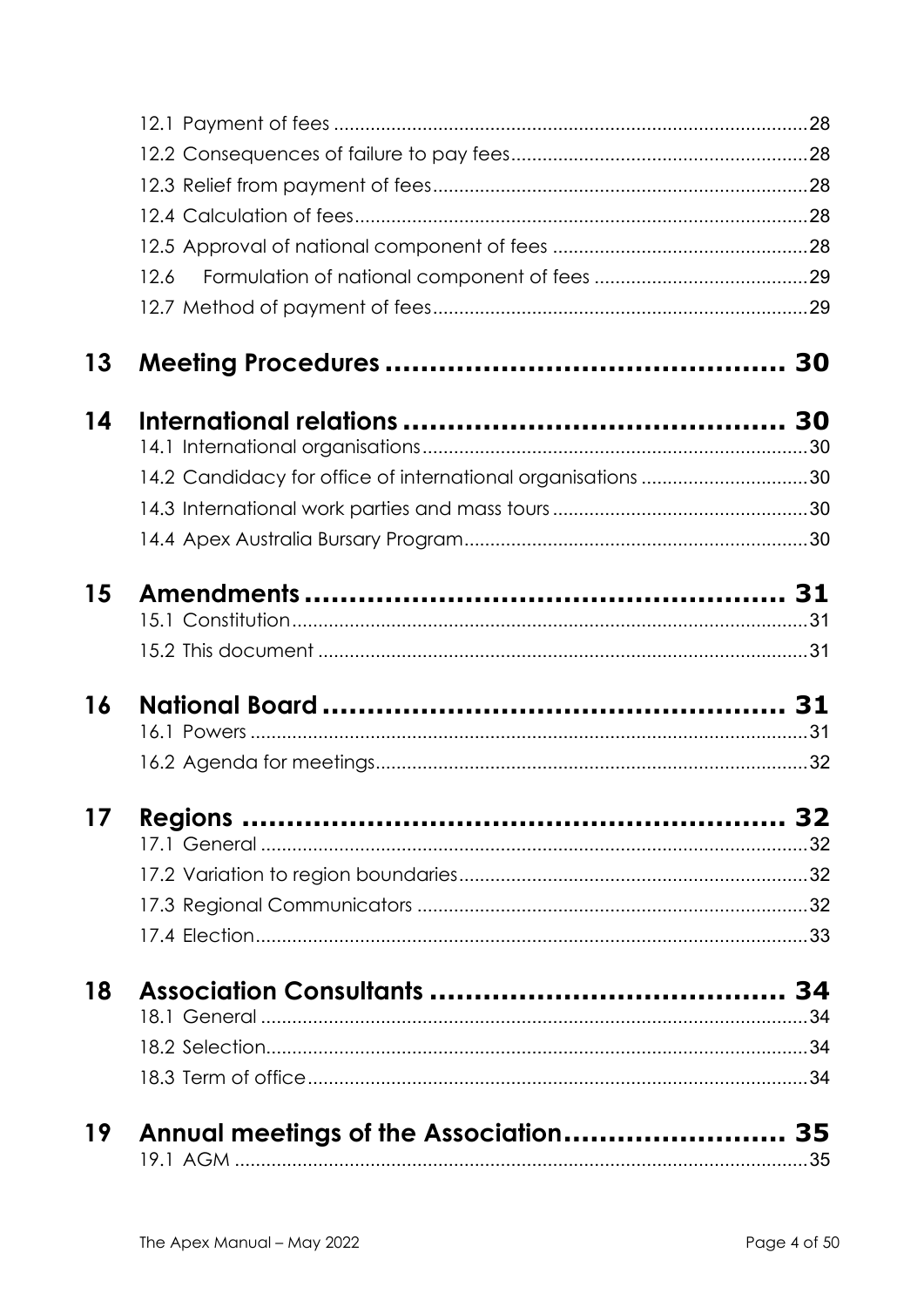|    | 12.6                                                        |  |
|----|-------------------------------------------------------------|--|
|    |                                                             |  |
| 13 |                                                             |  |
| 14 |                                                             |  |
|    |                                                             |  |
|    | 14.2 Candidacy for office of international organisations 30 |  |
|    |                                                             |  |
|    |                                                             |  |
| 15 |                                                             |  |
|    |                                                             |  |
| 16 |                                                             |  |
|    |                                                             |  |
| 17 |                                                             |  |
|    |                                                             |  |
|    |                                                             |  |
|    |                                                             |  |
|    |                                                             |  |
| 18 |                                                             |  |
|    |                                                             |  |
|    |                                                             |  |
|    |                                                             |  |
| 19 | Annual meetings of the Association 35                       |  |
|    |                                                             |  |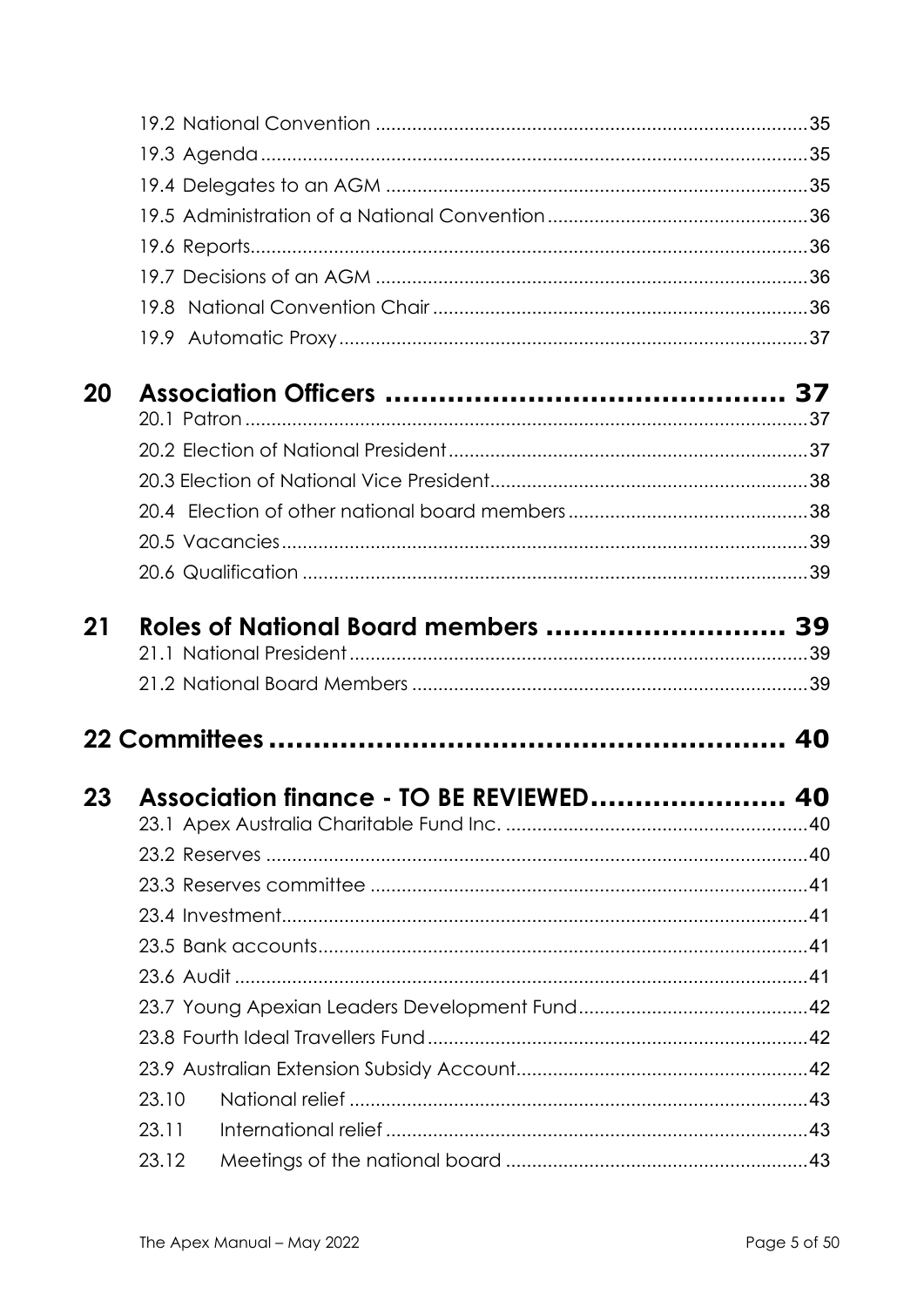| 20   |       |                                      |    |
|------|-------|--------------------------------------|----|
|      |       |                                      |    |
|      |       |                                      |    |
|      |       |                                      |    |
|      |       |                                      |    |
|      |       |                                      |    |
|      |       |                                      |    |
| 21   |       | Roles of National Board members  39  |    |
|      |       |                                      |    |
|      |       |                                      |    |
|      |       |                                      |    |
|      |       |                                      |    |
| 23 — |       | Association finance - TO BE REVIEWED | 40 |
|      |       |                                      |    |
|      |       |                                      |    |
|      |       |                                      |    |
|      |       |                                      |    |
|      |       |                                      |    |
|      |       |                                      |    |
|      |       |                                      |    |
|      |       |                                      |    |
|      |       |                                      |    |
|      | 23.10 |                                      |    |
|      | 23.11 |                                      |    |
|      | 23.12 |                                      |    |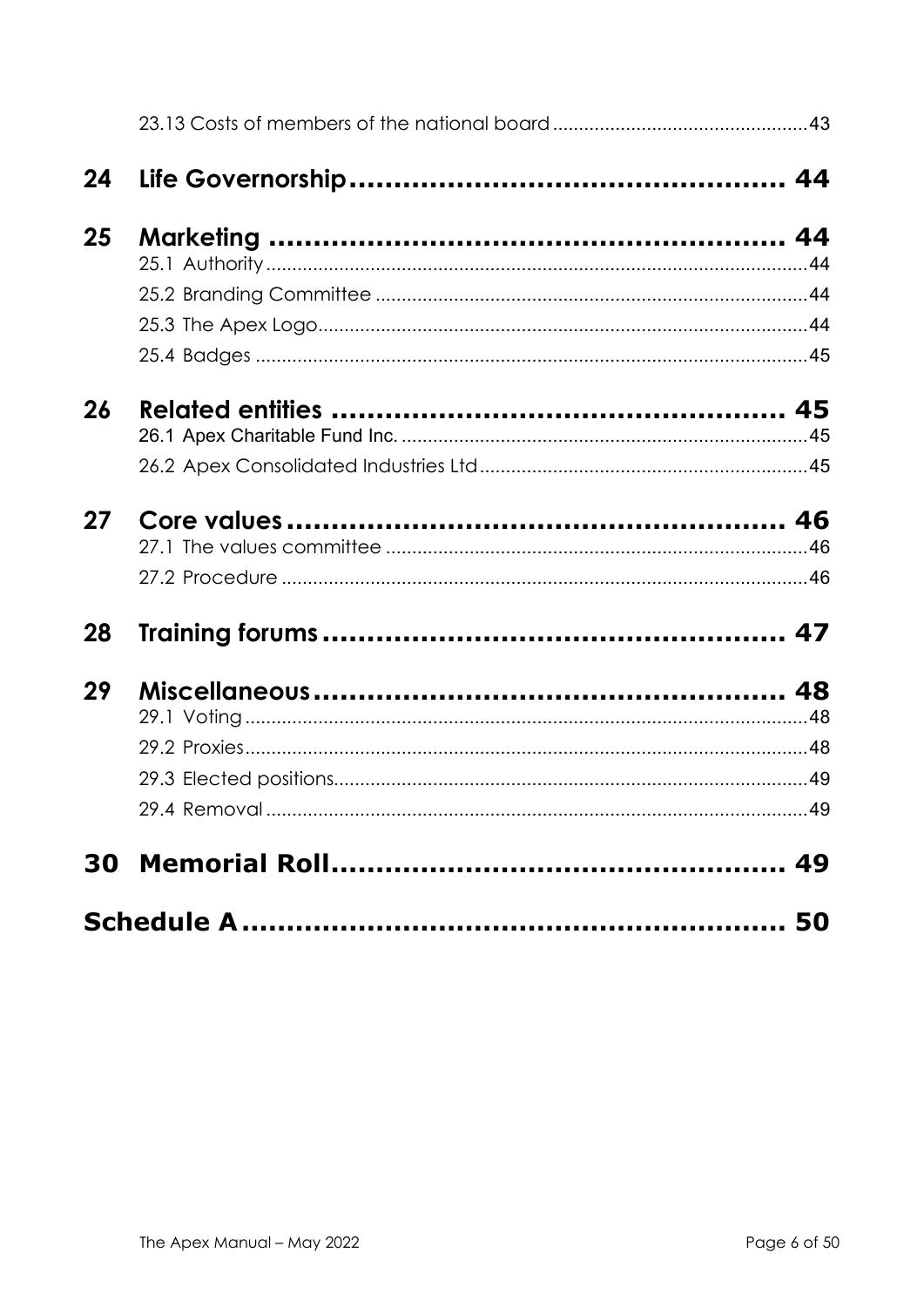| 24 |  |
|----|--|
| 25 |  |
|    |  |
|    |  |
|    |  |
|    |  |
| 26 |  |
|    |  |
|    |  |
| 27 |  |
|    |  |
|    |  |
| 28 |  |
| 29 |  |
|    |  |
|    |  |
|    |  |
|    |  |
|    |  |
|    |  |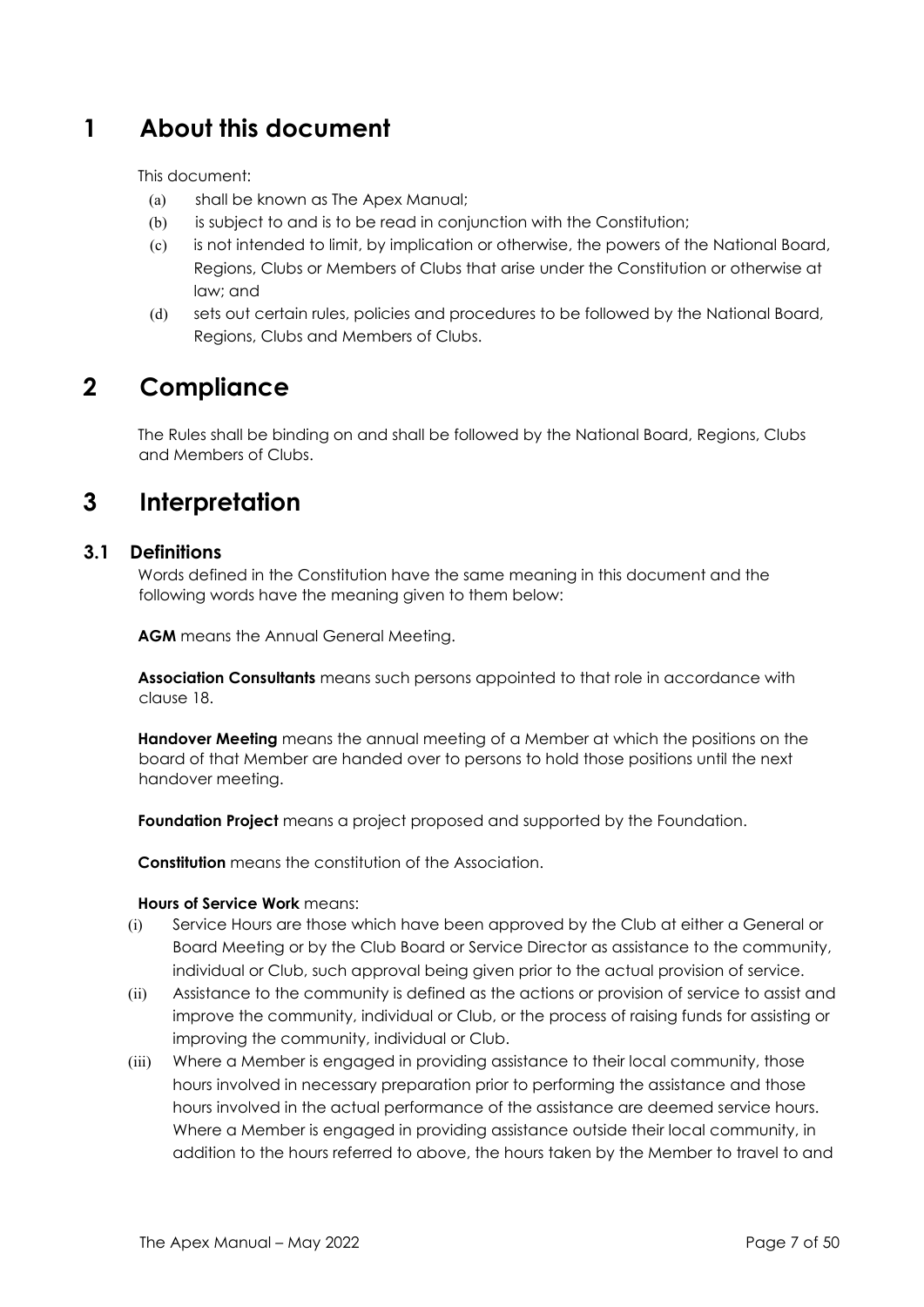# **1 About this document**

This document:

- (a) shall be known as The Apex Manual;
- (b) is subject to and is to be read in conjunction with the Constitution;
- (c) is not intended to limit, by implication or otherwise, the powers of the National Board, Regions, Clubs or Members of Clubs that arise under the Constitution or otherwise at law; and
- (d) sets out certain rules, policies and procedures to be followed by the National Board, Regions, Clubs and Members of Clubs.

# **2 Compliance**

The Rules shall be binding on and shall be followed by the National Board, Regions, Clubs and Members of Clubs.

# **3 Interpretation**

#### **3.1 Definitions**

Words defined in the Constitution have the same meaning in this document and the following words have the meaning given to them below:

**AGM** means the Annual General Meeting.

**Association Consultants** means such persons appointed to that role in accordance with clause 18.

**Handover Meeting** means the annual meeting of a Member at which the positions on the board of that Member are handed over to persons to hold those positions until the next handover meeting.

**Foundation Project** means a project proposed and supported by the Foundation.

**Constitution** means the constitution of the Association.

#### **Hours of Service Work** means:

- (i) Service Hours are those which have been approved by the Club at either a General or Board Meeting or by the Club Board or Service Director as assistance to the community, individual or Club, such approval being given prior to the actual provision of service.
- (ii) Assistance to the community is defined as the actions or provision of service to assist and improve the community, individual or Club, or the process of raising funds for assisting or improving the community, individual or Club.
- (iii) Where a Member is engaged in providing assistance to their local community, those hours involved in necessary preparation prior to performing the assistance and those hours involved in the actual performance of the assistance are deemed service hours. Where a Member is engaged in providing assistance outside their local community, in addition to the hours referred to above, the hours taken by the Member to travel to and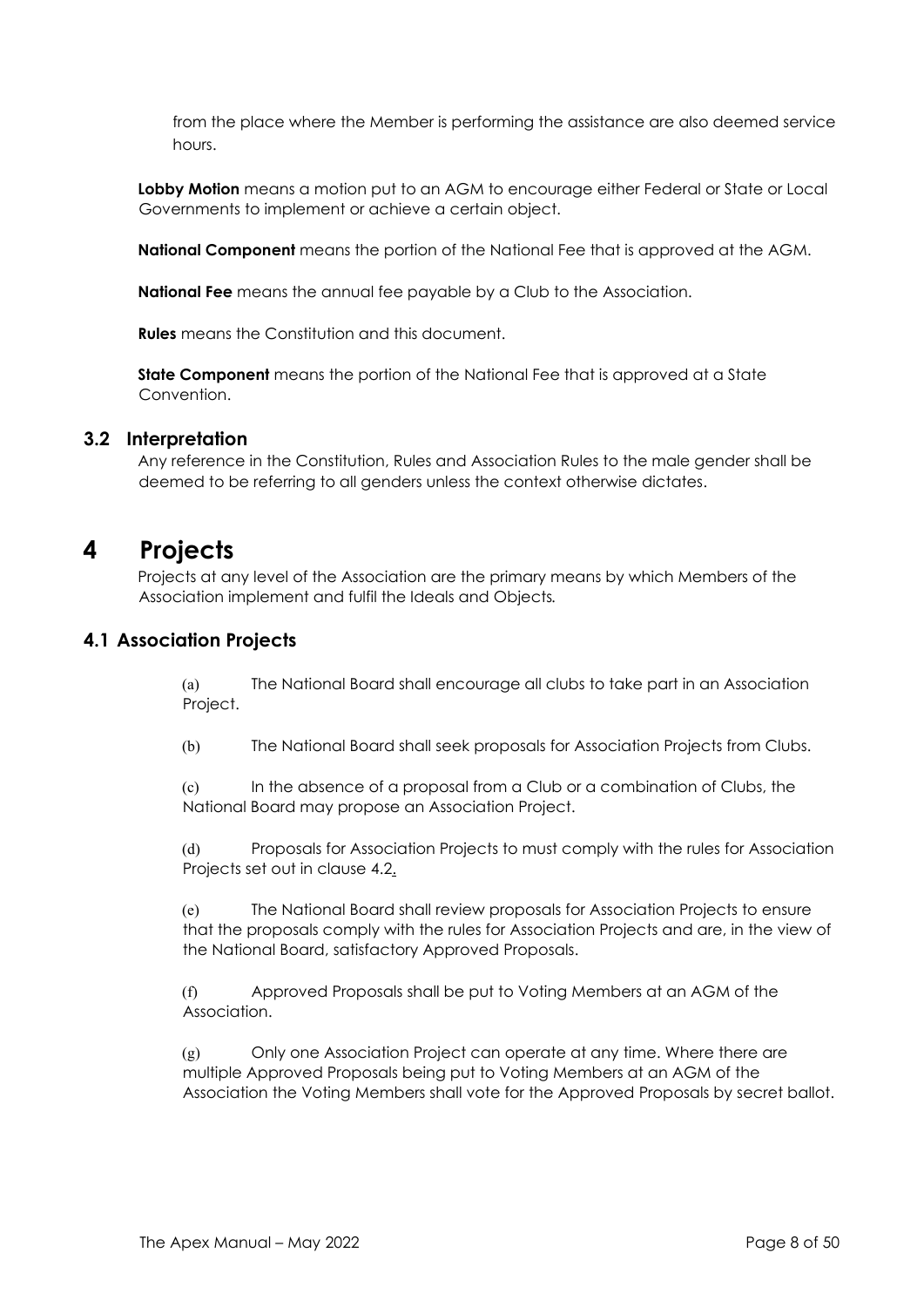from the place where the Member is performing the assistance are also deemed service hours.

**Lobby Motion** means a motion put to an AGM to encourage either Federal or State or Local Governments to implement or achieve a certain object.

**National Component** means the portion of the National Fee that is approved at the AGM.

**National Fee** means the annual fee payable by a Club to the Association.

**Rules** means the Constitution and this document.

**State Component** means the portion of the National Fee that is approved at a State Convention.

#### **3.2 Interpretation**

Any reference in the Constitution, Rules and Association Rules to the male gender shall be deemed to be referring to all genders unless the context otherwise dictates.

# **4 Projects**

Projects at any level of the Association are the primary means by which Members of the Association implement and fulfil the Ideals and Objects*.* 

#### **4.1 Association Projects**

(a) The National Board shall encourage all clubs to take part in an Association Project.

(b) The National Board shall seek proposals for Association Projects from Clubs.

(c) In the absence of a proposal from a Club or a combination of Clubs, the National Board may propose an Association Project.

(d) Proposals for Association Projects to must comply with the rules for Association Projects set out in clause 4.2.

(e) The National Board shall review proposals for Association Projects to ensure that the proposals comply with the rules for Association Projects and are, in the view of the National Board, satisfactory Approved Proposals.

(f) Approved Proposals shall be put to Voting Members at an AGM of the Association.

(g) Only one Association Project can operate at any time. Where there are multiple Approved Proposals being put to Voting Members at an AGM of the Association the Voting Members shall vote for the Approved Proposals by secret ballot.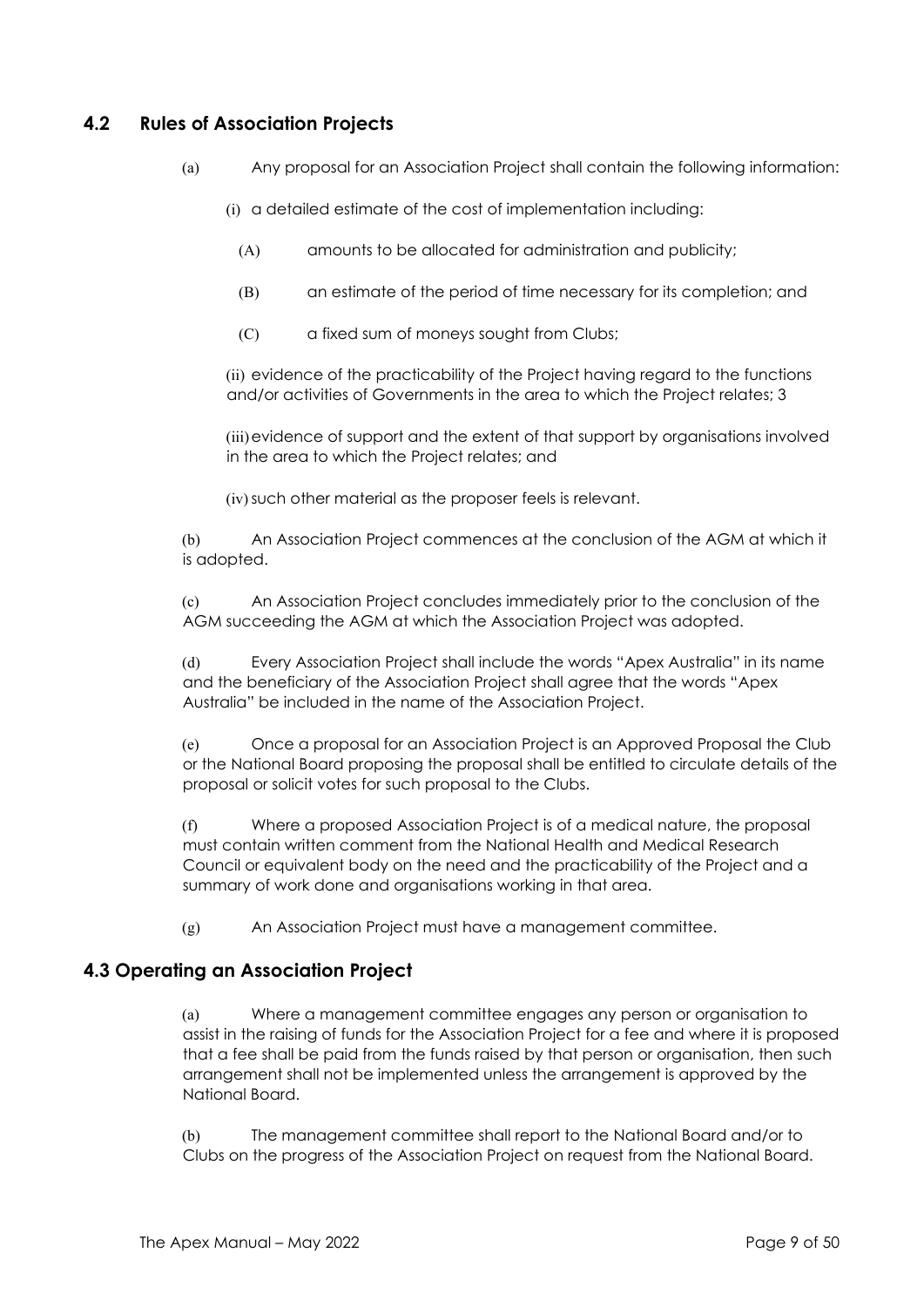# **4.2 Rules of Association Projects**

- (a) Any proposal for an Association Project shall contain the following information:
	- (i) a detailed estimate of the cost of implementation including:
		- (A) amounts to be allocated for administration and publicity;
		- (B) an estimate of the period of time necessary for its completion; and
		- (C) a fixed sum of moneys sought from Clubs;

(ii) evidence of the practicability of the Project having regard to the functions and/or activities of Governments in the area to which the Project relates; 3

(iii)evidence of support and the extent of that support by organisations involved in the area to which the Project relates; and

(iv)such other material as the proposer feels is relevant.

(b) An Association Project commences at the conclusion of the AGM at which it is adopted.

(c) An Association Project concludes immediately prior to the conclusion of the AGM succeeding the AGM at which the Association Project was adopted.

(d) Every Association Project shall include the words "Apex Australia" in its name and the beneficiary of the Association Project shall agree that the words "Apex Australia" be included in the name of the Association Project.

(e) Once a proposal for an Association Project is an Approved Proposal the Club or the National Board proposing the proposal shall be entitled to circulate details of the proposal or solicit votes for such proposal to the Clubs.

(f) Where a proposed Association Project is of a medical nature, the proposal must contain written comment from the National Health and Medical Research Council or equivalent body on the need and the practicability of the Project and a summary of work done and organisations working in that area.

(g) An Association Project must have a management committee.

## **4.3 Operating an Association Project**

(a) Where a management committee engages any person or organisation to assist in the raising of funds for the Association Project for a fee and where it is proposed that a fee shall be paid from the funds raised by that person or organisation, then such arrangement shall not be implemented unless the arrangement is approved by the National Board.

(b) The management committee shall report to the National Board and/or to Clubs on the progress of the Association Project on request from the National Board.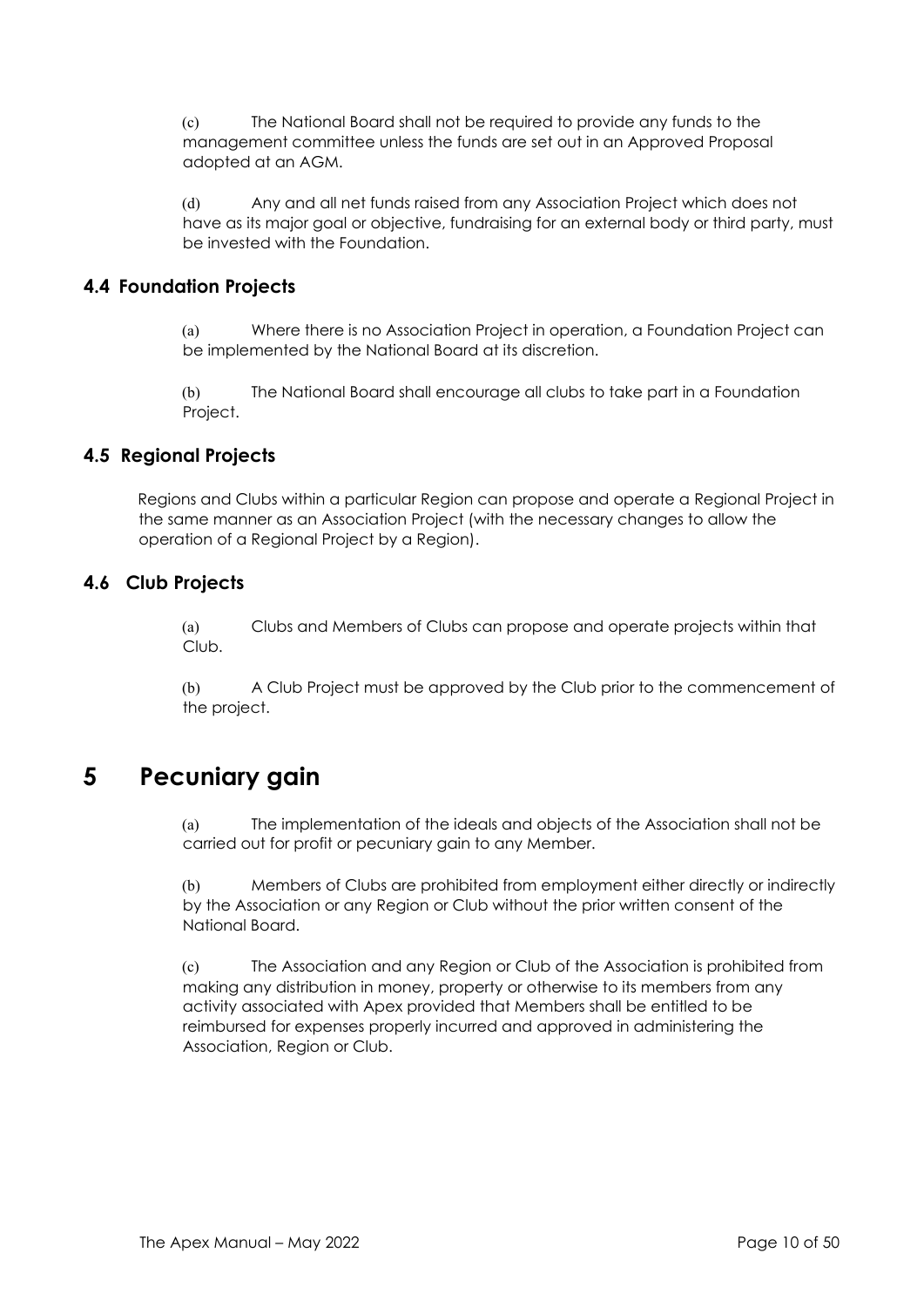(c) The National Board shall not be required to provide any funds to the management committee unless the funds are set out in an Approved Proposal adopted at an AGM.

(d) Any and all net funds raised from any Association Project which does not have as its major goal or objective, fundraising for an external body or third party, must be invested with the Foundation.

# **4.4 Foundation Projects**

(a) Where there is no Association Project in operation, a Foundation Project can be implemented by the National Board at its discretion.

(b) The National Board shall encourage all clubs to take part in a Foundation Project.

# **4.5 Regional Projects**

Regions and Clubs within a particular Region can propose and operate a Regional Project in the same manner as an Association Project (with the necessary changes to allow the operation of a Regional Project by a Region).

# **4.6 Club Projects**

(a) Clubs and Members of Clubs can propose and operate projects within that Club.

(b) A Club Project must be approved by the Club prior to the commencement of the project.

# **5 Pecuniary gain**

(a) The implementation of the ideals and objects of the Association shall not be carried out for profit or pecuniary gain to any Member.

(b) Members of Clubs are prohibited from employment either directly or indirectly by the Association or any Region or Club without the prior written consent of the National Board.

(c) The Association and any Region or Club of the Association is prohibited from making any distribution in money, property or otherwise to its members from any activity associated with Apex provided that Members shall be entitled to be reimbursed for expenses properly incurred and approved in administering the Association, Region or Club.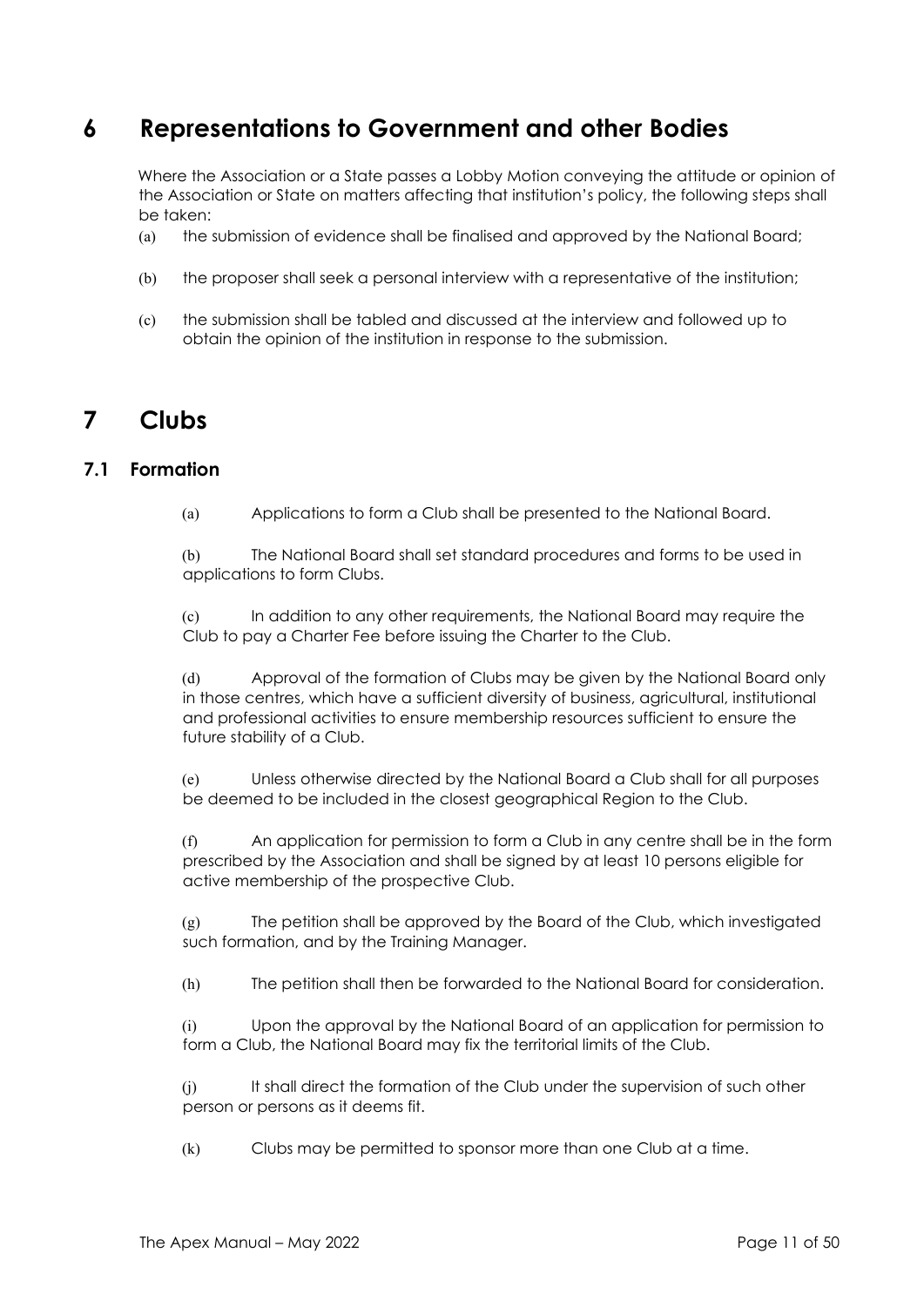# **6 Representations to Government and other Bodies**

Where the Association or a State passes a Lobby Motion conveying the attitude or opinion of the Association or State on matters affecting that institution's policy, the following steps shall be taken:

- (a) the submission of evidence shall be finalised and approved by the National Board;
- (b) the proposer shall seek a personal interview with a representative of the institution;
- (c) the submission shall be tabled and discussed at the interview and followed up to obtain the opinion of the institution in response to the submission.

# **7 Clubs**

## **7.1 Formation**

(a) Applications to form a Club shall be presented to the National Board.

(b) The National Board shall set standard procedures and forms to be used in applications to form Clubs.

(c) In addition to any other requirements, the National Board may require the Club to pay a Charter Fee before issuing the Charter to the Club.

(d) Approval of the formation of Clubs may be given by the National Board only in those centres, which have a sufficient diversity of business, agricultural, institutional and professional activities to ensure membership resources sufficient to ensure the future stability of a Club.

(e) Unless otherwise directed by the National Board a Club shall for all purposes be deemed to be included in the closest geographical Region to the Club.

(f) An application for permission to form a Club in any centre shall be in the form prescribed by the Association and shall be signed by at least 10 persons eligible for active membership of the prospective Club.

(g) The petition shall be approved by the Board of the Club, which investigated such formation, and by the Training Manager.

(h) The petition shall then be forwarded to the National Board for consideration.

(i) Upon the approval by the National Board of an application for permission to form a Club, the National Board may fix the territorial limits of the Club.

(j) It shall direct the formation of the Club under the supervision of such other person or persons as it deems fit.

(k) Clubs may be permitted to sponsor more than one Club at a time.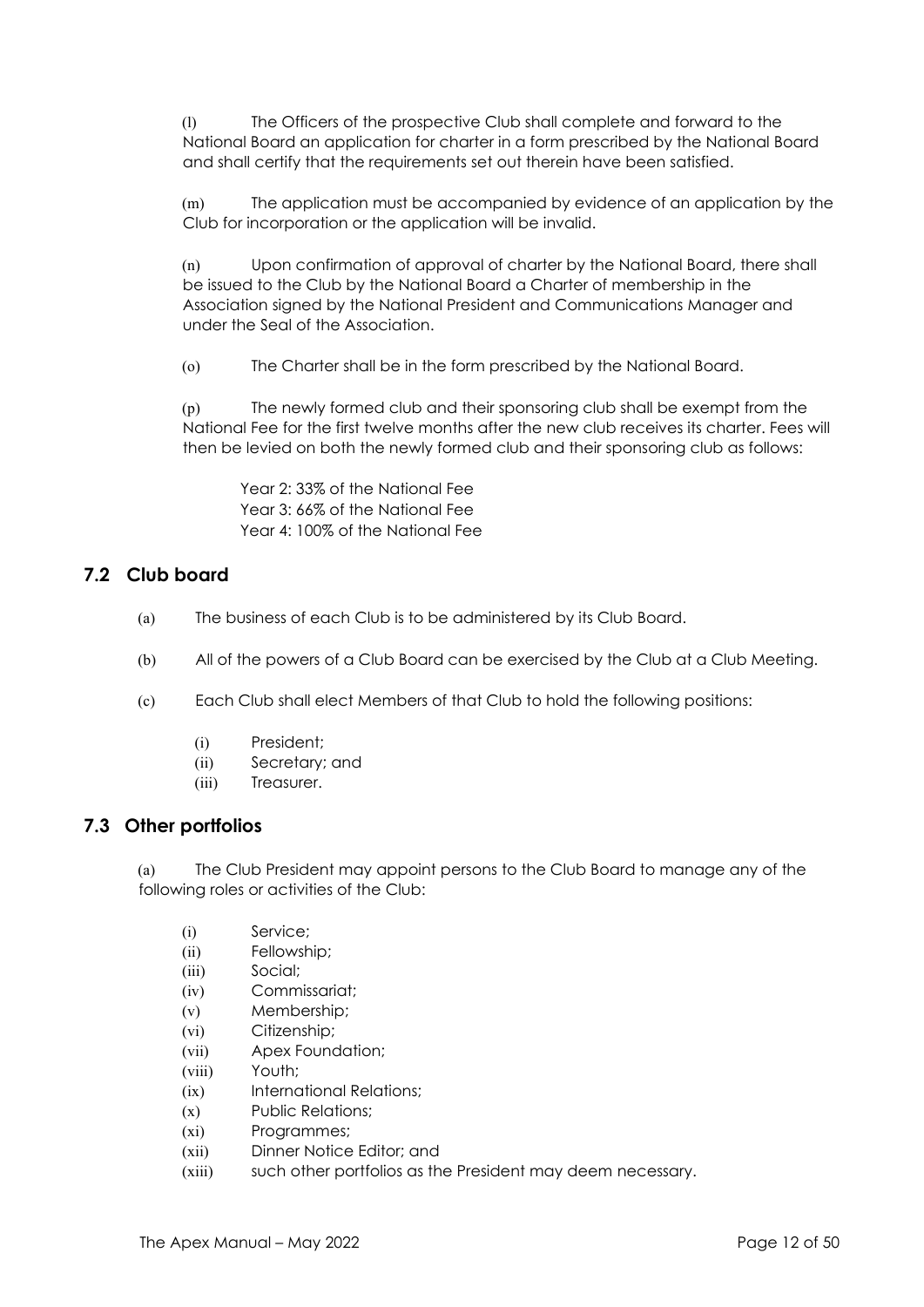(l) The Officers of the prospective Club shall complete and forward to the National Board an application for charter in a form prescribed by the National Board and shall certify that the requirements set out therein have been satisfied.

(m) The application must be accompanied by evidence of an application by the Club for incorporation or the application will be invalid.

(n) Upon confirmation of approval of charter by the National Board, there shall be issued to the Club by the National Board a Charter of membership in the Association signed by the National President and Communications Manager and under the Seal of the Association.

(o) The Charter shall be in the form prescribed by the National Board.

(p) The newly formed club and their sponsoring club shall be exempt from the National Fee for the first twelve months after the new club receives its charter. Fees will then be levied on both the newly formed club and their sponsoring club as follows:

Year 2: 33% of the National Fee Year 3: 66% of the National Fee Year 4: 100% of the National Fee

## **7.2 Club board**

- (a) The business of each Club is to be administered by its Club Board.
- (b) All of the powers of a Club Board can be exercised by the Club at a Club Meeting.
- (c) Each Club shall elect Members of that Club to hold the following positions:
	- (i) President;
	- (ii) Secretary; and
	- (iii) Treasurer.

#### **7.3 Other portfolios**

(a) The Club President may appoint persons to the Club Board to manage any of the following roles or activities of the Club:

- (i) Service;
- (ii) Fellowship;
- (iii) Social;
- (iv) Commissariat;
- (v) Membership;
- (vi) Citizenship;
- (vii) Apex Foundation;
- (viii) Youth;
- (ix) International Relations;
- (x) Public Relations;
- (xi) Programmes;
- (xii) Dinner Notice Editor; and
- (xiii) such other portfolios as the President may deem necessary.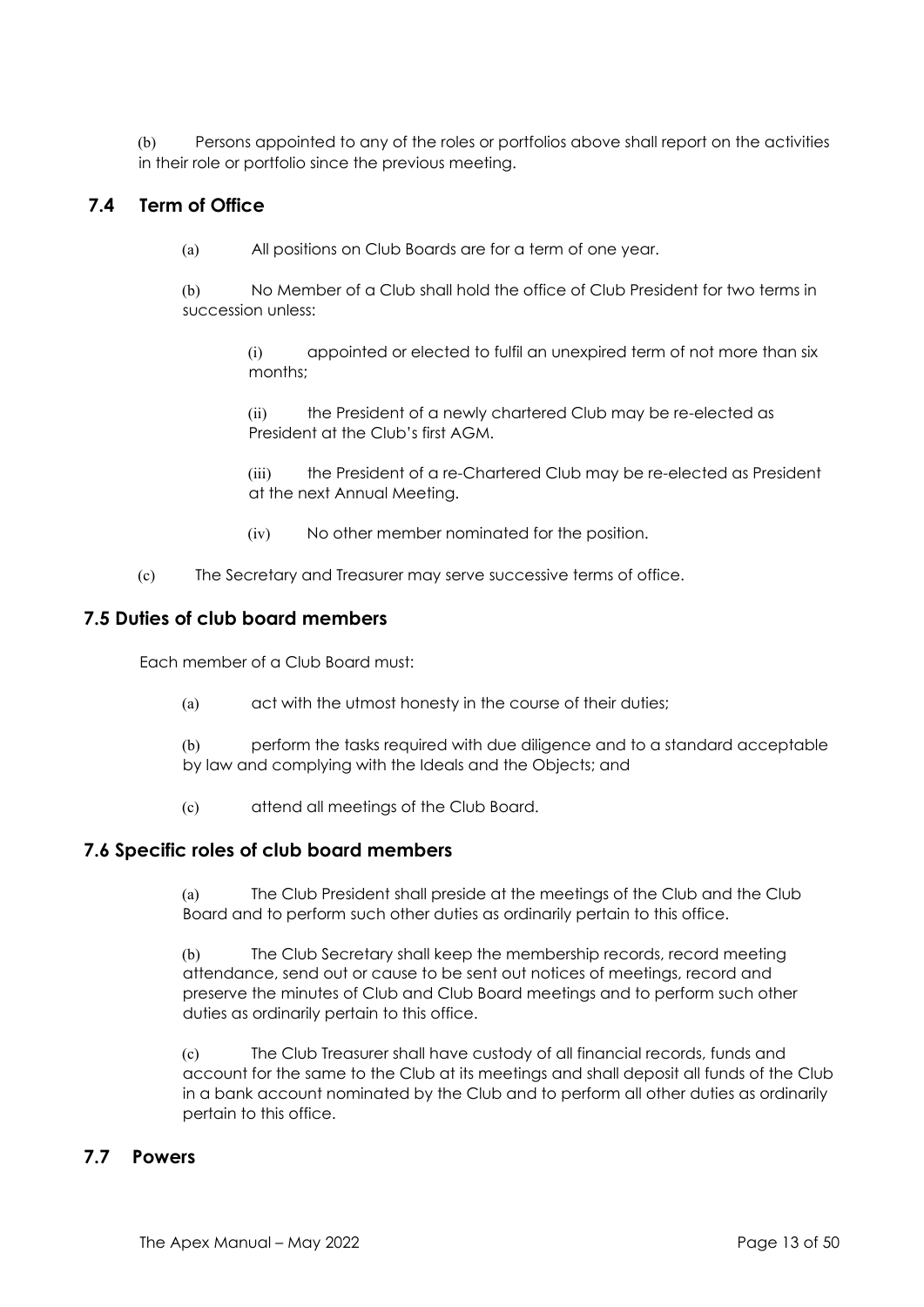(b) Persons appointed to any of the roles or portfolios above shall report on the activities in their role or portfolio since the previous meeting.

# **7.4 Term of Office**

(a) All positions on Club Boards are for a term of one year.

(b) No Member of a Club shall hold the office of Club President for two terms in succession unless:

> (i) appointed or elected to fulfil an unexpired term of not more than six months;

(ii) the President of a newly chartered Club may be re-elected as President at the Club's first AGM.

(iii) the President of a re-Chartered Club may be re-elected as President at the next Annual Meeting.

- (iv) No other member nominated for the position.
- (c) The Secretary and Treasurer may serve successive terms of office.

#### **7.5 Duties of club board members**

Each member of a Club Board must:

(a) act with the utmost honesty in the course of their duties;

(b) perform the tasks required with due diligence and to a standard acceptable by law and complying with the Ideals and the Objects; and

(c) attend all meetings of the Club Board.

#### **7.6 Specific roles of club board members**

(a) The Club President shall preside at the meetings of the Club and the Club Board and to perform such other duties as ordinarily pertain to this office.

(b) The Club Secretary shall keep the membership records, record meeting attendance, send out or cause to be sent out notices of meetings, record and preserve the minutes of Club and Club Board meetings and to perform such other duties as ordinarily pertain to this office.

(c) The Club Treasurer shall have custody of all financial records, funds and account for the same to the Club at its meetings and shall deposit all funds of the Club in a bank account nominated by the Club and to perform all other duties as ordinarily pertain to this office.

#### **7.7 Powers**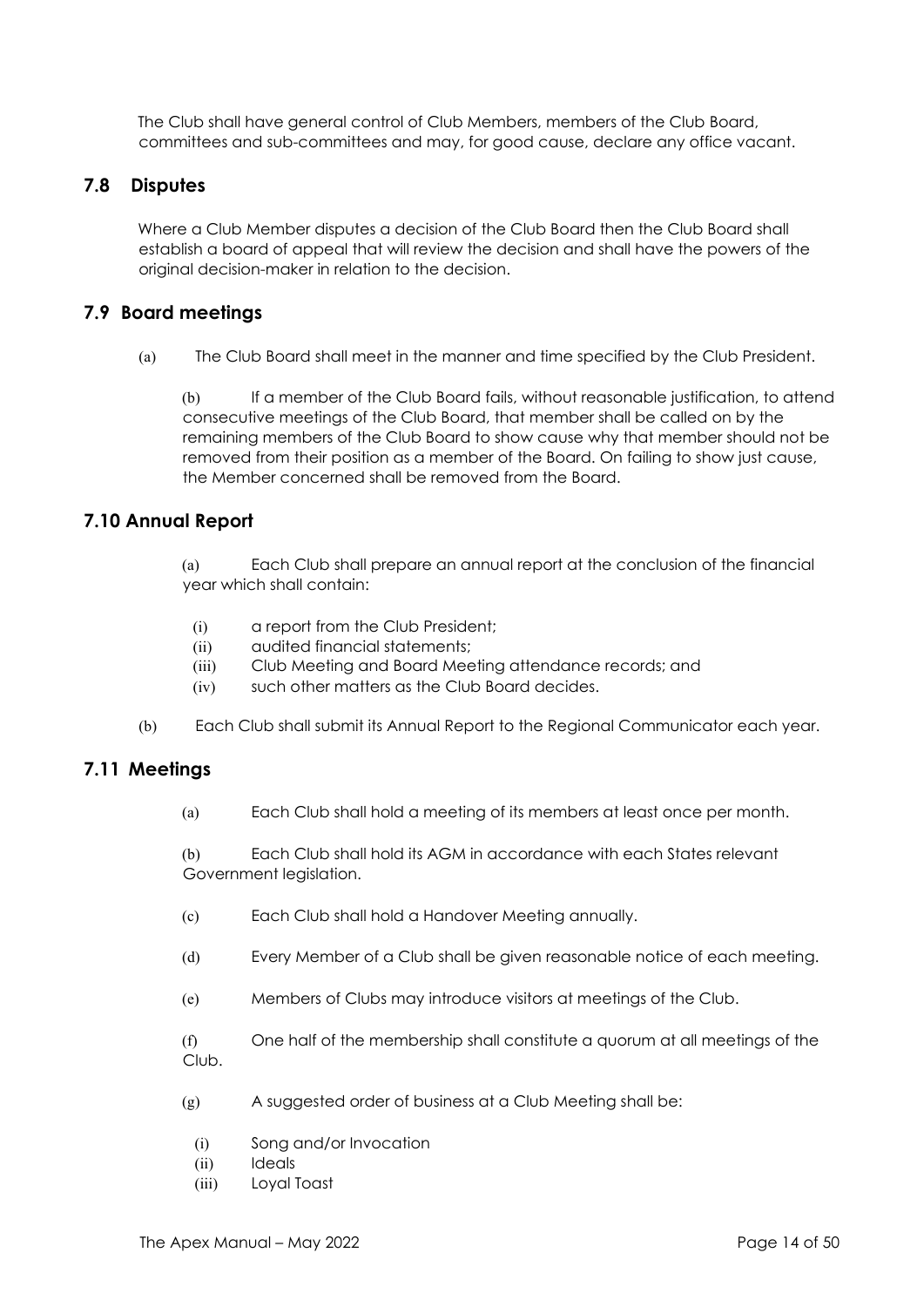The Club shall have general control of Club Members, members of the Club Board, committees and sub-committees and may, for good cause, declare any office vacant.

### **7.8 Disputes**

Where a Club Member disputes a decision of the Club Board then the Club Board shall establish a board of appeal that will review the decision and shall have the powers of the original decision-maker in relation to the decision.

#### **7.9 Board meetings**

(a) The Club Board shall meet in the manner and time specified by the Club President.

(b) If a member of the Club Board fails, without reasonable justification, to attend consecutive meetings of the Club Board, that member shall be called on by the remaining members of the Club Board to show cause why that member should not be removed from their position as a member of the Board. On failing to show just cause, the Member concerned shall be removed from the Board.

#### **7.10 Annual Report**

(a) Each Club shall prepare an annual report at the conclusion of the financial year which shall contain:

- (i) a report from the Club President;
- (ii) audited financial statements;
- (iii) Club Meeting and Board Meeting attendance records; and
- (iv) such other matters as the Club Board decides.
- (b) Each Club shall submit its Annual Report to the Regional Communicator each year.

## **7.11 Meetings**

(a) Each Club shall hold a meeting of its members at least once per month.

(b) Each Club shall hold its AGM in accordance with each States relevant Government legislation.

- (c) Each Club shall hold a Handover Meeting annually.
- (d) Every Member of a Club shall be given reasonable notice of each meeting.
- (e) Members of Clubs may introduce visitors at meetings of the Club.

(f) One half of the membership shall constitute a quorum at all meetings of the Club.

- (g) A suggested order of business at a Club Meeting shall be:
	- (i) Song and/or Invocation
	- (ii) Ideals
	- (iii) Loyal Toast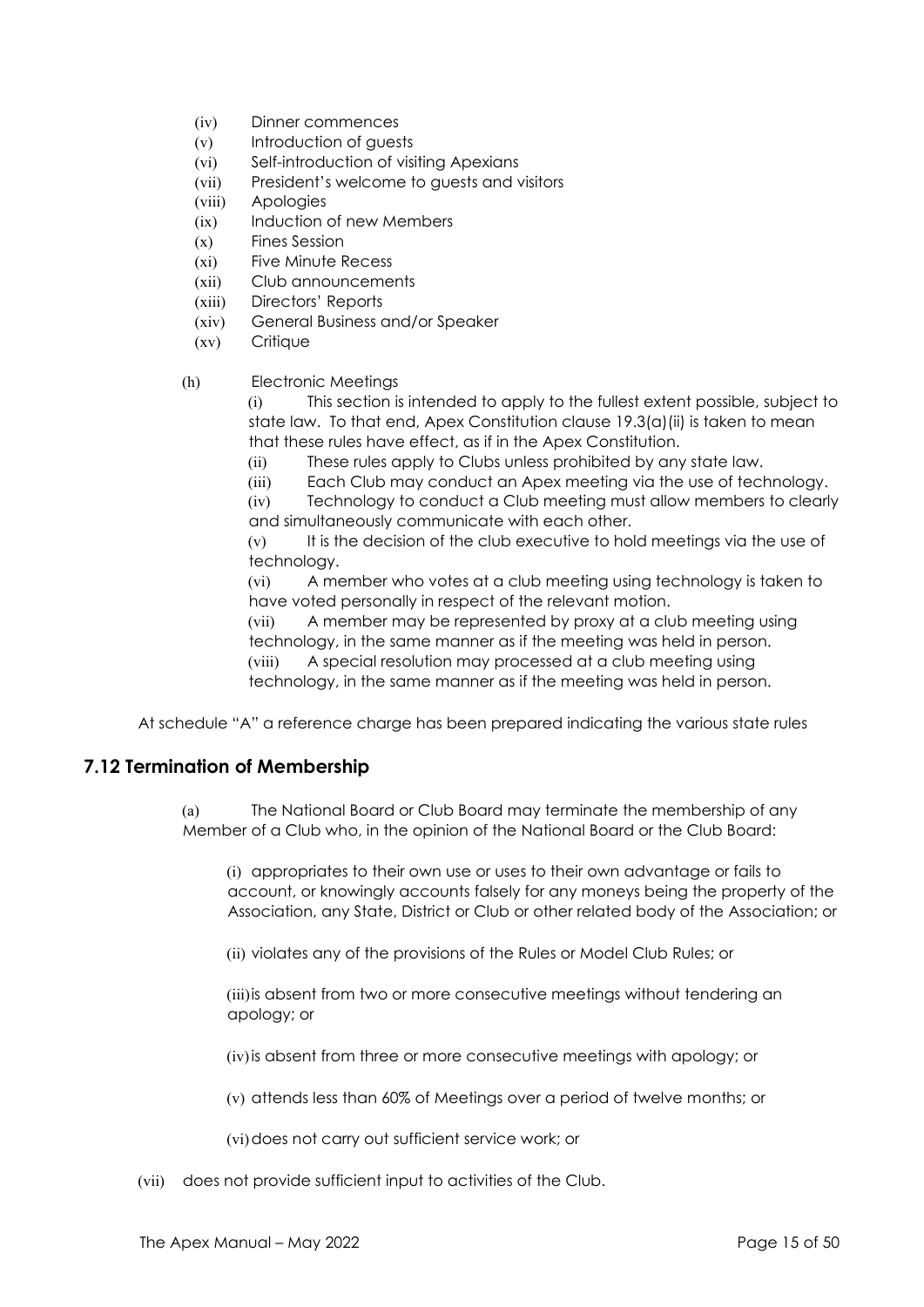- (iv) Dinner commences
- (v) Introduction of guests
- (vi) Self-introduction of visiting Apexians
- (vii) President's welcome to guests and visitors
- (viii) Apologies
- (ix) Induction of new Members
- (x) Fines Session
- (xi) Five Minute Recess
- (xii) Club announcements
- (xiii) Directors' Reports
- (xiv) General Business and/or Speaker
- (xv) Critique
- (h) Electronic Meetings

(i) This section is intended to apply to the fullest extent possible, subject to state law. To that end, Apex Constitution clause 19.3(a)(ii) is taken to mean that these rules have effect, as if in the Apex Constitution.

- (ii) These rules apply to Clubs unless prohibited by any state law.
- (iii) Each Club may conduct an Apex meeting via the use of technology.

(iv) Technology to conduct a Club meeting must allow members to clearly and simultaneously communicate with each other.

(v) It is the decision of the club executive to hold meetings via the use of technology.

(vi) A member who votes at a club meeting using technology is taken to have voted personally in respect of the relevant motion.

(vii) A member may be represented by proxy at a club meeting using technology, in the same manner as if the meeting was held in person.

(viii) A special resolution may processed at a club meeting using technology, in the same manner as if the meeting was held in person.

At schedule "A" a reference charge has been prepared indicating the various state rules

#### **7.12 Termination of Membership**

(a) The National Board or Club Board may terminate the membership of any Member of a Club who, in the opinion of the National Board or the Club Board:

(i) appropriates to their own use or uses to their own advantage or fails to account, or knowingly accounts falsely for any moneys being the property of the Association, any State, District or Club or other related body of the Association; or

(ii) violates any of the provisions of the Rules or Model Club Rules; or

(iii)is absent from two or more consecutive meetings without tendering an apology; or

(iv)is absent from three or more consecutive meetings with apology; or

(v) attends less than 60% of Meetings over a period of twelve months; or

(vi)does not carry out sufficient service work; or

(vii) does not provide sufficient input to activities of the Club.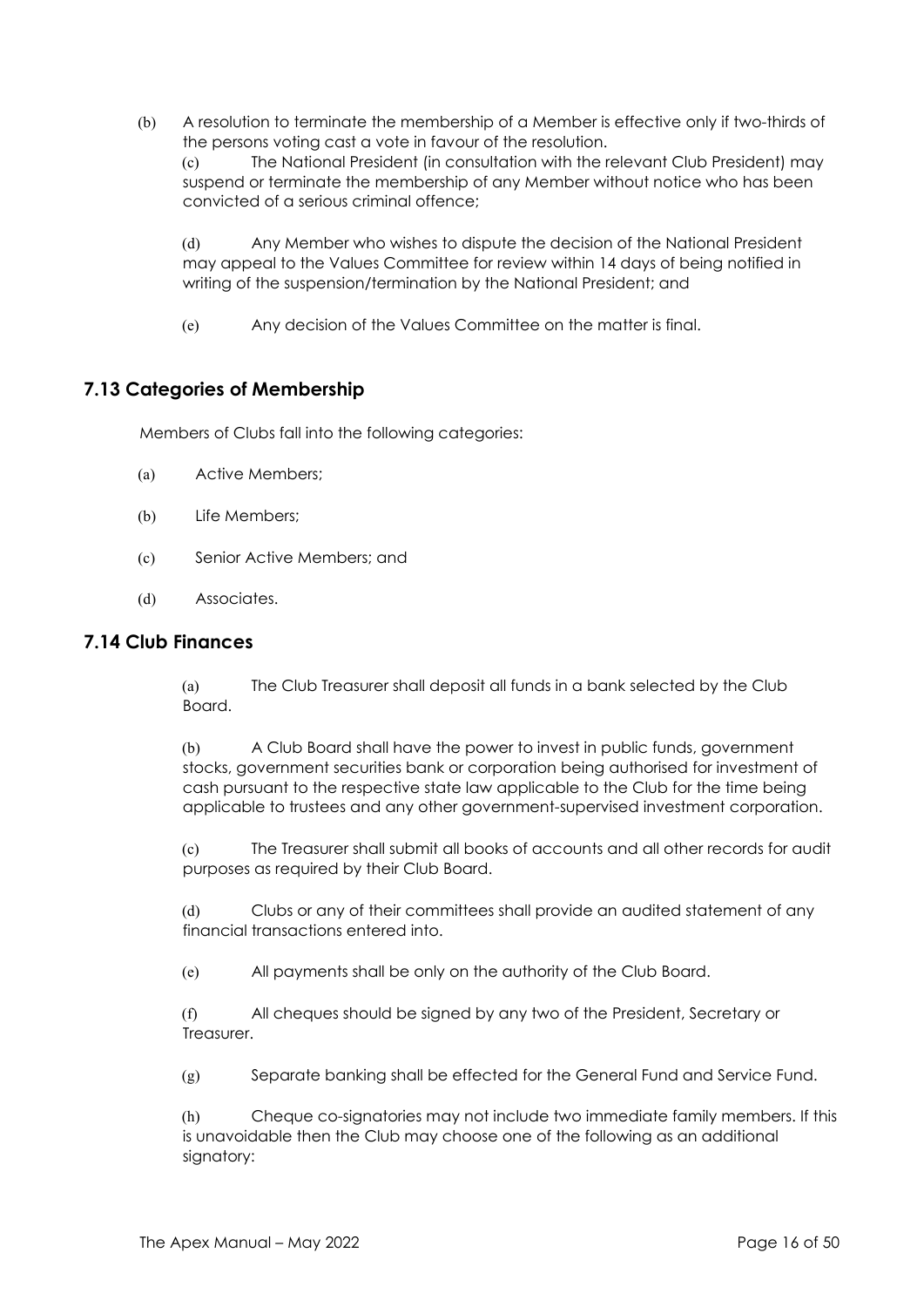(b) A resolution to terminate the membership of a Member is effective only if two-thirds of the persons voting cast a vote in favour of the resolution.

(c) The National President (in consultation with the relevant Club President) may suspend or terminate the membership of any Member without notice who has been convicted of a serious criminal offence;

(d) Any Member who wishes to dispute the decision of the National President may appeal to the Values Committee for review within 14 days of being notified in writing of the suspension/termination by the National President; and

(e) Any decision of the Values Committee on the matter is final.

# **7.13 Categories of Membership**

Members of Clubs fall into the following categories:

- (a) Active Members;
- (b) Life Members;
- (c) Senior Active Members; and
- (d) Associates.

#### **7.14 Club Finances**

(a) The Club Treasurer shall deposit all funds in a bank selected by the Club Board.

(b) A Club Board shall have the power to invest in public funds, government stocks, government securities bank or corporation being authorised for investment of cash pursuant to the respective state law applicable to the Club for the time being applicable to trustees and any other government-supervised investment corporation.

(c) The Treasurer shall submit all books of accounts and all other records for audit purposes as required by their Club Board.

(d) Clubs or any of their committees shall provide an audited statement of any financial transactions entered into.

(e) All payments shall be only on the authority of the Club Board.

(f) All cheques should be signed by any two of the President, Secretary or **Treasurer** 

(g) Separate banking shall be effected for the General Fund and Service Fund.

(h) Cheque co-signatories may not include two immediate family members. If this is unavoidable then the Club may choose one of the following as an additional signatory: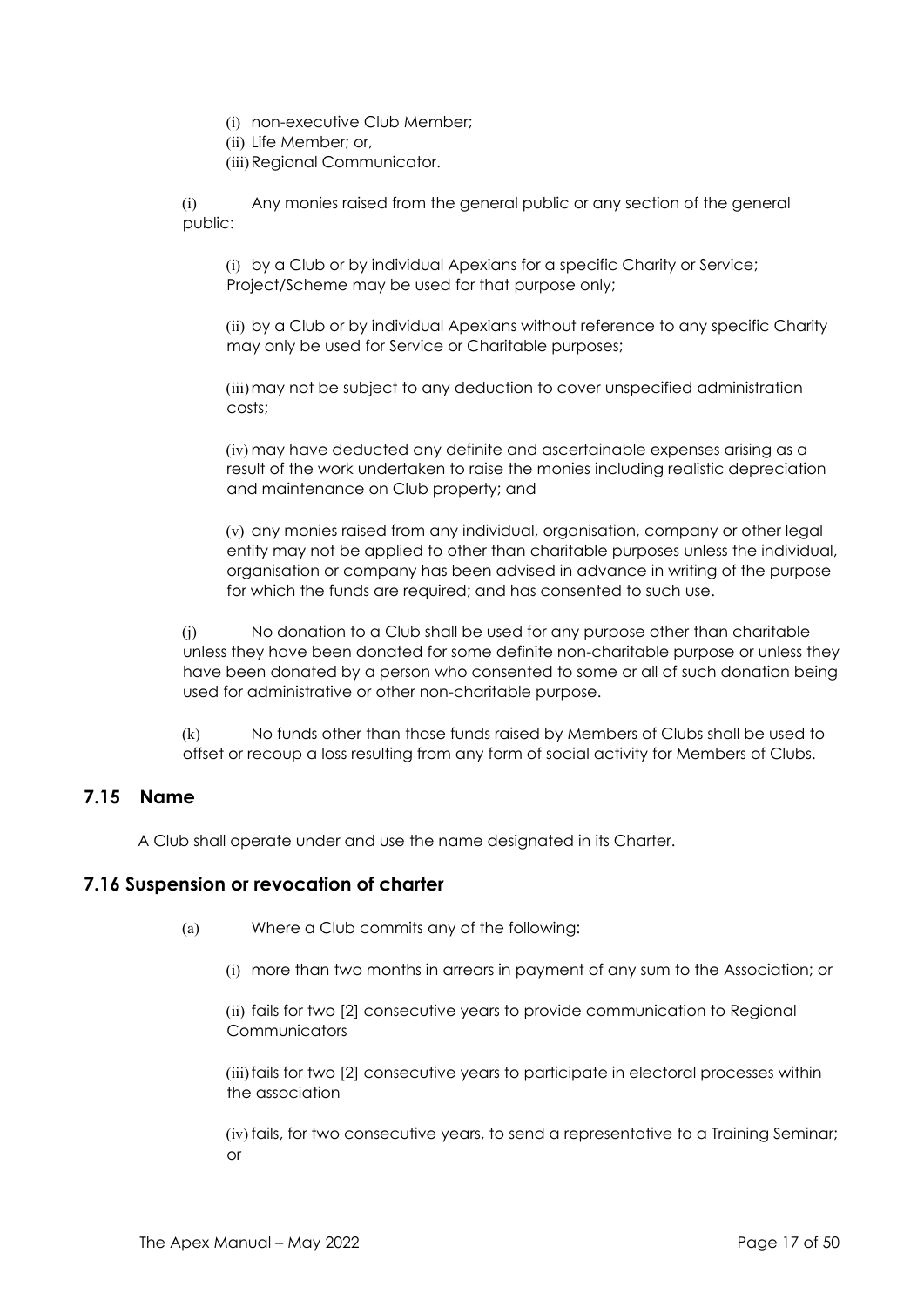- (i) non-executive Club Member;
- (ii) Life Member; or,
- (iii)Regional Communicator.

(i) Any monies raised from the general public or any section of the general public:

(i) by a Club or by individual Apexians for a specific Charity or Service; Project/Scheme may be used for that purpose only;

(ii) by a Club or by individual Apexians without reference to any specific Charity may only be used for Service or Charitable purposes;

(iii)may not be subject to any deduction to cover unspecified administration costs;

(iv) may have deducted any definite and ascertainable expenses arising as a result of the work undertaken to raise the monies including realistic depreciation and maintenance on Club property; and

(v) any monies raised from any individual, organisation, company or other legal entity may not be applied to other than charitable purposes unless the individual, organisation or company has been advised in advance in writing of the purpose for which the funds are required; and has consented to such use.

(j) No donation to a Club shall be used for any purpose other than charitable unless they have been donated for some definite non-charitable purpose or unless they have been donated by a person who consented to some or all of such donation being used for administrative or other non-charitable purpose.

(k) No funds other than those funds raised by Members of Clubs shall be used to offset or recoup a loss resulting from any form of social activity for Members of Clubs.

#### **7.15 Name**

A Club shall operate under and use the name designated in its Charter.

#### **7.16 Suspension or revocation of charter**

- (a) Where a Club commits any of the following:
	- (i) more than two months in arrears in payment of any sum to the Association; or

(ii) fails for two [2] consecutive years to provide communication to Regional **Communicators** 

(iii)fails for two [2] consecutive years to participate in electoral processes within the association

(iv) fails, for two consecutive years, to send a representative to a Training Seminar; or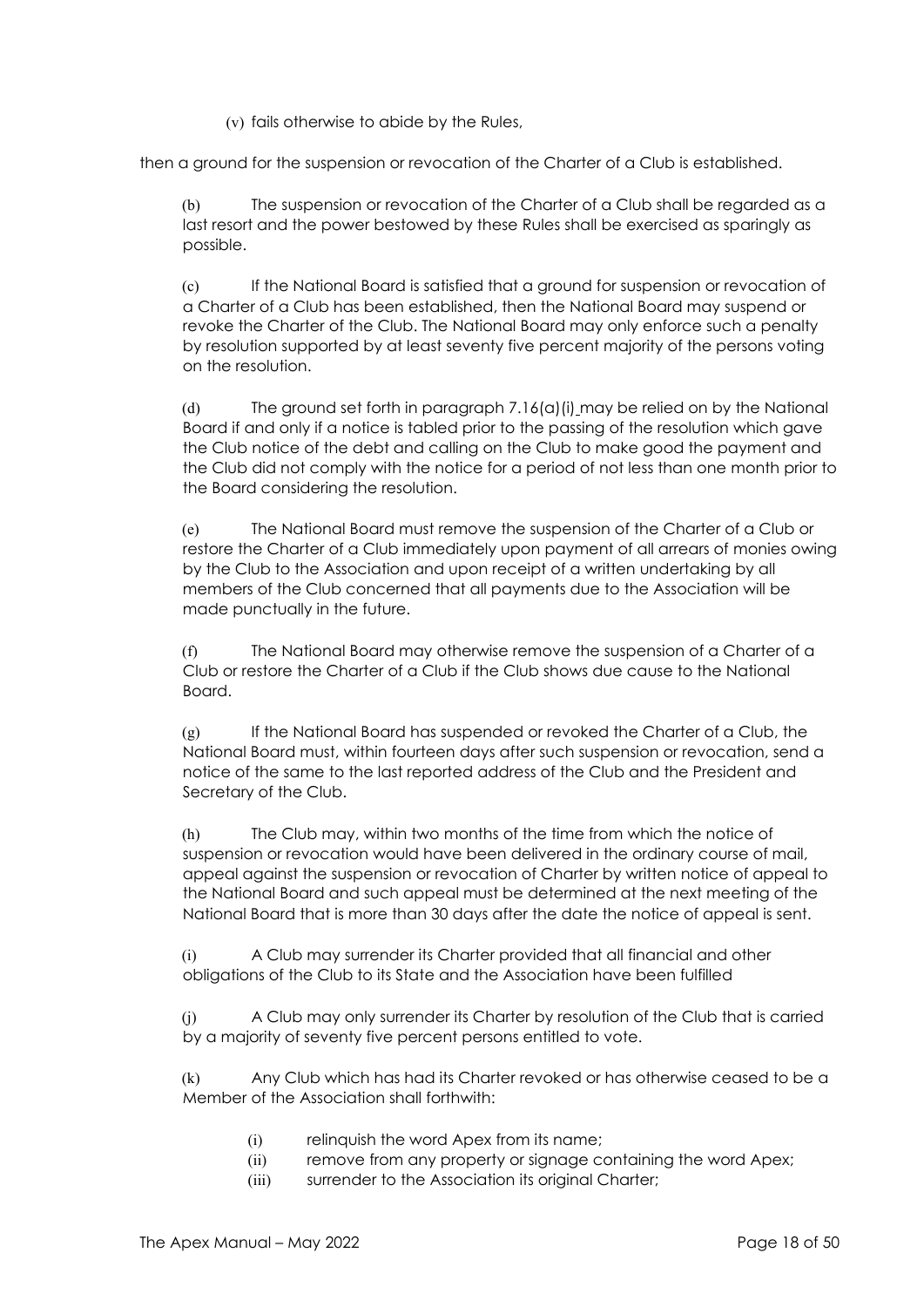(v) fails otherwise to abide by the Rules,

then a ground for the suspension or revocation of the Charter of a Club is established.

(b) The suspension or revocation of the Charter of a Club shall be regarded as a last resort and the power bestowed by these Rules shall be exercised as sparingly as possible.

(c) If the National Board is satisfied that a ground for suspension or revocation of a Charter of a Club has been established, then the National Board may suspend or revoke the Charter of the Club. The National Board may only enforce such a penalty by resolution supported by at least seventy five percent majority of the persons voting on the resolution.

(d) The ground set forth in paragraph 7.16(a)(i) may be relied on by the National Board if and only if a notice is tabled prior to the passing of the resolution which gave the Club notice of the debt and calling on the Club to make good the payment and the Club did not comply with the notice for a period of not less than one month prior to the Board considering the resolution.

(e) The National Board must remove the suspension of the Charter of a Club or restore the Charter of a Club immediately upon payment of all arrears of monies owing by the Club to the Association and upon receipt of a written undertaking by all members of the Club concerned that all payments due to the Association will be made punctually in the future.

(f) The National Board may otherwise remove the suspension of a Charter of a Club or restore the Charter of a Club if the Club shows due cause to the National Board.

(g) If the National Board has suspended or revoked the Charter of a Club, the National Board must, within fourteen days after such suspension or revocation, send a notice of the same to the last reported address of the Club and the President and Secretary of the Club.

(h) The Club may, within two months of the time from which the notice of suspension or revocation would have been delivered in the ordinary course of mail, appeal against the suspension or revocation of Charter by written notice of appeal to the National Board and such appeal must be determined at the next meeting of the National Board that is more than 30 days after the date the notice of appeal is sent.

(i) A Club may surrender its Charter provided that all financial and other obligations of the Club to its State and the Association have been fulfilled

(j) A Club may only surrender its Charter by resolution of the Club that is carried by a majority of seventy five percent persons entitled to vote.

(k) Any Club which has had its Charter revoked or has otherwise ceased to be a Member of the Association shall forthwith:

- (i) relinquish the word Apex from its name;
- (ii) remove from any property or signage containing the word Apex;
- (iii) surrender to the Association its original Charter;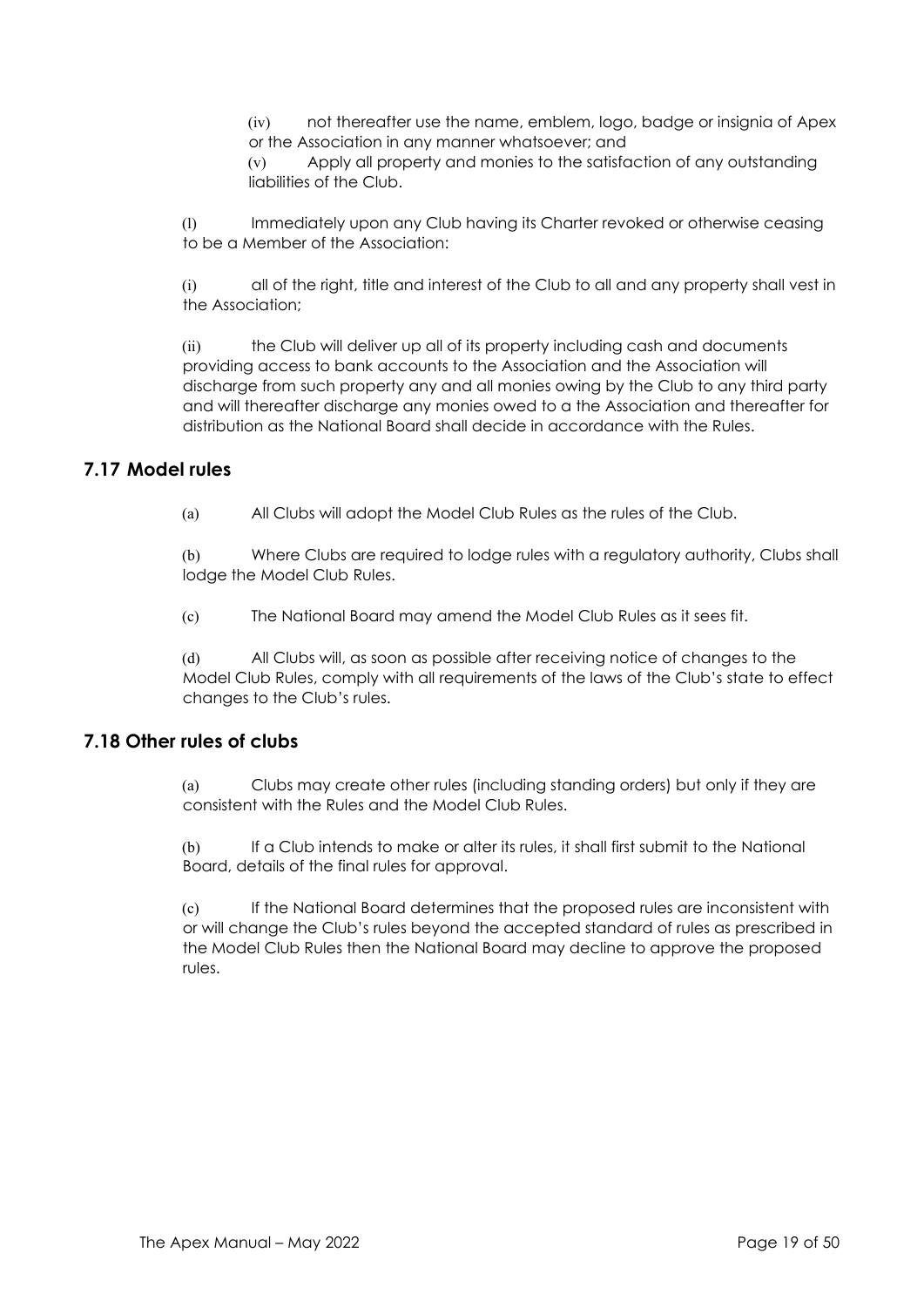(iv) not thereafter use the name, emblem, logo, badge or insignia of Apex or the Association in any manner whatsoever; and

(v) Apply all property and monies to the satisfaction of any outstanding liabilities of the Club.

(l) Immediately upon any Club having its Charter revoked or otherwise ceasing to be a Member of the Association:

(i) all of the right, title and interest of the Club to all and any property shall vest in the Association;

(ii) the Club will deliver up all of its property including cash and documents providing access to bank accounts to the Association and the Association will discharge from such property any and all monies owing by the Club to any third party and will thereafter discharge any monies owed to a the Association and thereafter for distribution as the National Board shall decide in accordance with the Rules.

## **7.17 Model rules**

(a) All Clubs will adopt the Model Club Rules as the rules of the Club.

(b) Where Clubs are required to lodge rules with a regulatory authority, Clubs shall lodge the Model Club Rules.

(c) The National Board may amend the Model Club Rules as it sees fit.

(d) All Clubs will, as soon as possible after receiving notice of changes to the Model Club Rules, comply with all requirements of the laws of the Club's state to effect changes to the Club's rules.

#### **7.18 Other rules of clubs**

(a) Clubs may create other rules (including standing orders) but only if they are consistent with the Rules and the Model Club Rules.

(b) If a Club intends to make or alter its rules, it shall first submit to the National Board, details of the final rules for approval.

(c) If the National Board determines that the proposed rules are inconsistent with or will change the Club's rules beyond the accepted standard of rules as prescribed in the Model Club Rules then the National Board may decline to approve the proposed rules.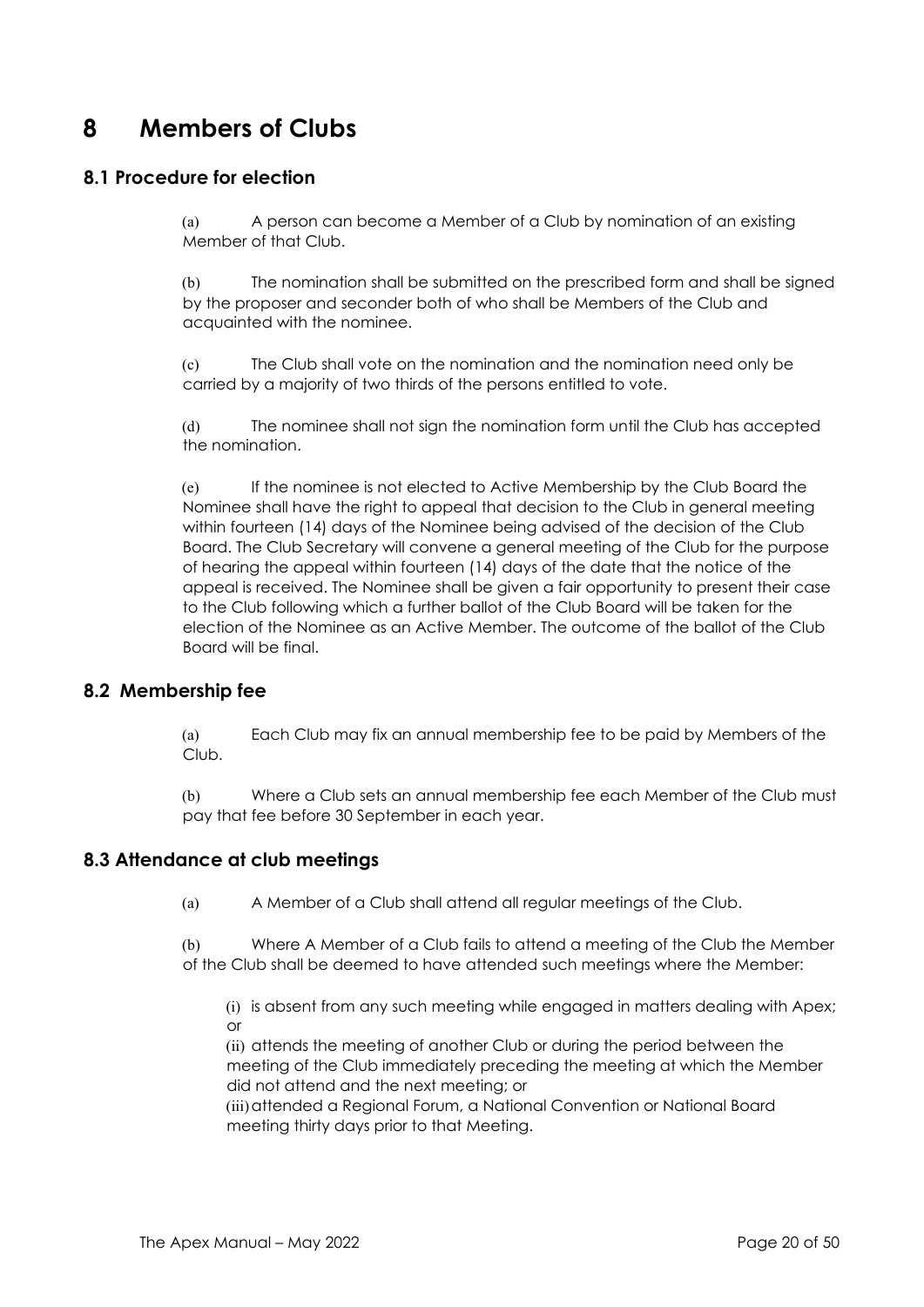# **8 Members of Clubs**

## **8.1 Procedure for election**

(a) A person can become a Member of a Club by nomination of an existing Member of that Club.

(b) The nomination shall be submitted on the prescribed form and shall be signed by the proposer and seconder both of who shall be Members of the Club and acquainted with the nominee.

(c) The Club shall vote on the nomination and the nomination need only be carried by a majority of two thirds of the persons entitled to vote.

(d) The nominee shall not sign the nomination form until the Club has accepted the nomination.

(e) If the nominee is not elected to Active Membership by the Club Board the Nominee shall have the right to appeal that decision to the Club in general meeting within fourteen (14) days of the Nominee being advised of the decision of the Club Board. The Club Secretary will convene a general meeting of the Club for the purpose of hearing the appeal within fourteen (14) days of the date that the notice of the appeal is received. The Nominee shall be given a fair opportunity to present their case to the Club following which a further ballot of the Club Board will be taken for the election of the Nominee as an Active Member. The outcome of the ballot of the Club Board will be final.

## **8.2 Membership fee**

(a) Each Club may fix an annual membership fee to be paid by Members of the Club.

(b) Where a Club sets an annual membership fee each Member of the Club must pay that fee before 30 September in each year.

## **8.3 Attendance at club meetings**

(a) A Member of a Club shall attend all regular meetings of the Club.

(b) Where A Member of a Club fails to attend a meeting of the Club the Member of the Club shall be deemed to have attended such meetings where the Member:

(i) is absent from any such meeting while engaged in matters dealing with Apex; or

(ii) attends the meeting of another Club or during the period between the meeting of the Club immediately preceding the meeting at which the Member did not attend and the next meeting; or

(iii)attended a Regional Forum, a National Convention or National Board meeting thirty days prior to that Meeting.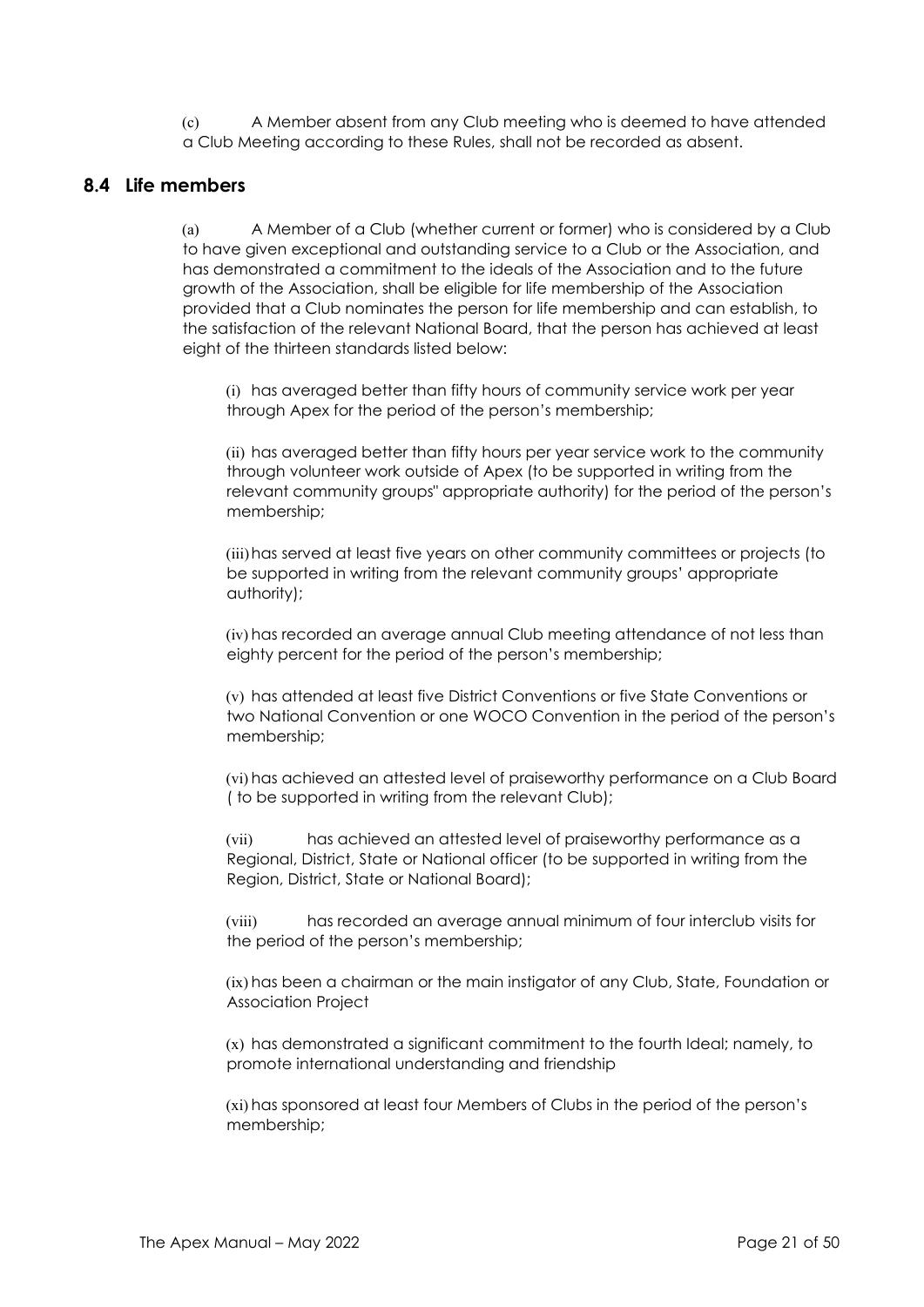(c) A Member absent from any Club meeting who is deemed to have attended a Club Meeting according to these Rules, shall not be recorded as absent.

### **8.4 Life members**

(a) A Member of a Club (whether current or former) who is considered by a Club to have given exceptional and outstanding service to a Club or the Association, and has demonstrated a commitment to the ideals of the Association and to the future growth of the Association, shall be eligible for life membership of the Association provided that a Club nominates the person for life membership and can establish, to the satisfaction of the relevant National Board, that the person has achieved at least eight of the thirteen standards listed below:

(i) has averaged better than fifty hours of community service work per year through Apex for the period of the person's membership;

(ii) has averaged better than fifty hours per year service work to the community through volunteer work outside of Apex (to be supported in writing from the relevant community groups" appropriate authority) for the period of the person's membership;

(iii)has served at least five years on other community committees or projects (to be supported in writing from the relevant community groups' appropriate authority);

(iv) has recorded an average annual Club meeting attendance of not less than eighty percent for the period of the person's membership;

(v) has attended at least five District Conventions or five State Conventions or two National Convention or one WOCO Convention in the period of the person's membership;

(vi) has achieved an attested level of praiseworthy performance on a Club Board ( to be supported in writing from the relevant Club);

(vii) has achieved an attested level of praiseworthy performance as a Regional, District, State or National officer (to be supported in writing from the Region, District, State or National Board);

(viii) has recorded an average annual minimum of four interclub visits for the period of the person's membership;

(ix) has been a chairman or the main instigator of any Club, State, Foundation or Association Project

(x) has demonstrated a significant commitment to the fourth Ideal; namely, to promote international understanding and friendship

(xi) has sponsored at least four Members of Clubs in the period of the person's membership;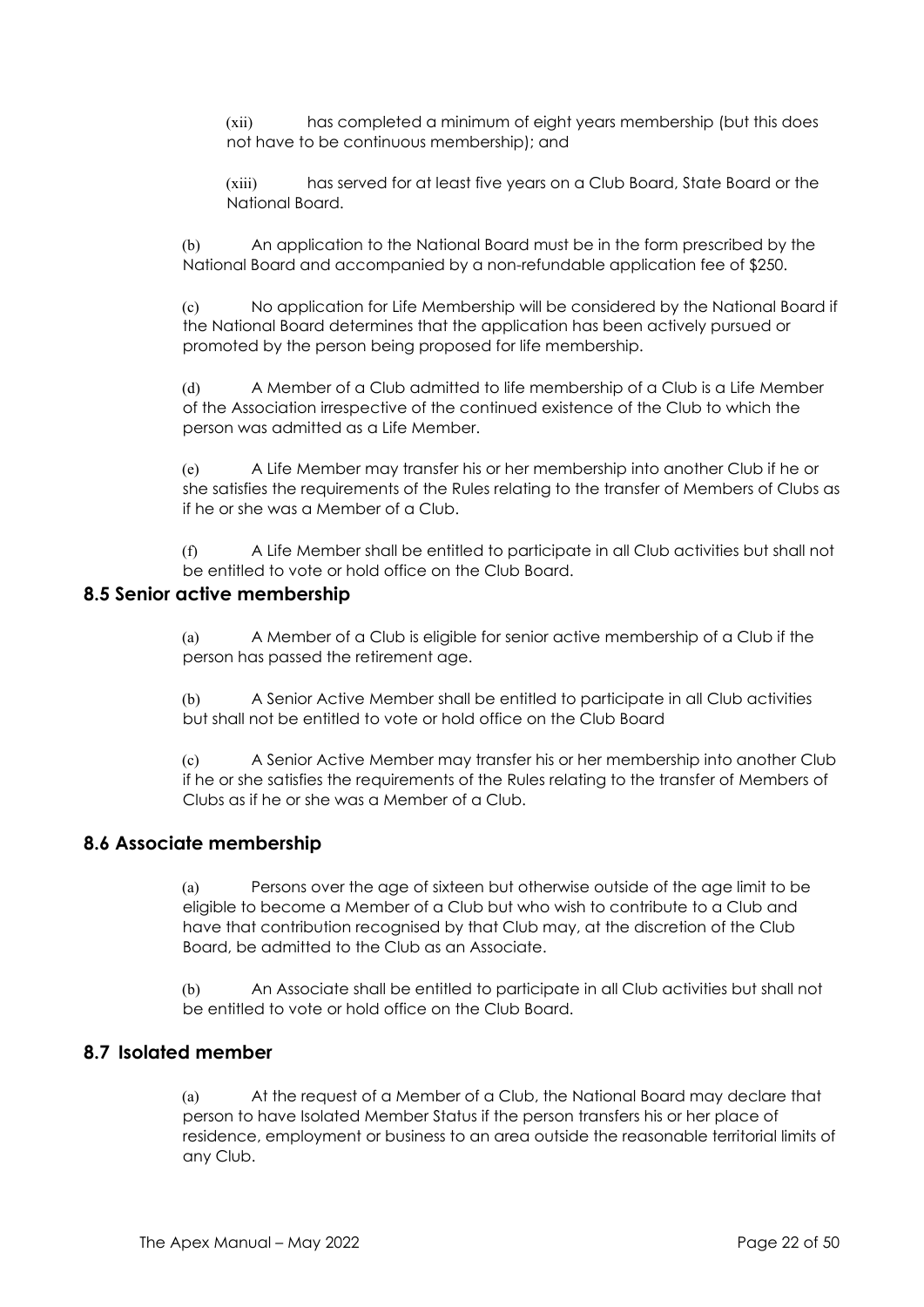(xii) has completed a minimum of eight years membership (but this does not have to be continuous membership); and

(xiii) has served for at least five years on a Club Board, State Board or the National Board.

(b) An application to the National Board must be in the form prescribed by the National Board and accompanied by a non-refundable application fee of \$250.

(c) No application for Life Membership will be considered by the National Board if the National Board determines that the application has been actively pursued or promoted by the person being proposed for life membership.

(d) A Member of a Club admitted to life membership of a Club is a Life Member of the Association irrespective of the continued existence of the Club to which the person was admitted as a Life Member.

(e) A Life Member may transfer his or her membership into another Club if he or she satisfies the requirements of the Rules relating to the transfer of Members of Clubs as if he or she was a Member of a Club.

(f) A Life Member shall be entitled to participate in all Club activities but shall not be entitled to vote or hold office on the Club Board.

#### **8.5 Senior active membership**

(a) A Member of a Club is eligible for senior active membership of a Club if the person has passed the retirement age.

(b) A Senior Active Member shall be entitled to participate in all Club activities but shall not be entitled to vote or hold office on the Club Board

(c) A Senior Active Member may transfer his or her membership into another Club if he or she satisfies the requirements of the Rules relating to the transfer of Members of Clubs as if he or she was a Member of a Club.

#### **8.6 Associate membership**

(a) Persons over the age of sixteen but otherwise outside of the age limit to be eligible to become a Member of a Club but who wish to contribute to a Club and have that contribution recognised by that Club may, at the discretion of the Club Board, be admitted to the Club as an Associate.

(b) An Associate shall be entitled to participate in all Club activities but shall not be entitled to vote or hold office on the Club Board.

#### **8.7 Isolated member**

(a) At the request of a Member of a Club, the National Board may declare that person to have Isolated Member Status if the person transfers his or her place of residence, employment or business to an area outside the reasonable territorial limits of any Club.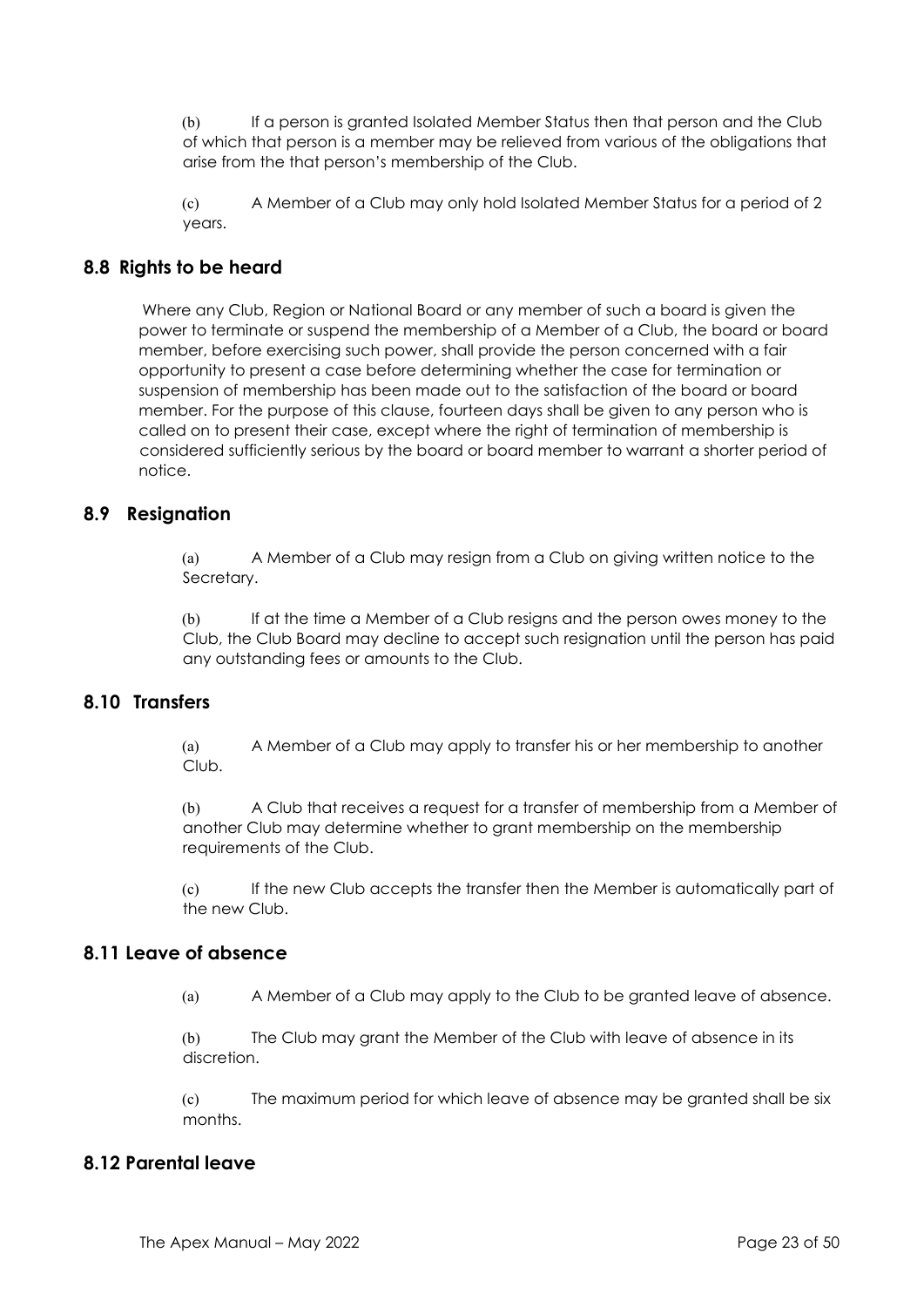(b) If a person is granted Isolated Member Status then that person and the Club of which that person is a member may be relieved from various of the obligations that arise from the that person's membership of the Club.

(c) A Member of a Club may only hold Isolated Member Status for a period of 2 years.

# **8.8 Rights to be heard**

Where any Club, Region or National Board or any member of such a board is given the power to terminate or suspend the membership of a Member of a Club, the board or board member, before exercising such power, shall provide the person concerned with a fair opportunity to present a case before determining whether the case for termination or suspension of membership has been made out to the satisfaction of the board or board member. For the purpose of this clause, fourteen days shall be given to any person who is called on to present their case, except where the right of termination of membership is considered sufficiently serious by the board or board member to warrant a shorter period of notice.

## **8.9 Resignation**

(a) A Member of a Club may resign from a Club on giving written notice to the Secretary.

(b) If at the time a Member of a Club resigns and the person owes money to the Club, the Club Board may decline to accept such resignation until the person has paid any outstanding fees or amounts to the Club.

#### **8.10 Transfers**

(a) A Member of a Club may apply to transfer his or her membership to another Club.

(b) A Club that receives a request for a transfer of membership from a Member of another Club may determine whether to grant membership on the membership requirements of the Club.

(c) If the new Club accepts the transfer then the Member is automatically part of the new Club.

#### **8.11 Leave of absence**

(a) A Member of a Club may apply to the Club to be granted leave of absence.

(b) The Club may grant the Member of the Club with leave of absence in its discretion.

(c) The maximum period for which leave of absence may be granted shall be six months.

# **8.12 Parental leave**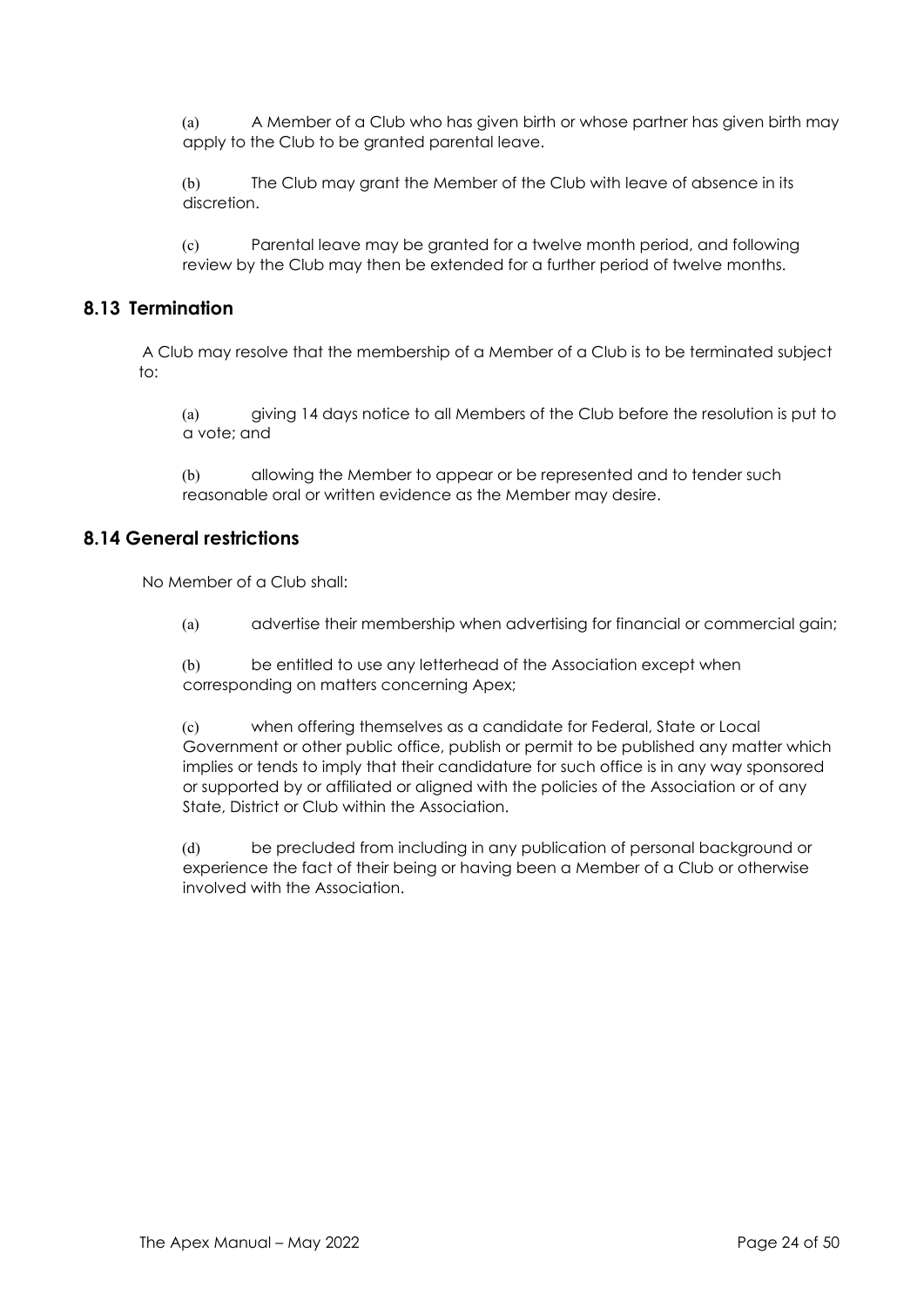(a) A Member of a Club who has given birth or whose partner has given birth may apply to the Club to be granted parental leave.

(b) The Club may grant the Member of the Club with leave of absence in its discretion.

(c) Parental leave may be granted for a twelve month period, and following review by the Club may then be extended for a further period of twelve months.

#### **8.13 Termination**

A Club may resolve that the membership of a Member of a Club is to be terminated subject  $t^{\circ}$ 

(a) giving 14 days notice to all Members of the Club before the resolution is put to a vote; and

(b) allowing the Member to appear or be represented and to tender such reasonable oral or written evidence as the Member may desire.

# **8.14 General restrictions**

No Member of a Club shall:

(a) advertise their membership when advertising for financial or commercial gain;

(b) be entitled to use any letterhead of the Association except when corresponding on matters concerning Apex;

(c) when offering themselves as a candidate for Federal, State or Local Government or other public office, publish or permit to be published any matter which implies or tends to imply that their candidature for such office is in any way sponsored or supported by or affiliated or aligned with the policies of the Association or of any State, District or Club within the Association.

(d) be precluded from including in any publication of personal background or experience the fact of their being or having been a Member of a Club or otherwise involved with the Association.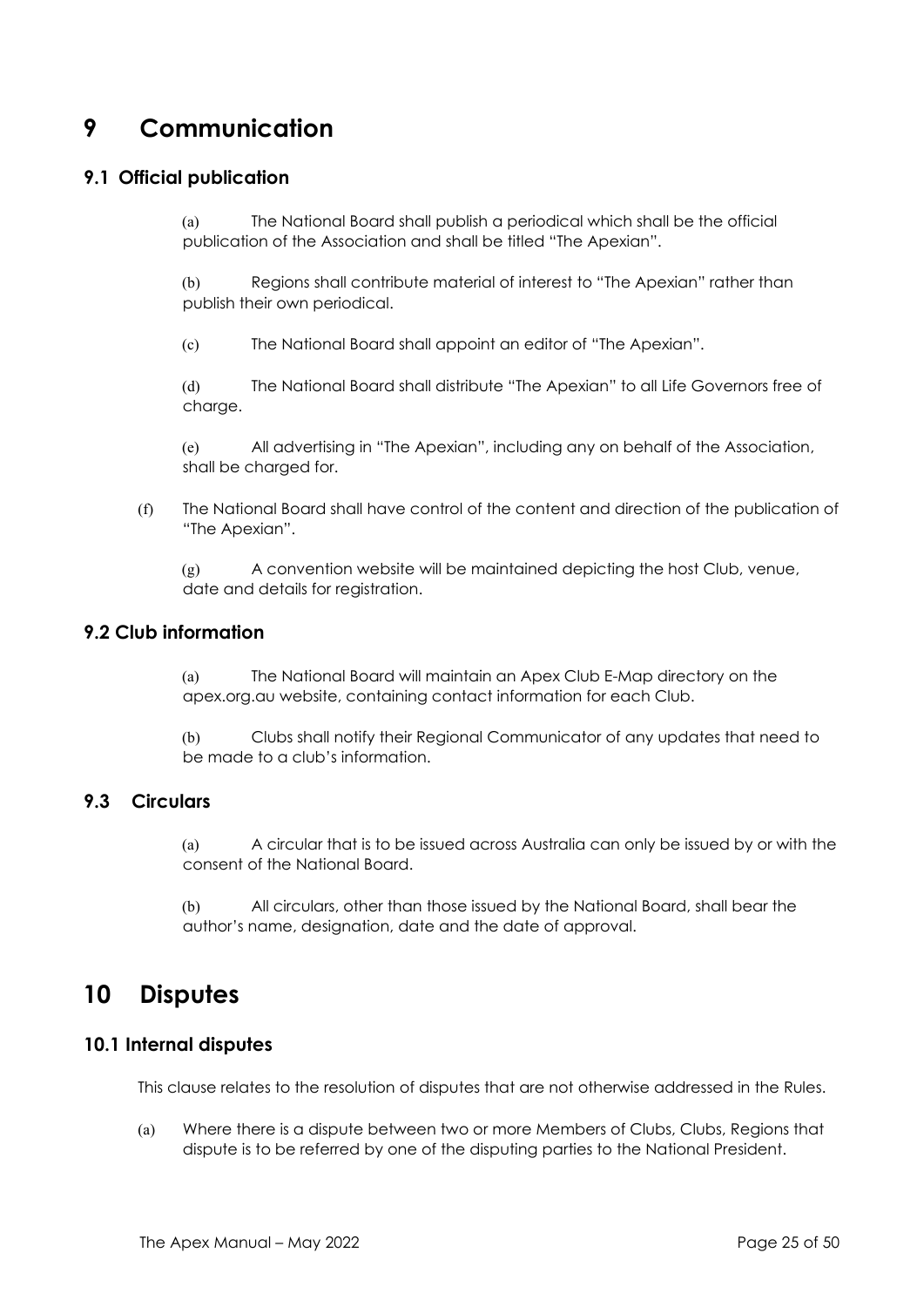# **9 Communication**

### **9.1 Official publication**

(a) The National Board shall publish a periodical which shall be the official publication of the Association and shall be titled "The Apexian".

(b) Regions shall contribute material of interest to "The Apexian" rather than publish their own periodical.

(c) The National Board shall appoint an editor of "The Apexian".

(d) The National Board shall distribute "The Apexian" to all Life Governors free of charge.

(e) All advertising in "The Apexian", including any on behalf of the Association, shall be charged for.

(f) The National Board shall have control of the content and direction of the publication of "The Apexian".

(g) A convention website will be maintained depicting the host Club, venue, date and details for registration.

#### **9.2 Club information**

(a) The National Board will maintain an Apex Club E-Map directory on the apex.org.au website, containing contact information for each Club.

(b) Clubs shall notify their Regional Communicator of any updates that need to be made to a club's information.

# **9.3 Circulars**

(a) A circular that is to be issued across Australia can only be issued by or with the consent of the National Board.

(b) All circulars, other than those issued by the National Board, shall bear the author's name, designation, date and the date of approval.

# **10 Disputes**

#### **10.1 Internal disputes**

This clause relates to the resolution of disputes that are not otherwise addressed in the Rules.

(a) Where there is a dispute between two or more Members of Clubs, Clubs, Regions that dispute is to be referred by one of the disputing parties to the National President.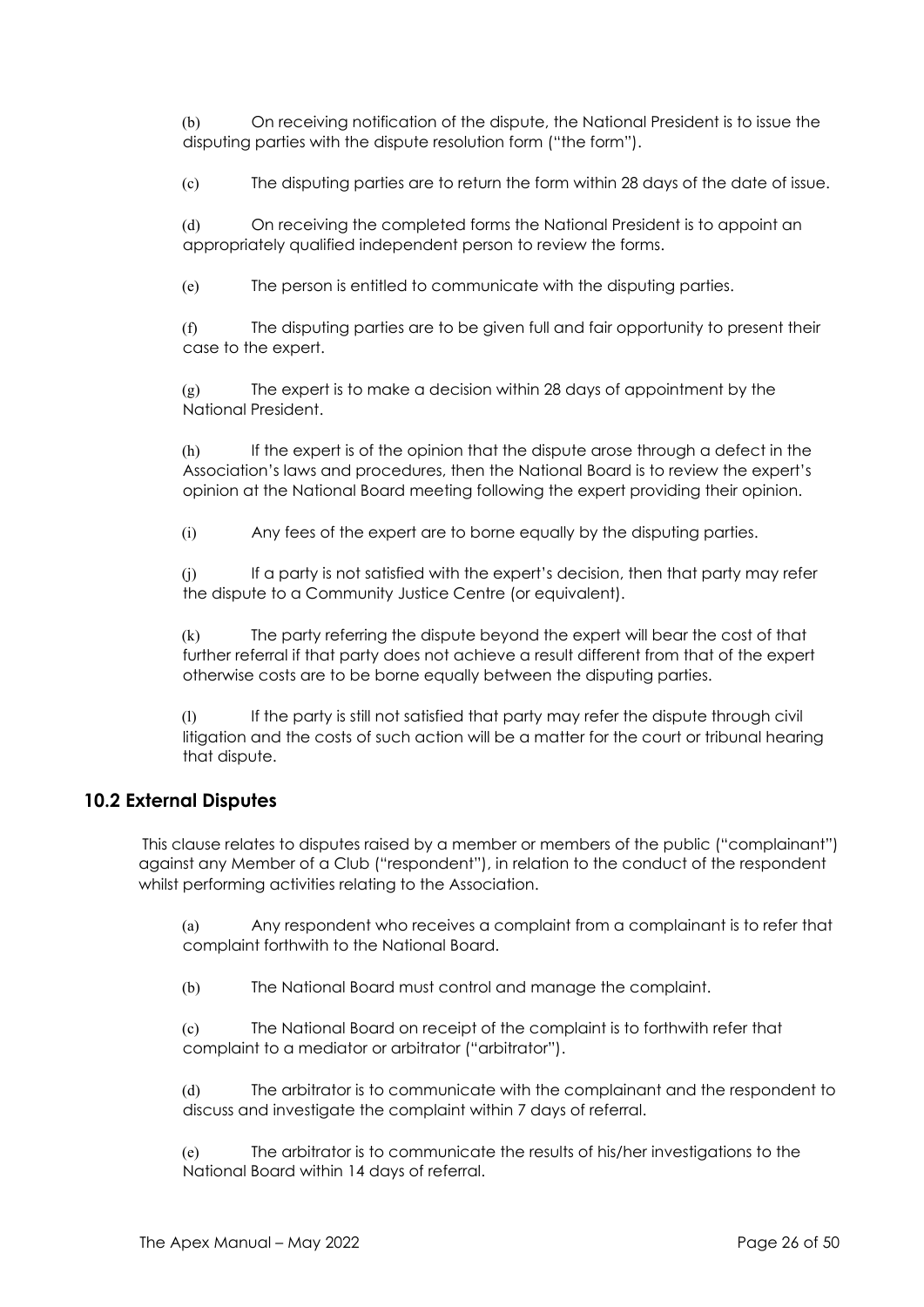(b) On receiving notification of the dispute, the National President is to issue the disputing parties with the dispute resolution form ("the form").

(c) The disputing parties are to return the form within 28 days of the date of issue.

(d) On receiving the completed forms the National President is to appoint an appropriately qualified independent person to review the forms.

(e) The person is entitled to communicate with the disputing parties.

(f) The disputing parties are to be given full and fair opportunity to present their case to the expert.

(g) The expert is to make a decision within 28 days of appointment by the National President.

(h) If the expert is of the opinion that the dispute arose through a defect in the Association's laws and procedures, then the National Board is to review the expert's opinion at the National Board meeting following the expert providing their opinion.

(i) Any fees of the expert are to borne equally by the disputing parties.

(j) If a party is not satisfied with the expert's decision, then that party may refer the dispute to a Community Justice Centre (or equivalent).

(k) The party referring the dispute beyond the expert will bear the cost of that further referral if that party does not achieve a result different from that of the expert otherwise costs are to be borne equally between the disputing parties.

(l) If the party is still not satisfied that party may refer the dispute through civil litigation and the costs of such action will be a matter for the court or tribunal hearing that dispute.

## **10.2 External Disputes**

This clause relates to disputes raised by a member or members of the public ("complainant") against any Member of a Club ("respondent"), in relation to the conduct of the respondent whilst performing activities relating to the Association.

(a) Any respondent who receives a complaint from a complainant is to refer that complaint forthwith to the National Board.

(b) The National Board must control and manage the complaint.

(c) The National Board on receipt of the complaint is to forthwith refer that complaint to a mediator or arbitrator ("arbitrator").

(d) The arbitrator is to communicate with the complainant and the respondent to discuss and investigate the complaint within 7 days of referral.

(e) The arbitrator is to communicate the results of his/her investigations to the National Board within 14 days of referral.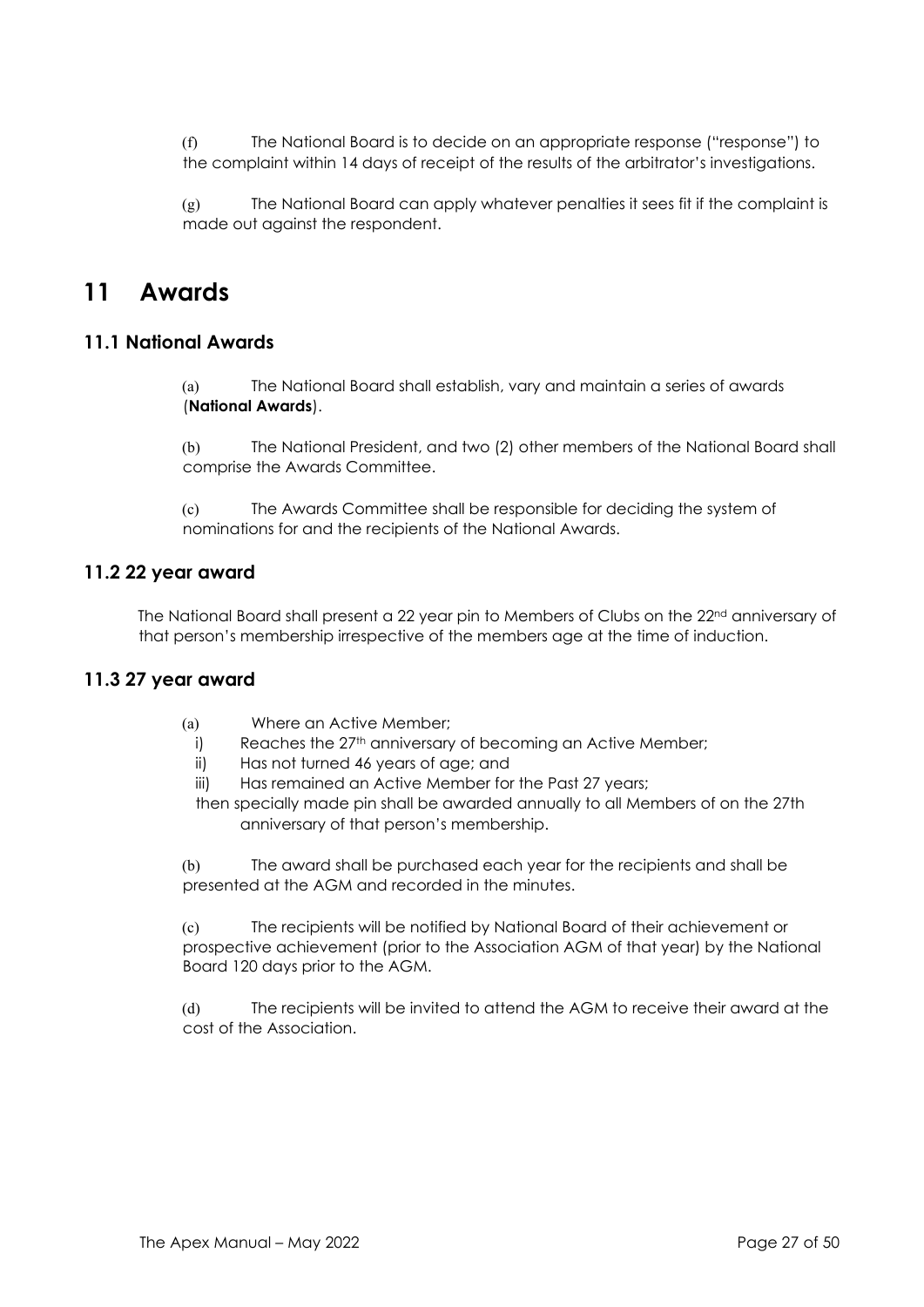(f) The National Board is to decide on an appropriate response ("response") to the complaint within 14 days of receipt of the results of the arbitrator's investigations.

(g) The National Board can apply whatever penalties it sees fit if the complaint is made out against the respondent.

# **11 Awards**

#### **11.1 National Awards**

(a) The National Board shall establish, vary and maintain a series of awards (**National Awards**).

(b) The National President, and two (2) other members of the National Board shall comprise the Awards Committee.

(c) The Awards Committee shall be responsible for deciding the system of nominations for and the recipients of the National Awards.

#### **11.2 22 year award**

The National Board shall present a 22 year pin to Members of Clubs on the 22<sup>nd</sup> anniversary of that person's membership irrespective of the members age at the time of induction.

## **11.3 27 year award**

- (a) Where an Active Member;
	- i) Reaches the 27<sup>th</sup> anniversary of becoming an Active Member;
	- ii) Has not turned 46 years of age; and
- iii) Has remained an Active Member for the Past 27 years;

then specially made pin shall be awarded annually to all Members of on the 27th anniversary of that person's membership.

(b) The award shall be purchased each year for the recipients and shall be presented at the AGM and recorded in the minutes.

(c) The recipients will be notified by National Board of their achievement or prospective achievement (prior to the Association AGM of that year) by the National Board 120 days prior to the AGM.

(d) The recipients will be invited to attend the AGM to receive their award at the cost of the Association.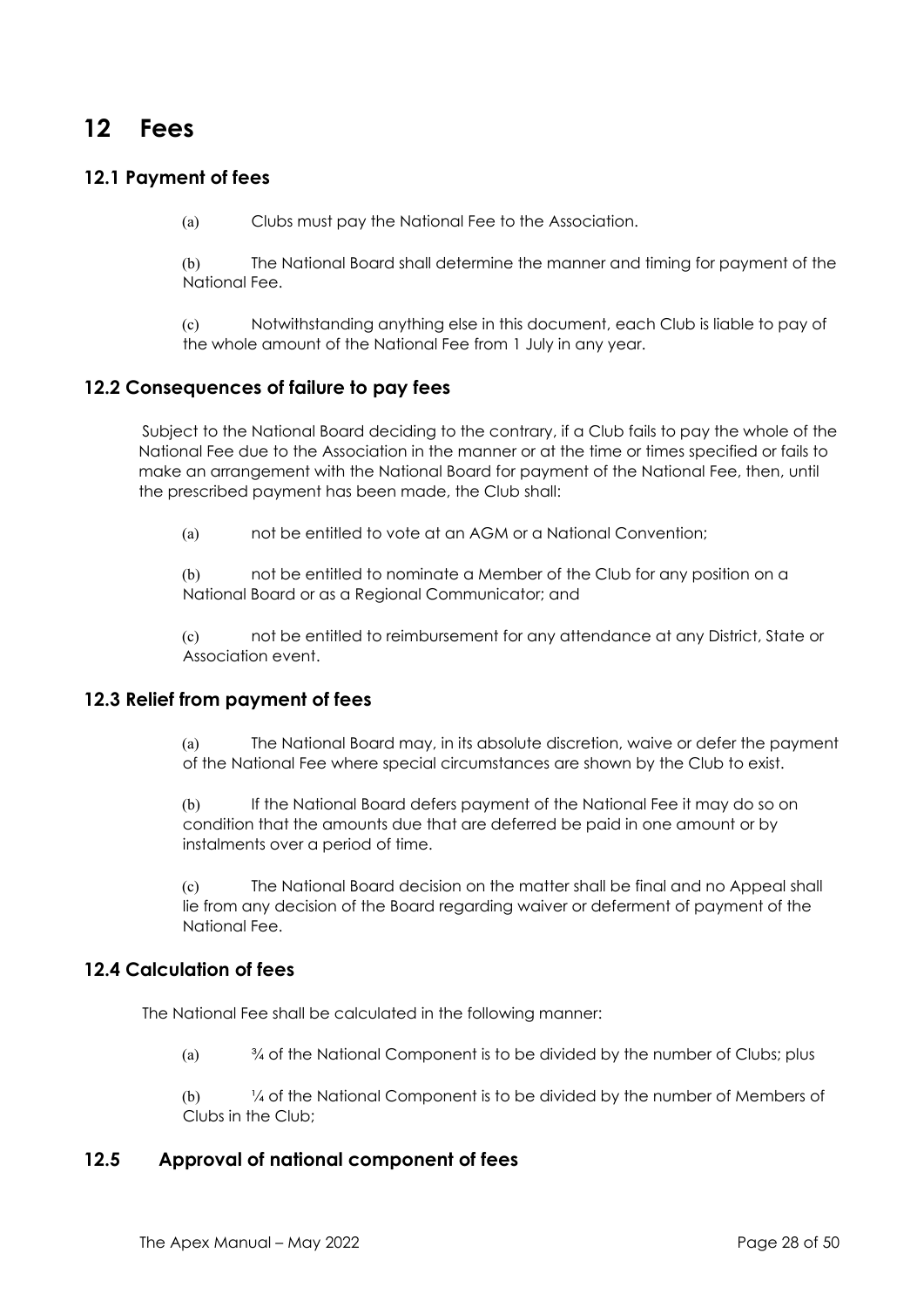# **12 Fees**

# **12.1 Payment of fees**

(a) Clubs must pay the National Fee to the Association.

(b) The National Board shall determine the manner and timing for payment of the National Fee.

(c) Notwithstanding anything else in this document, each Club is liable to pay of the whole amount of the National Fee from 1 July in any year.

#### **12.2 Consequences of failure to pay fees**

Subject to the National Board deciding to the contrary, if a Club fails to pay the whole of the National Fee due to the Association in the manner or at the time or times specified or fails to make an arrangement with the National Board for payment of the National Fee, then, until the prescribed payment has been made, the Club shall:

(a) not be entitled to vote at an AGM or a National Convention;

(b) not be entitled to nominate a Member of the Club for any position on a National Board or as a Regional Communicator; and

(c) not be entitled to reimbursement for any attendance at any District, State or Association event.

#### **12.3 Relief from payment of fees**

(a) The National Board may, in its absolute discretion, waive or defer the payment of the National Fee where special circumstances are shown by the Club to exist.

(b) If the National Board defers payment of the National Fee it may do so on condition that the amounts due that are deferred be paid in one amount or by instalments over a period of time.

(c) The National Board decision on the matter shall be final and no Appeal shall lie from any decision of the Board regarding waiver or deferment of payment of the National Fee.

# **12.4 Calculation of fees**

The National Fee shall be calculated in the following manner:

(a)  $\frac{3}{4}$  of the National Component is to be divided by the number of Clubs; plus

(b) ¼ of the National Component is to be divided by the number of Members of Clubs in the Club;

## **12.5 Approval of national component of fees**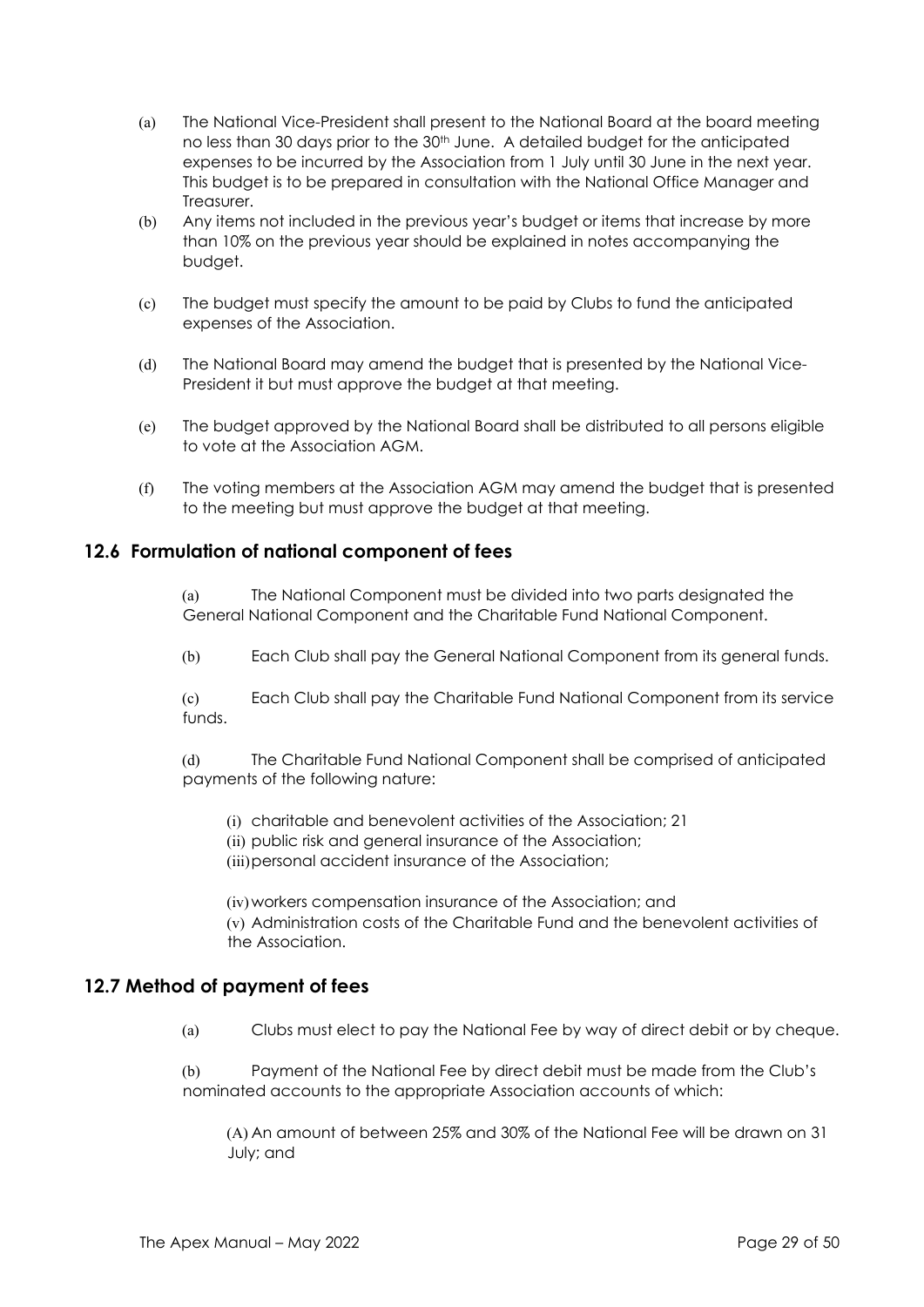- (a) The National Vice-President shall present to the National Board at the board meeting no less than 30 days prior to the 30<sup>th</sup> June. A detailed budget for the anticipated expenses to be incurred by the Association from 1 July until 30 June in the next year. This budget is to be prepared in consultation with the National Office Manager and Treasurer.
- (b) Any items not included in the previous year's budget or items that increase by more than 10% on the previous year should be explained in notes accompanying the budget.
- (c) The budget must specify the amount to be paid by Clubs to fund the anticipated expenses of the Association.
- (d) The National Board may amend the budget that is presented by the National Vice-President it but must approve the budget at that meeting.
- (e) The budget approved by the National Board shall be distributed to all persons eligible to vote at the Association AGM.
- (f) The voting members at the Association AGM may amend the budget that is presented to the meeting but must approve the budget at that meeting.

#### **12.6 Formulation of national component of fees**

(a) The National Component must be divided into two parts designated the General National Component and the Charitable Fund National Component.

(b) Each Club shall pay the General National Component from its general funds.

(c) Each Club shall pay the Charitable Fund National Component from its service funds.

(d) The Charitable Fund National Component shall be comprised of anticipated payments of the following nature:

- (i) charitable and benevolent activities of the Association; 21
- (ii) public risk and general insurance of the Association;
- (iii)personal accident insurance of the Association;

(iv)workers compensation insurance of the Association; and (v) Administration costs of the Charitable Fund and the benevolent activities of the Association.

#### **12.7 Method of payment of fees**

(a) Clubs must elect to pay the National Fee by way of direct debit or by cheque.

(b) Payment of the National Fee by direct debit must be made from the Club's nominated accounts to the appropriate Association accounts of which:

(A) An amount of between 25% and 30% of the National Fee will be drawn on 31 July; and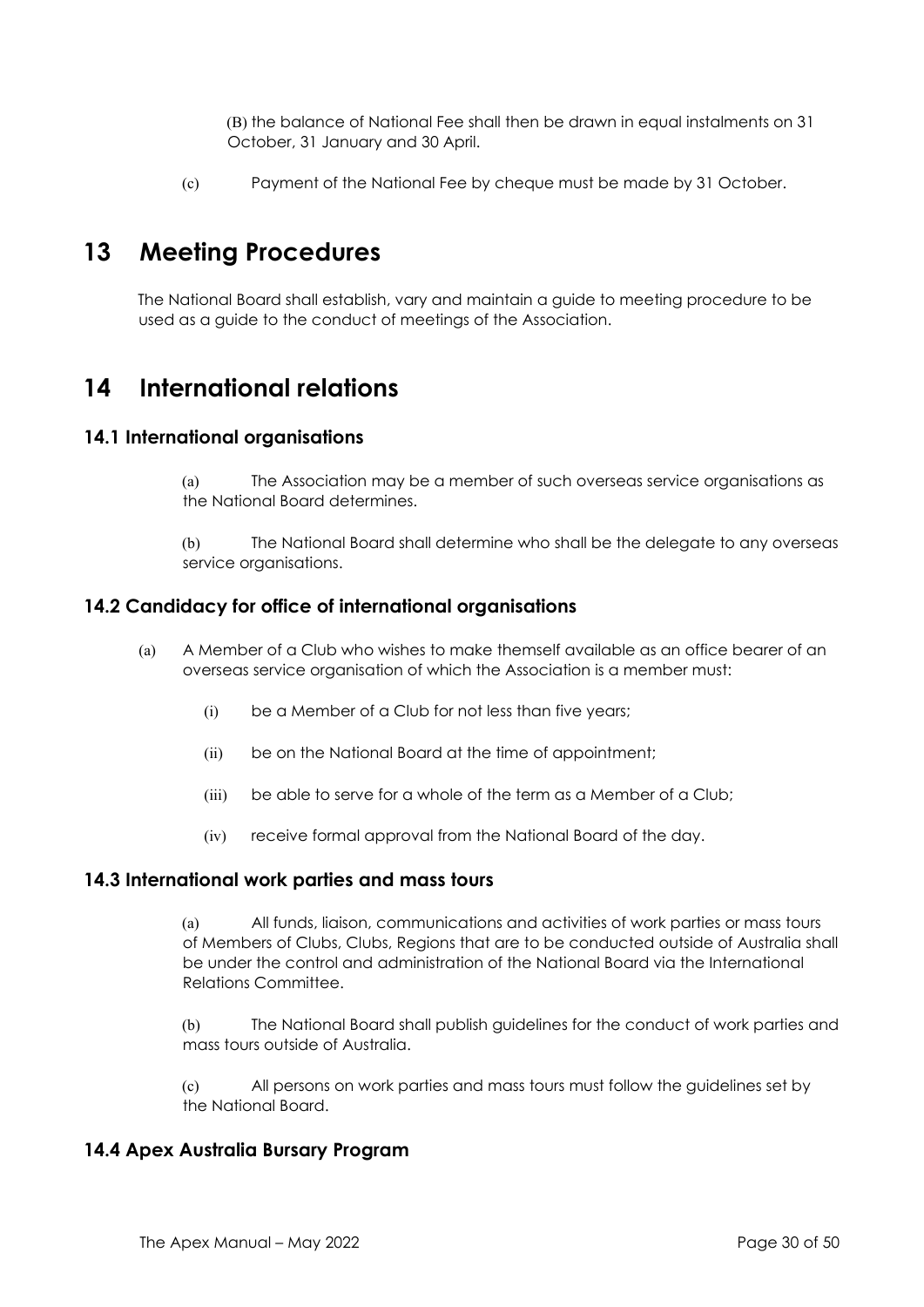(B) the balance of National Fee shall then be drawn in equal instalments on 31 October, 31 January and 30 April.

(c) Payment of the National Fee by cheque must be made by 31 October.

# **13 Meeting Procedures**

The National Board shall establish, vary and maintain a guide to meeting procedure to be used as a guide to the conduct of meetings of the Association.

# **14 International relations**

#### **14.1 International organisations**

(a) The Association may be a member of such overseas service organisations as the National Board determines.

(b) The National Board shall determine who shall be the delegate to any overseas service organisations.

#### **14.2 Candidacy for office of international organisations**

- (a) A Member of a Club who wishes to make themself available as an office bearer of an overseas service organisation of which the Association is a member must:
	- (i) be a Member of a Club for not less than five years;
	- (ii) be on the National Board at the time of appointment;
	- (iii) be able to serve for a whole of the term as a Member of a Club;
	- (iv) receive formal approval from the National Board of the day.

#### **14.3 International work parties and mass tours**

(a) All funds, liaison, communications and activities of work parties or mass tours of Members of Clubs, Clubs, Regions that are to be conducted outside of Australia shall be under the control and administration of the National Board via the International Relations Committee.

(b) The National Board shall publish guidelines for the conduct of work parties and mass tours outside of Australia.

(c) All persons on work parties and mass tours must follow the guidelines set by the National Board.

#### **14.4 Apex Australia Bursary Program**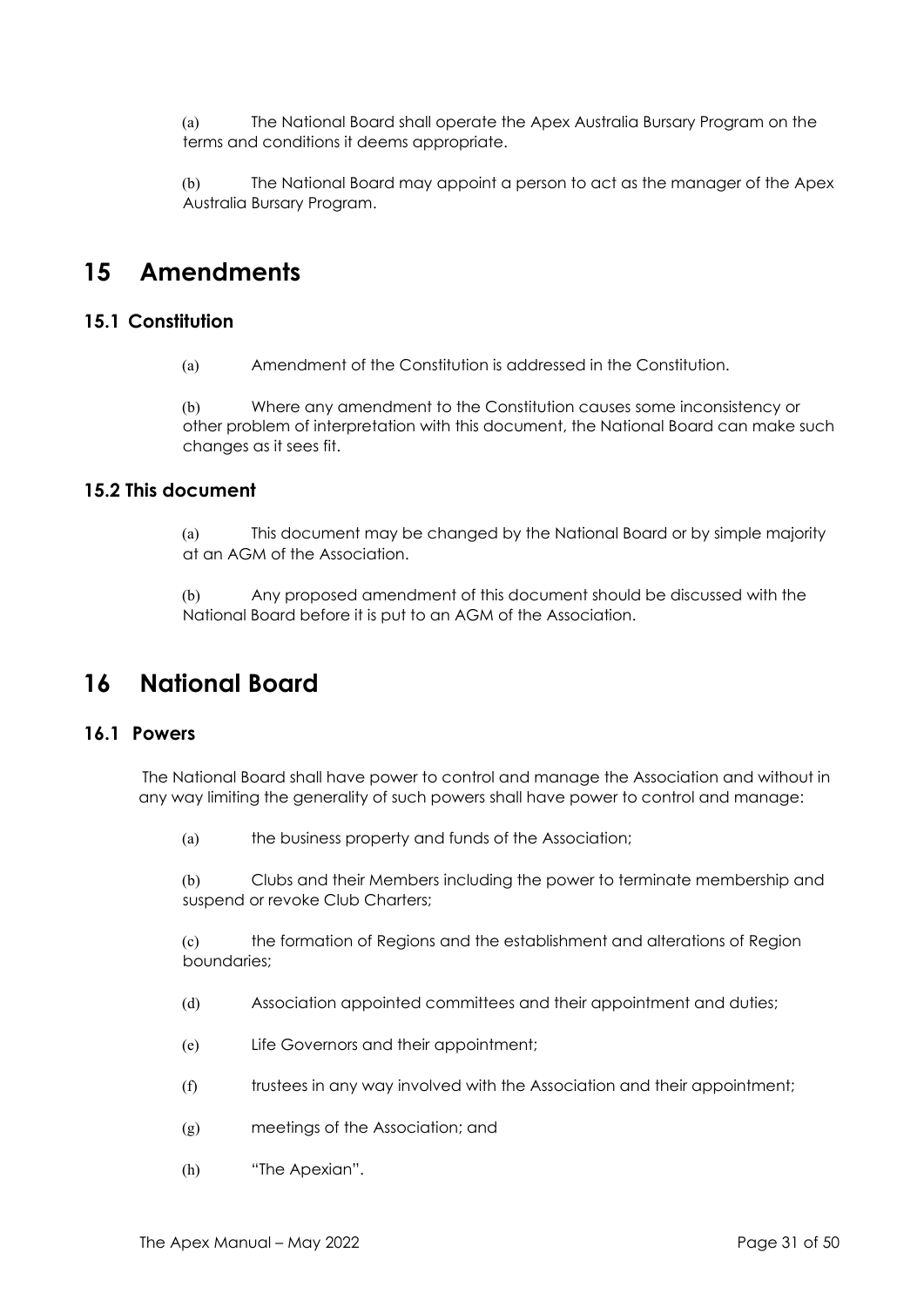(a) The National Board shall operate the Apex Australia Bursary Program on the terms and conditions it deems appropriate.

(b) The National Board may appoint a person to act as the manager of the Apex Australia Bursary Program.

# **15 Amendments**

# **15.1 Constitution**

(a) Amendment of the Constitution is addressed in the Constitution.

(b) Where any amendment to the Constitution causes some inconsistency or other problem of interpretation with this document, the National Board can make such changes as it sees fit.

#### **15.2 This document**

(a) This document may be changed by the National Board or by simple majority at an AGM of the Association.

(b) Any proposed amendment of this document should be discussed with the National Board before it is put to an AGM of the Association.

# **16 National Board**

#### **16.1 Powers**

The National Board shall have power to control and manage the Association and without in any way limiting the generality of such powers shall have power to control and manage:

(a) the business property and funds of the Association;

(b) Clubs and their Members including the power to terminate membership and suspend or revoke Club Charters;

(c) the formation of Regions and the establishment and alterations of Region boundaries;

(d) Association appointed committees and their appointment and duties;

- (e) Life Governors and their appointment;
- (f) trustees in any way involved with the Association and their appointment;
- (g) meetings of the Association; and
- (h) "The Apexian".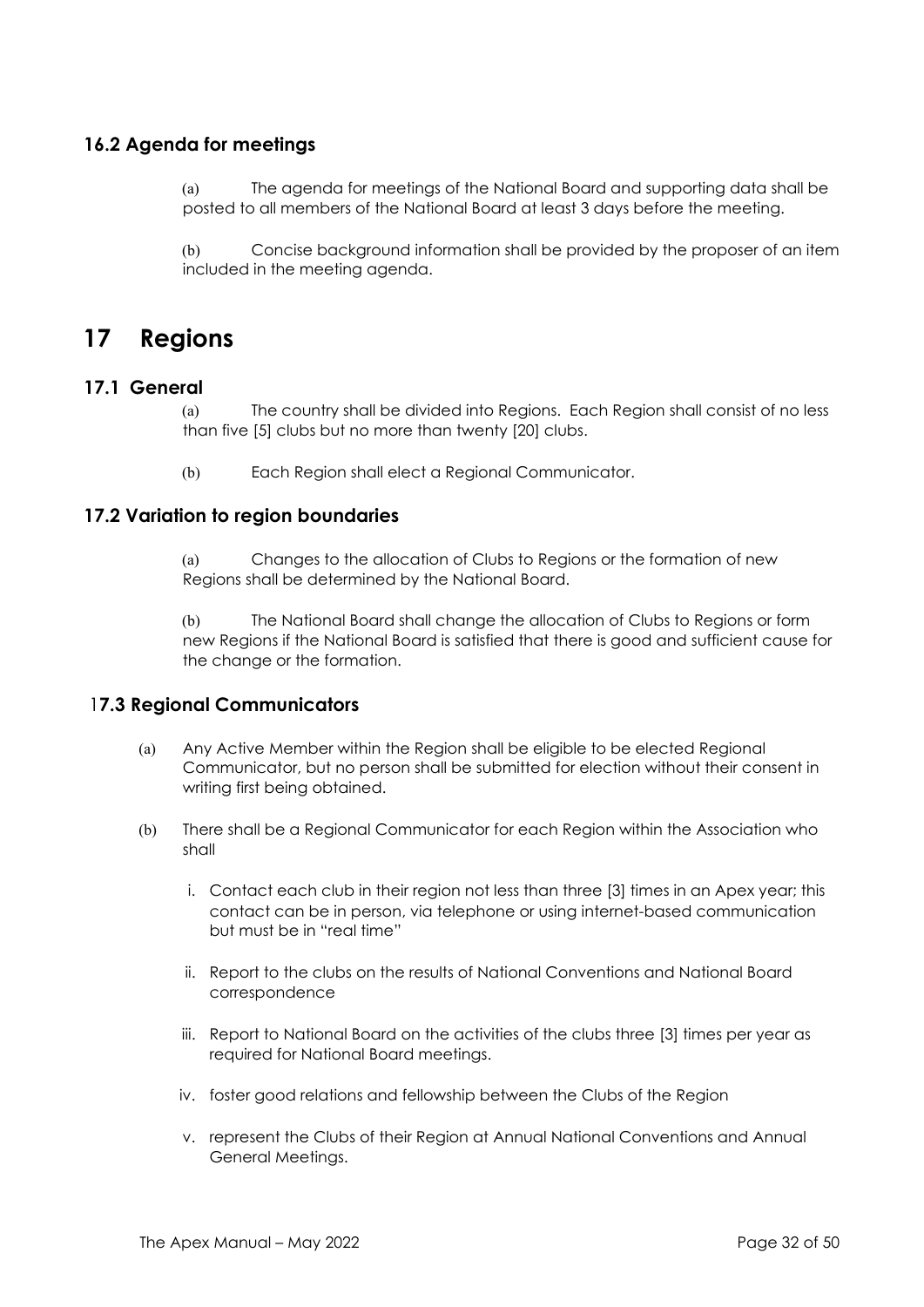# **16.2 Agenda for meetings**

(a) The agenda for meetings of the National Board and supporting data shall be posted to all members of the National Board at least 3 days before the meeting.

(b) Concise background information shall be provided by the proposer of an item included in the meeting agenda.

# **17 Regions**

#### **17.1 General**

(a) The country shall be divided into Regions. Each Region shall consist of no less than five [5] clubs but no more than twenty [20] clubs.

(b) Each Region shall elect a Regional Communicator.

#### **17.2 Variation to region boundaries**

(a) Changes to the allocation of Clubs to Regions or the formation of new Regions shall be determined by the National Board.

(b) The National Board shall change the allocation of Clubs to Regions or form new Regions if the National Board is satisfied that there is good and sufficient cause for the change or the formation.

## 1**7.3 Regional Communicators**

- (a) Any Active Member within the Region shall be eligible to be elected Regional Communicator, but no person shall be submitted for election without their consent in writing first being obtained.
- (b) There shall be a Regional Communicator for each Region within the Association who shall
	- i. Contact each club in their region not less than three [3] times in an Apex year; this contact can be in person, via telephone or using internet-based communication but must be in "real time"
	- ii. Report to the clubs on the results of National Conventions and National Board correspondence
	- iii. Report to National Board on the activities of the clubs three [3] times per year as required for National Board meetings.
	- iv. foster good relations and fellowship between the Clubs of the Region
	- v. represent the Clubs of their Region at Annual National Conventions and Annual General Meetings.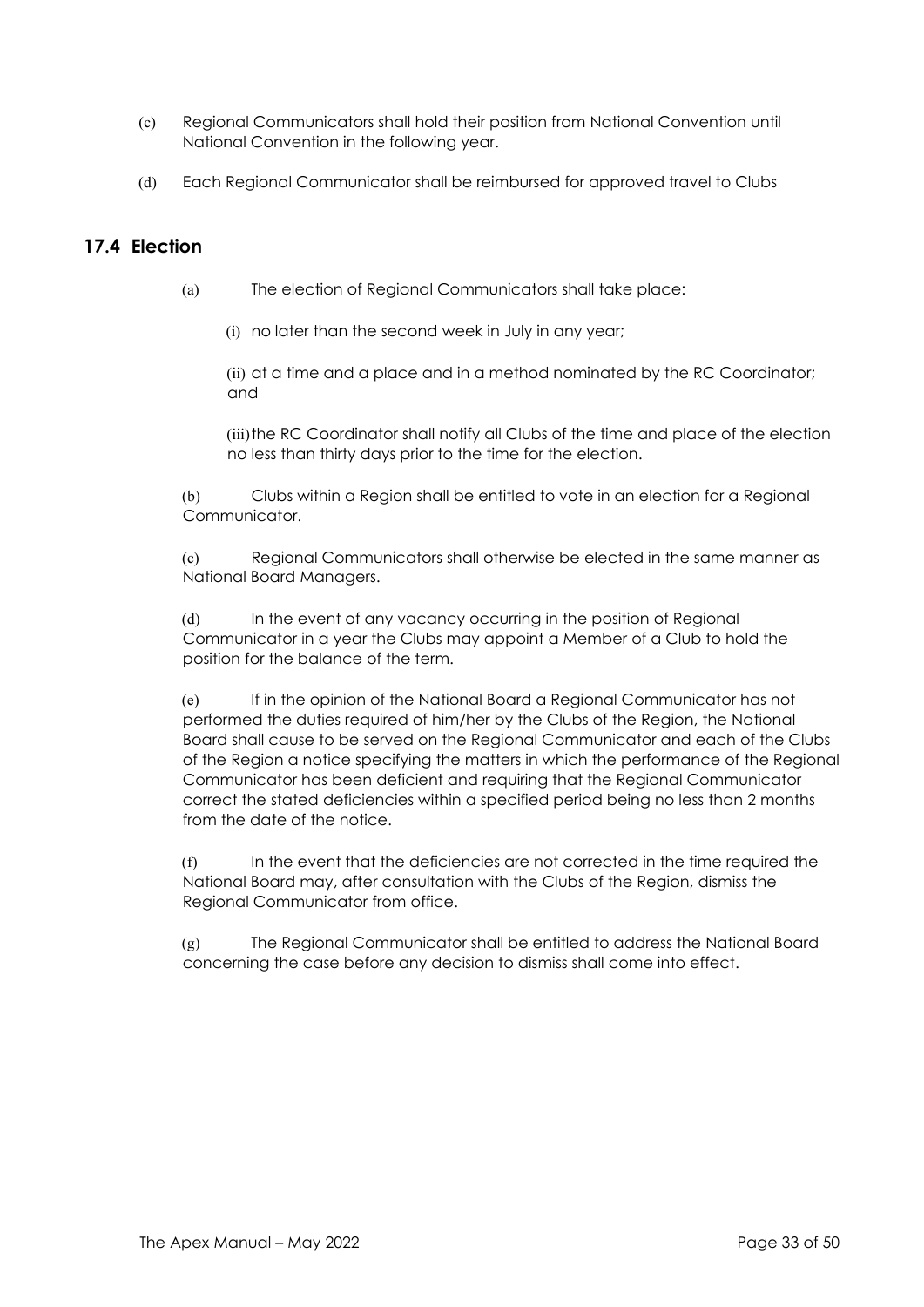- (c) Regional Communicators shall hold their position from National Convention until National Convention in the following year.
- (d) Each Regional Communicator shall be reimbursed for approved travel to Clubs

# **17.4 Election**

- (a) The election of Regional Communicators shall take place:
	- (i) no later than the second week in July in any year;

(ii) at a time and a place and in a method nominated by the RC Coordinator; and

(iii)the RC Coordinator shall notify all Clubs of the time and place of the election no less than thirty days prior to the time for the election.

(b) Clubs within a Region shall be entitled to vote in an election for a Regional Communicator.

(c) Regional Communicators shall otherwise be elected in the same manner as National Board Managers.

(d) In the event of any vacancy occurring in the position of Regional Communicator in a year the Clubs may appoint a Member of a Club to hold the position for the balance of the term.

(e) If in the opinion of the National Board a Regional Communicator has not performed the duties required of him/her by the Clubs of the Region, the National Board shall cause to be served on the Regional Communicator and each of the Clubs of the Region a notice specifying the matters in which the performance of the Regional Communicator has been deficient and requiring that the Regional Communicator correct the stated deficiencies within a specified period being no less than 2 months from the date of the notice.

(f) In the event that the deficiencies are not corrected in the time required the National Board may, after consultation with the Clubs of the Region, dismiss the Regional Communicator from office.

(g) The Regional Communicator shall be entitled to address the National Board concerning the case before any decision to dismiss shall come into effect.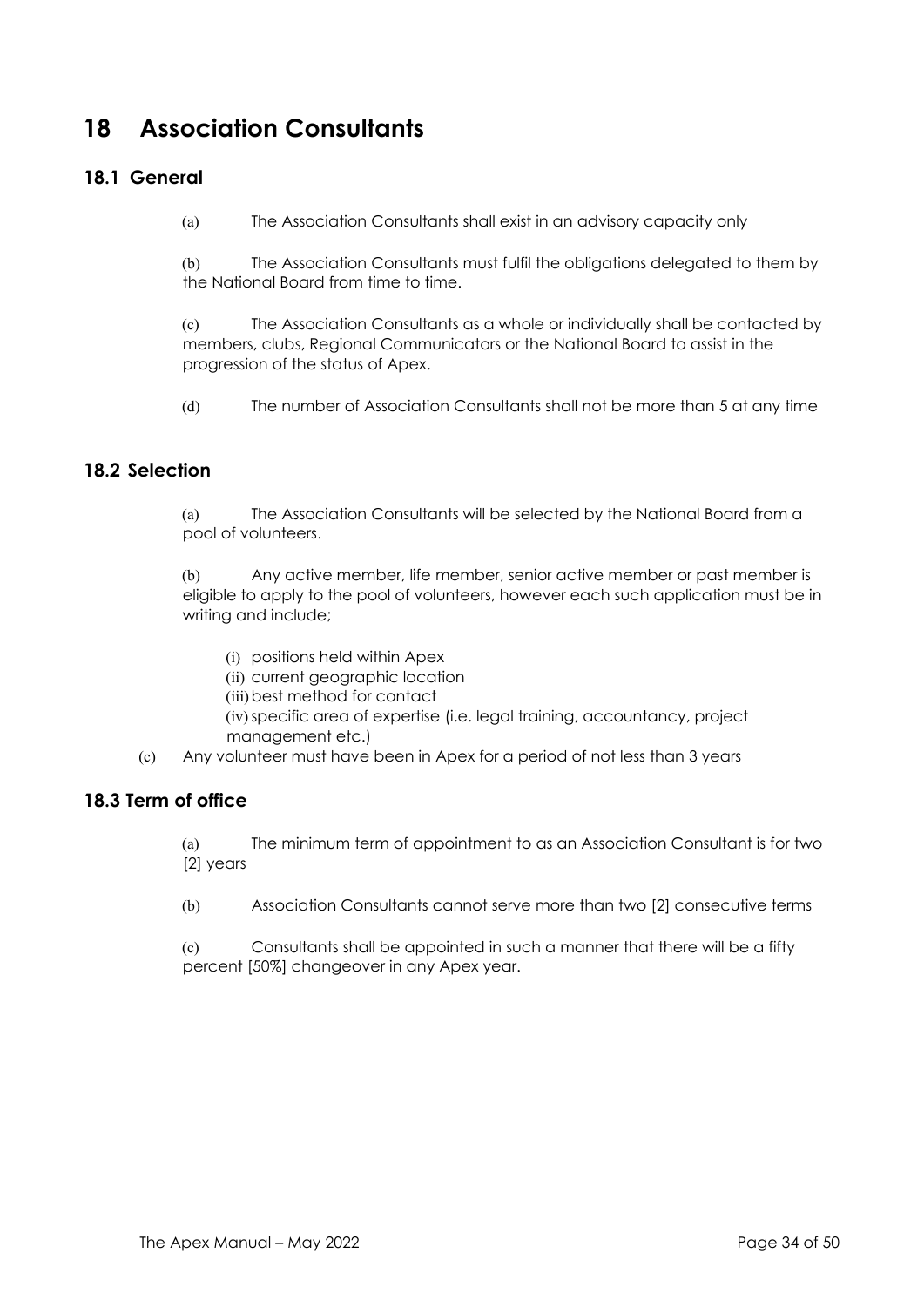# **18 Association Consultants**

# **18.1 General**

(a) The Association Consultants shall exist in an advisory capacity only

(b) The Association Consultants must fulfil the obligations delegated to them by the National Board from time to time.

(c) The Association Consultants as a whole or individually shall be contacted by members, clubs, Regional Communicators or the National Board to assist in the progression of the status of Apex.

(d) The number of Association Consultants shall not be more than 5 at any time

# **18.2 Selection**

(a) The Association Consultants will be selected by the National Board from a pool of volunteers.

(b) Any active member, life member, senior active member or past member is eligible to apply to the pool of volunteers, however each such application must be in writing and include;

- (i) positions held within Apex
- (ii) current geographic location
- (iii)best method for contact
- (iv)specific area of expertise (i.e. legal training, accountancy, project management etc.)
- (c) Any volunteer must have been in Apex for a period of not less than 3 years

## **18.3 Term of office**

(a) The minimum term of appointment to as an Association Consultant is for two [2] years

(b) Association Consultants cannot serve more than two [2] consecutive terms

(c) Consultants shall be appointed in such a manner that there will be a fifty percent [50%] changeover in any Apex year.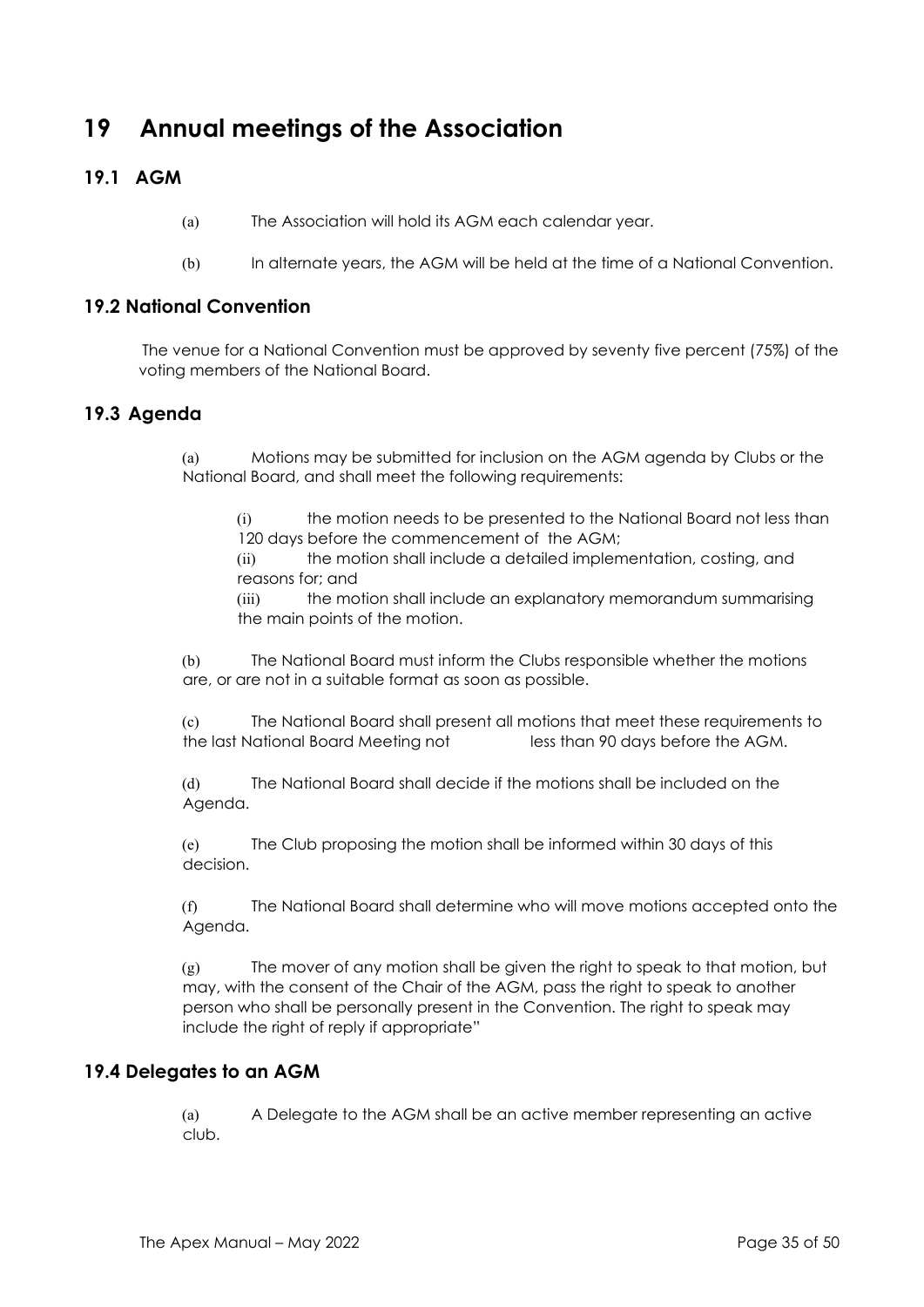# **19 Annual meetings of the Association**

# **19.1 AGM**

- (a) The Association will hold its AGM each calendar year.
- (b) In alternate years, the AGM will be held at the time of a National Convention.

#### **19.2 National Convention**

The venue for a National Convention must be approved by seventy five percent (75%) of the voting members of the National Board.

## **19.3 Agenda**

(a) Motions may be submitted for inclusion on the AGM agenda by Clubs or the National Board, and shall meet the following requirements:

(i) the motion needs to be presented to the National Board not less than 120 days before the commencement of the AGM;

(ii) the motion shall include a detailed implementation, costing, and reasons for; and

(iii) the motion shall include an explanatory memorandum summarising the main points of the motion.

(b) The National Board must inform the Clubs responsible whether the motions are, or are not in a suitable format as soon as possible.

(c) The National Board shall present all motions that meet these requirements to the last National Board Meeting not less than 90 days before the AGM.

(d) The National Board shall decide if the motions shall be included on the Agenda.

(e) The Club proposing the motion shall be informed within 30 days of this decision.

(f) The National Board shall determine who will move motions accepted onto the Agenda.

(g) The mover of any motion shall be given the right to speak to that motion, but may, with the consent of the Chair of the AGM, pass the right to speak to another person who shall be personally present in the Convention. The right to speak may include the right of reply if appropriate"

# **19.4 Delegates to an AGM**

(a) A Delegate to the AGM shall be an active member representing an active club.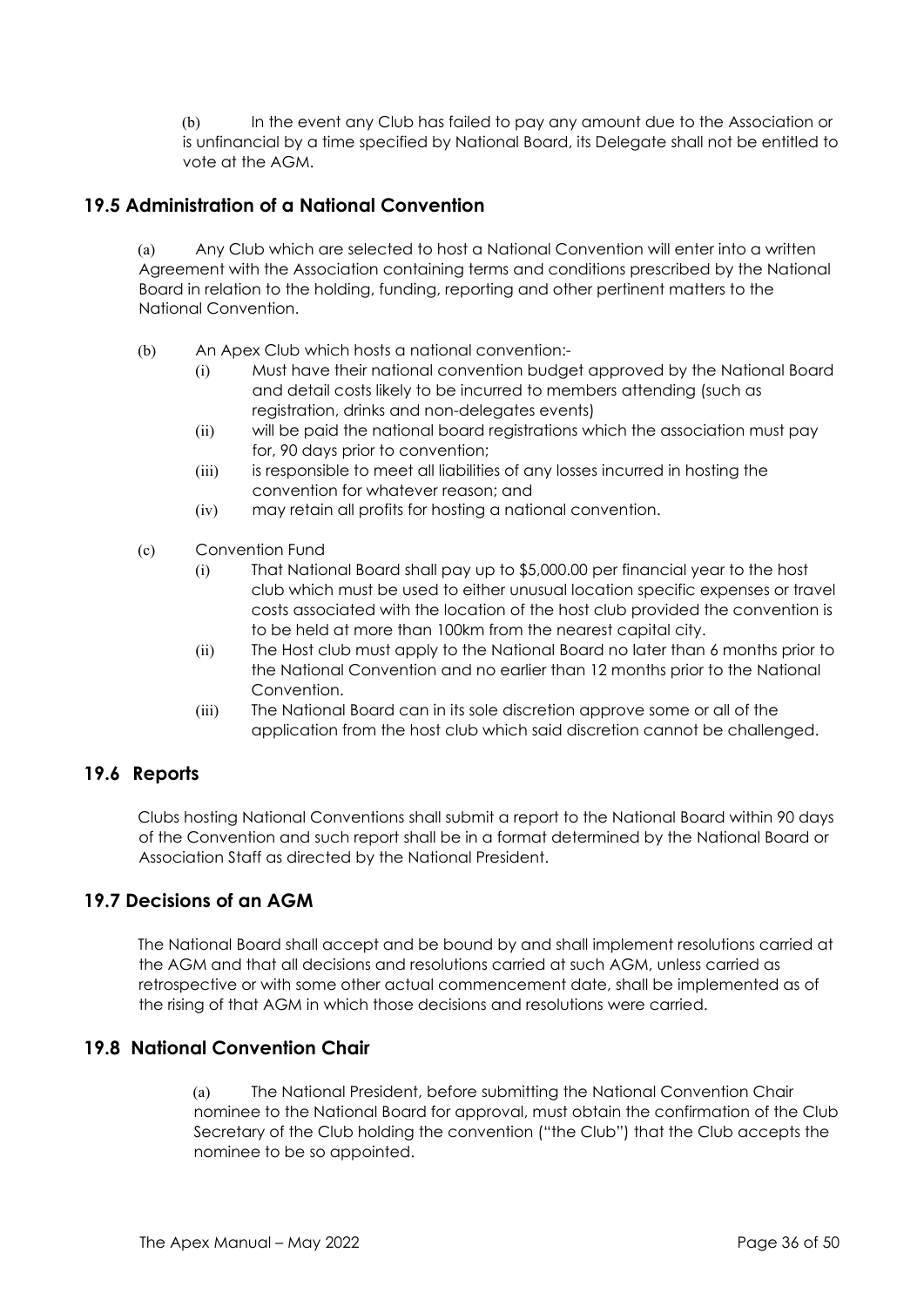(b) In the event any Club has failed to pay any amount due to the Association or is unfinancial by a time specified by National Board, its Delegate shall not be entitled to vote at the AGM.

# **19.5 Administration of a National Convention**

(a) Any Club which are selected to host a National Convention will enter into a written Agreement with the Association containing terms and conditions prescribed by the National Board in relation to the holding, funding, reporting and other pertinent matters to the National Convention.

- (b) An Apex Club which hosts a national convention:-
	- (i) Must have their national convention budget approved by the National Board and detail costs likely to be incurred to members attending (such as registration, drinks and non-delegates events)
	- (ii) will be paid the national board registrations which the association must pay for, 90 days prior to convention;
	- (iii) is responsible to meet all liabilities of any losses incurred in hosting the convention for whatever reason; and
	- (iv) may retain all profits for hosting a national convention.
- (c) Convention Fund
	- (i) That National Board shall pay up to \$5,000.00 per financial year to the host club which must be used to either unusual location specific expenses or travel costs associated with the location of the host club provided the convention is to be held at more than 100km from the nearest capital city.
	- (ii) The Host club must apply to the National Board no later than 6 months prior to the National Convention and no earlier than 12 months prior to the National Convention.
	- (iii) The National Board can in its sole discretion approve some or all of the application from the host club which said discretion cannot be challenged.

## **19.6 Reports**

Clubs hosting National Conventions shall submit a report to the National Board within 90 days of the Convention and such report shall be in a format determined by the National Board or Association Staff as directed by the National President.

## **19.7 Decisions of an AGM**

The National Board shall accept and be bound by and shall implement resolutions carried at the AGM and that all decisions and resolutions carried at such AGM, unless carried as retrospective or with some other actual commencement date, shall be implemented as of the rising of that AGM in which those decisions and resolutions were carried.

# **19.8 National Convention Chair**

(a) The National President, before submitting the National Convention Chair nominee to the National Board for approval, must obtain the confirmation of the Club Secretary of the Club holding the convention ("the Club") that the Club accepts the nominee to be so appointed.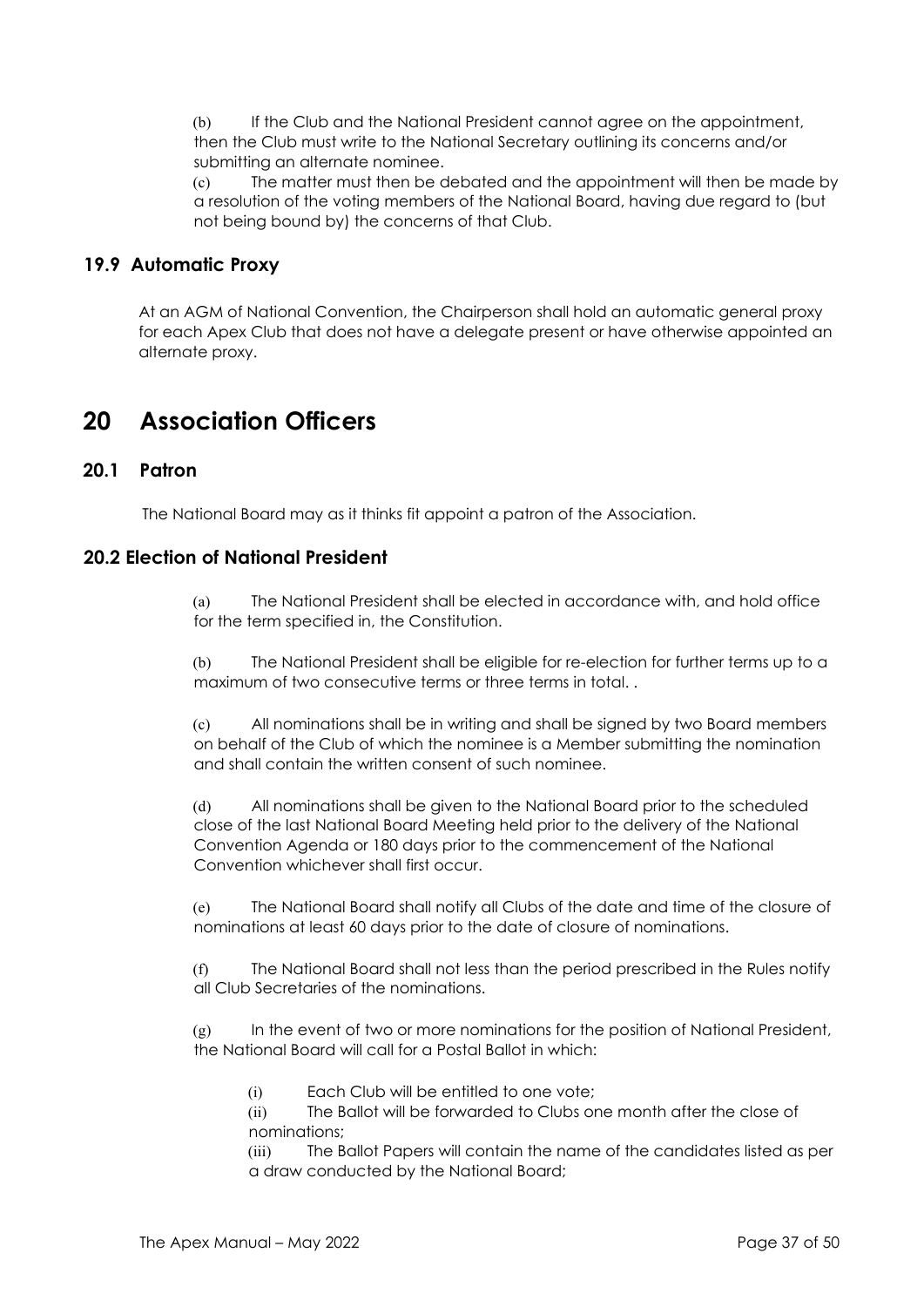(b) If the Club and the National President cannot agree on the appointment, then the Club must write to the National Secretary outlining its concerns and/or submitting an alternate nominee.

(c) The matter must then be debated and the appointment will then be made by a resolution of the voting members of the National Board, having due regard to (but not being bound by) the concerns of that Club.

# **19.9 Automatic Proxy**

At an AGM of National Convention, the Chairperson shall hold an automatic general proxy for each Apex Club that does not have a delegate present or have otherwise appointed an alternate proxy.

# **20 Association Officers**

# **20.1 Patron**

The National Board may as it thinks fit appoint a patron of the Association.

## **20.2 Election of National President**

(a) The National President shall be elected in accordance with, and hold office for the term specified in, the Constitution.

(b) The National President shall be eligible for re-election for further terms up to a maximum of two consecutive terms or three terms in total. .

(c) All nominations shall be in writing and shall be signed by two Board members on behalf of the Club of which the nominee is a Member submitting the nomination and shall contain the written consent of such nominee.

(d) All nominations shall be given to the National Board prior to the scheduled close of the last National Board Meeting held prior to the delivery of the National Convention Agenda or 180 days prior to the commencement of the National Convention whichever shall first occur.

(e) The National Board shall notify all Clubs of the date and time of the closure of nominations at least 60 days prior to the date of closure of nominations.

(f) The National Board shall not less than the period prescribed in the Rules notify all Club Secretaries of the nominations.

(g) In the event of two or more nominations for the position of National President, the National Board will call for a Postal Ballot in which:

(i) Each Club will be entitled to one vote;

(ii) The Ballot will be forwarded to Clubs one month after the close of nominations;

(iii) The Ballot Papers will contain the name of the candidates listed as per a draw conducted by the National Board;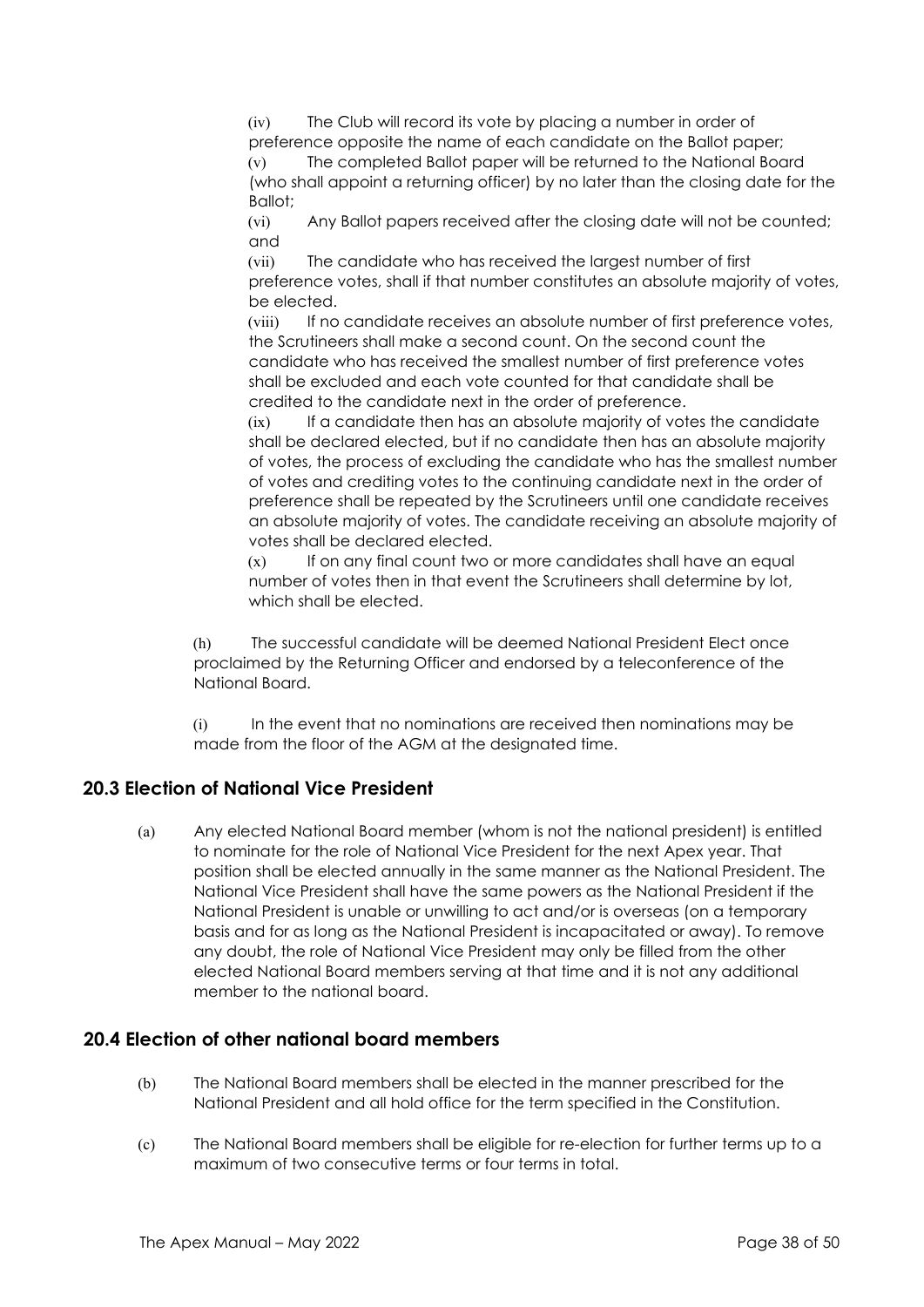(iv) The Club will record its vote by placing a number in order of preference opposite the name of each candidate on the Ballot paper; (v) The completed Ballot paper will be returned to the National Board

(who shall appoint a returning officer) by no later than the closing date for the Ballot;

(vi) Any Ballot papers received after the closing date will not be counted; and

(vii) The candidate who has received the largest number of first preference votes, shall if that number constitutes an absolute majority of votes, be elected.

(viii) If no candidate receives an absolute number of first preference votes, the Scrutineers shall make a second count. On the second count the candidate who has received the smallest number of first preference votes shall be excluded and each vote counted for that candidate shall be credited to the candidate next in the order of preference.

(ix) If a candidate then has an absolute majority of votes the candidate shall be declared elected, but if no candidate then has an absolute majority of votes, the process of excluding the candidate who has the smallest number of votes and crediting votes to the continuing candidate next in the order of preference shall be repeated by the Scrutineers until one candidate receives an absolute majority of votes. The candidate receiving an absolute majority of votes shall be declared elected.

(x) If on any final count two or more candidates shall have an equal number of votes then in that event the Scrutineers shall determine by lot, which shall be elected.

(h) The successful candidate will be deemed National President Elect once proclaimed by the Returning Officer and endorsed by a teleconference of the National Board.

(i) In the event that no nominations are received then nominations may be made from the floor of the AGM at the designated time.

# **20.3 Election of National Vice President**

(a) Any elected National Board member (whom is not the national president) is entitled to nominate for the role of National Vice President for the next Apex year. That position shall be elected annually in the same manner as the National President. The National Vice President shall have the same powers as the National President if the National President is unable or unwilling to act and/or is overseas (on a temporary basis and for as long as the National President is incapacitated or away). To remove any doubt, the role of National Vice President may only be filled from the other elected National Board members serving at that time and it is not any additional member to the national board.

# **20.4 Election of other national board members**

- (b) The National Board members shall be elected in the manner prescribed for the National President and all hold office for the term specified in the Constitution.
- (c) The National Board members shall be eligible for re-election for further terms up to a maximum of two consecutive terms or four terms in total.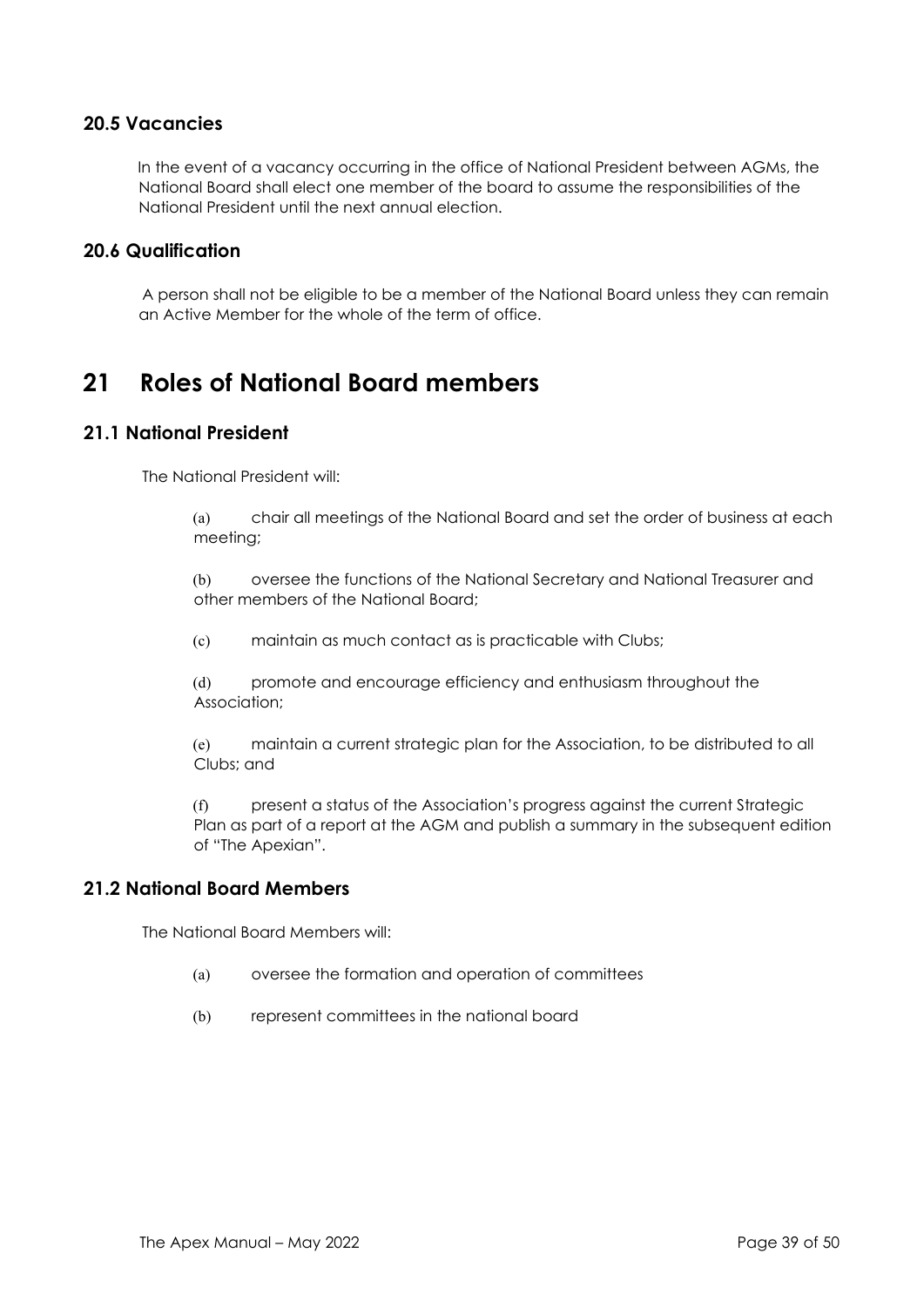## **20.5 Vacancies**

In the event of a vacancy occurring in the office of National President between AGMs, the National Board shall elect one member of the board to assume the responsibilities of the National President until the next annual election.

#### **20.6 Qualification**

A person shall not be eligible to be a member of the National Board unless they can remain an Active Member for the whole of the term of office.

# **21 Roles of National Board members**

#### **21.1 National President**

The National President will:

(a) chair all meetings of the National Board and set the order of business at each meeting;

(b) oversee the functions of the National Secretary and National Treasurer and other members of the National Board;

(c) maintain as much contact as is practicable with Clubs;

(d) promote and encourage efficiency and enthusiasm throughout the Association;

(e) maintain a current strategic plan for the Association, to be distributed to all Clubs; and

(f) present a status of the Association's progress against the current Strategic Plan as part of a report at the AGM and publish a summary in the subsequent edition of "The Apexian".

#### **21.2 National Board Members**

The National Board Members will:

- (a) oversee the formation and operation of committees
- (b) represent committees in the national board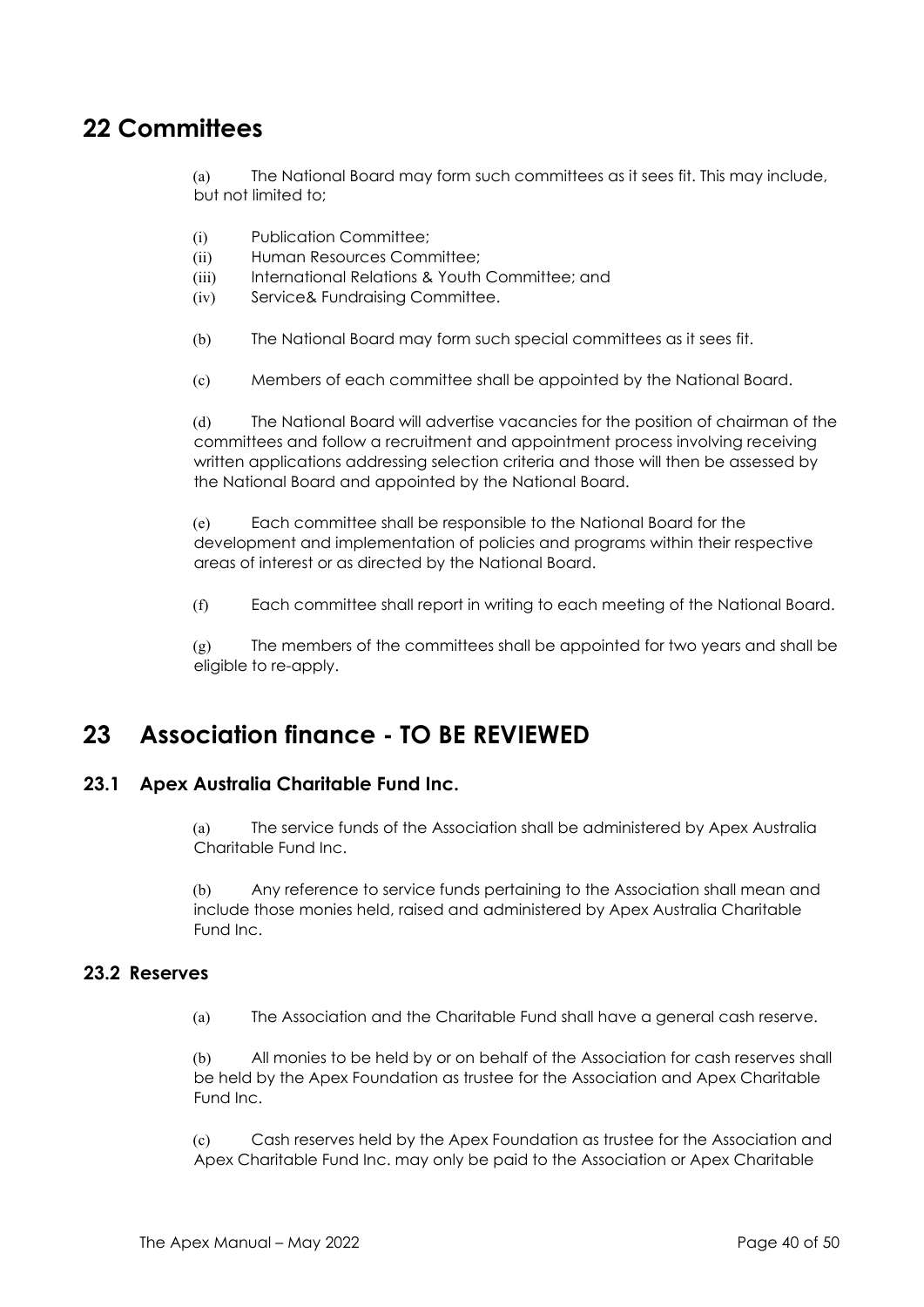# **22 Committees**

(a) The National Board may form such committees as it sees fit. This may include, but not limited to;

- (i) Publication Committee;
- (ii) Human Resources Committee;
- (iii) International Relations & Youth Committee; and
- (iv) Service& Fundraising Committee.
- (b) The National Board may form such special committees as it sees fit.
- (c) Members of each committee shall be appointed by the National Board.

(d) The National Board will advertise vacancies for the position of chairman of the committees and follow a recruitment and appointment process involving receiving written applications addressing selection criteria and those will then be assessed by the National Board and appointed by the National Board.

(e) Each committee shall be responsible to the National Board for the development and implementation of policies and programs within their respective areas of interest or as directed by the National Board.

(f) Each committee shall report in writing to each meeting of the National Board.

 $(g)$  The members of the committees shall be appointed for two years and shall be eligible to re-apply.

# **23 Association finance - TO BE REVIEWED**

## **23.1 Apex Australia Charitable Fund Inc.**

(a) The service funds of the Association shall be administered by Apex Australia Charitable Fund Inc.

(b) Any reference to service funds pertaining to the Association shall mean and include those monies held, raised and administered by Apex Australia Charitable Fund Inc.

#### **23.2 Reserves**

(a) The Association and the Charitable Fund shall have a general cash reserve.

All monies to be held by or on behalf of the Association for cash reserves shall be held by the Apex Foundation as trustee for the Association and Apex Charitable Fund Inc.

(c) Cash reserves held by the Apex Foundation as trustee for the Association and Apex Charitable Fund Inc. may only be paid to the Association or Apex Charitable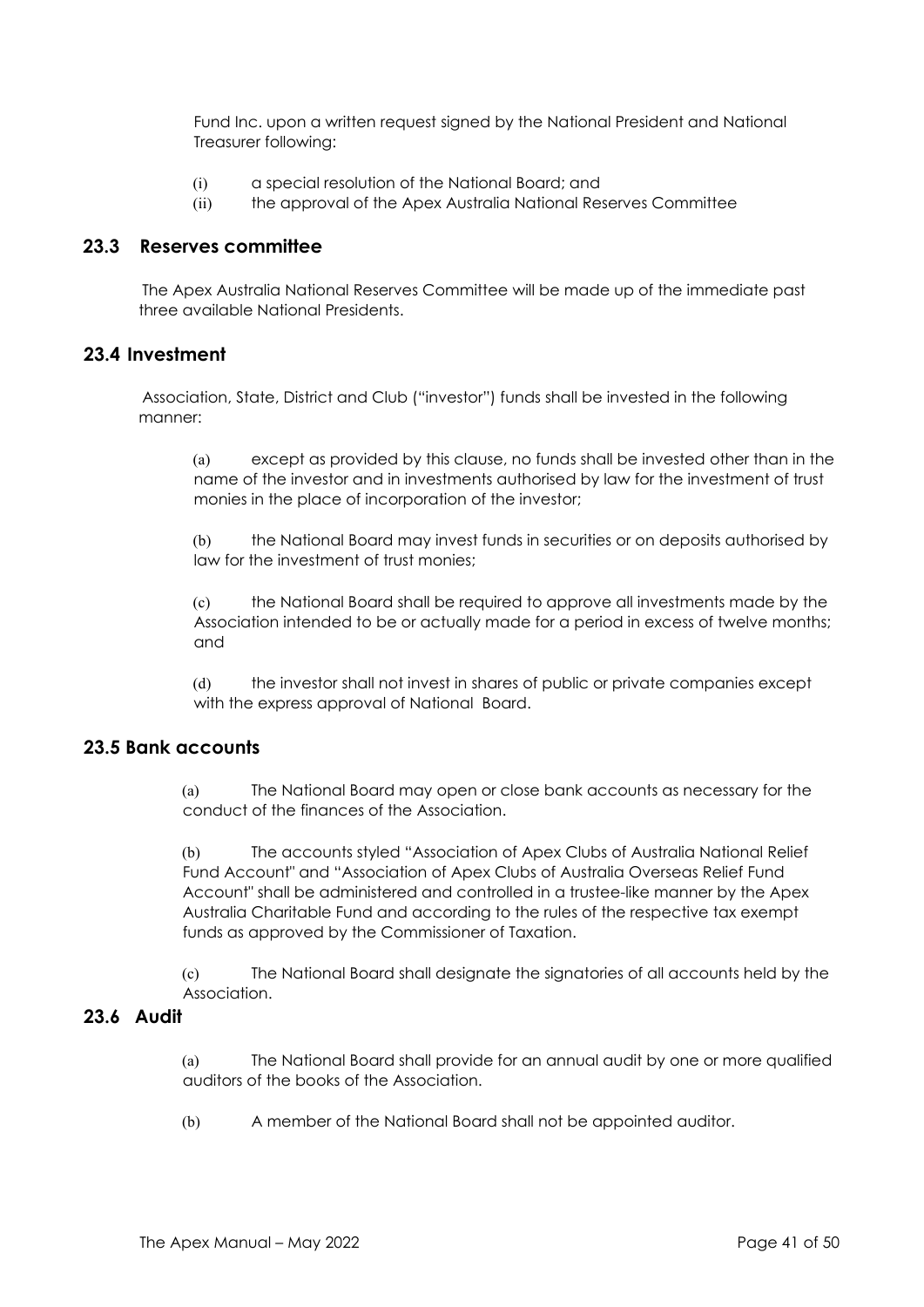Fund Inc. upon a written request signed by the National President and National Treasurer following:

- (i) a special resolution of the National Board; and
- (ii) the approval of the Apex Australia National Reserves Committee

#### **23.3 Reserves committee**

The Apex Australia National Reserves Committee will be made up of the immediate past three available National Presidents.

#### **23.4 Investment**

Association, State, District and Club ("investor") funds shall be invested in the following manner:

(a) except as provided by this clause, no funds shall be invested other than in the name of the investor and in investments authorised by law for the investment of trust monies in the place of incorporation of the investor;

(b) the National Board may invest funds in securities or on deposits authorised by law for the investment of trust monies;

(c) the National Board shall be required to approve all investments made by the Association intended to be or actually made for a period in excess of twelve months; and

(d) the investor shall not invest in shares of public or private companies except with the express approval of National Board.

#### **23.5 Bank accounts**

(a) The National Board may open or close bank accounts as necessary for the conduct of the finances of the Association.

(b) The accounts styled "Association of Apex Clubs of Australia National Relief Fund Account" and "Association of Apex Clubs of Australia Overseas Relief Fund Account" shall be administered and controlled in a trustee-like manner by the Apex Australia Charitable Fund and according to the rules of the respective tax exempt funds as approved by the Commissioner of Taxation.

(c) The National Board shall designate the signatories of all accounts held by the Association.

# **23.6 Audit**

(a) The National Board shall provide for an annual audit by one or more qualified auditors of the books of the Association.

(b) A member of the National Board shall not be appointed auditor.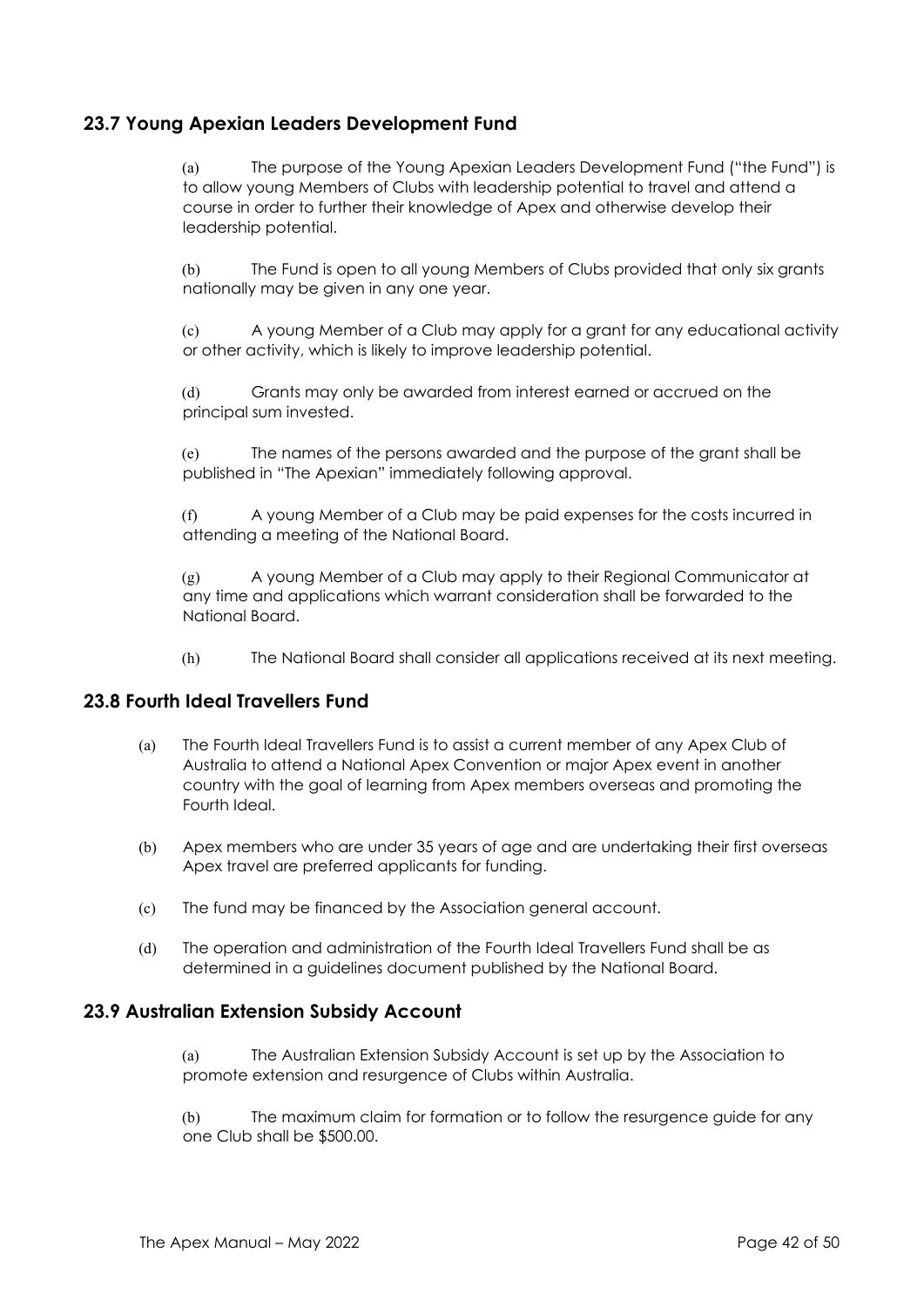# **23.7 Young Apexian Leaders Development Fund**

(a) The purpose of the Young Apexian Leaders Development Fund ("the Fund") is to allow young Members of Clubs with leadership potential to travel and attend a course in order to further their knowledge of Apex and otherwise develop their leadership potential.

(b) The Fund is open to all young Members of Clubs provided that only six grants nationally may be given in any one year.

(c) A young Member of a Club may apply for a grant for any educational activity or other activity, which is likely to improve leadership potential.

(d) Grants may only be awarded from interest earned or accrued on the principal sum invested.

(e) The names of the persons awarded and the purpose of the grant shall be published in "The Apexian" immediately following approval.

(f) A young Member of a Club may be paid expenses for the costs incurred in attending a meeting of the National Board.

(g) A young Member of a Club may apply to their Regional Communicator at any time and applications which warrant consideration shall be forwarded to the National Board.

(h) The National Board shall consider all applications received at its next meeting.

#### **23.8 Fourth Ideal Travellers Fund**

- (a) The Fourth Ideal Travellers Fund is to assist a current member of any Apex Club of Australia to attend a National Apex Convention or major Apex event in another country with the goal of learning from Apex members overseas and promoting the Fourth Ideal.
- (b) Apex members who are under 35 years of age and are undertaking their first overseas Apex travel are preferred applicants for funding.
- (c) The fund may be financed by the Association general account.
- (d) The operation and administration of the Fourth Ideal Travellers Fund shall be as determined in a guidelines document published by the National Board.

#### **23.9 Australian Extension Subsidy Account**

(a) The Australian Extension Subsidy Account is set up by the Association to promote extension and resurgence of Clubs within Australia.

(b) The maximum claim for formation or to follow the resurgence guide for any one Club shall be \$500.00.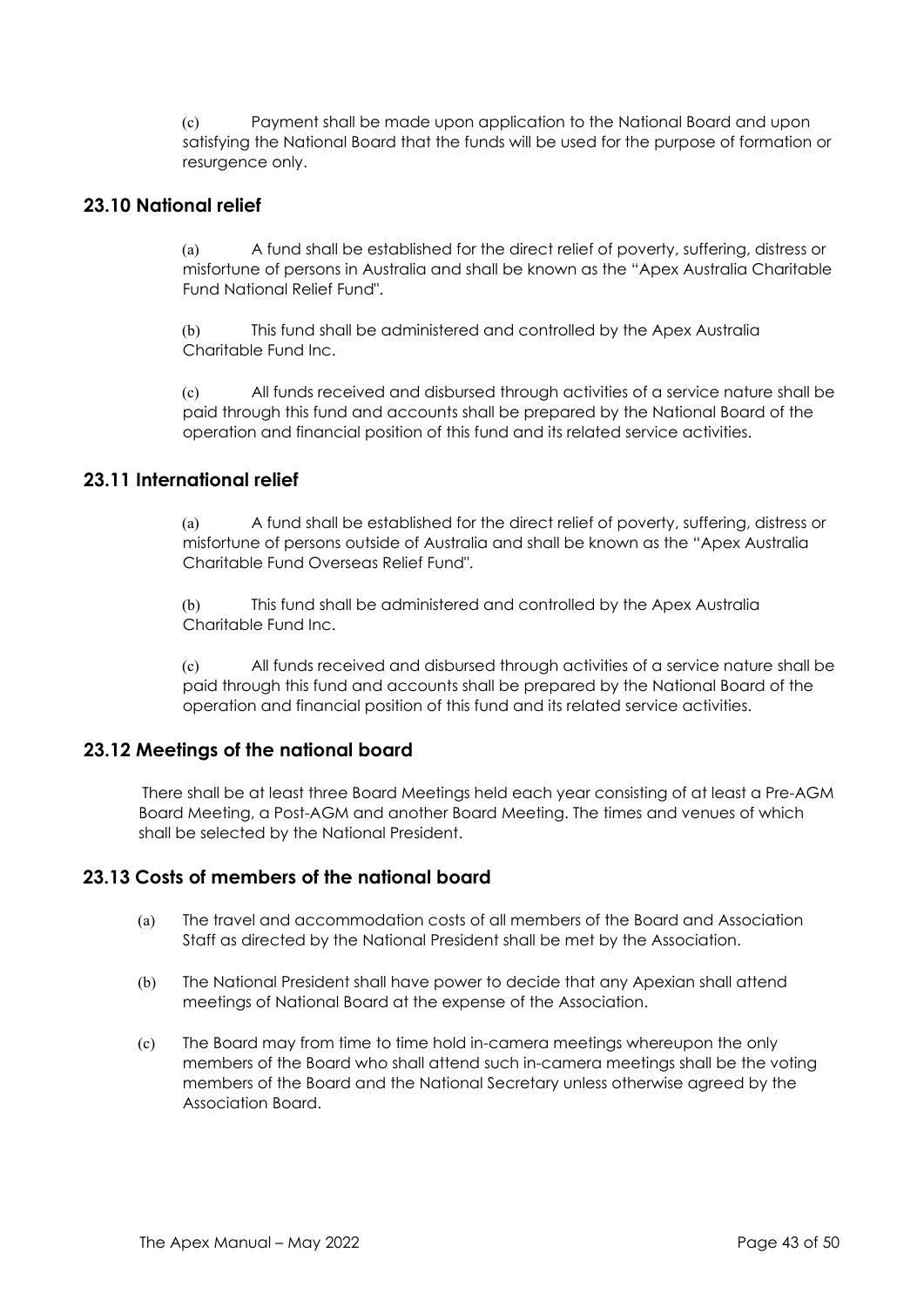(c) Payment shall be made upon application to the National Board and upon satisfying the National Board that the funds will be used for the purpose of formation or resurgence only.

#### **23.10 National relief**

(a) A fund shall be established for the direct relief of poverty, suffering, distress or misfortune of persons in Australia and shall be known as the "Apex Australia Charitable Fund National Relief Fund".

(b) This fund shall be administered and controlled by the Apex Australia Charitable Fund Inc.

(c) All funds received and disbursed through activities of a service nature shall be paid through this fund and accounts shall be prepared by the National Board of the operation and financial position of this fund and its related service activities.

#### **23.11 International relief**

(a) A fund shall be established for the direct relief of poverty, suffering, distress or misfortune of persons outside of Australia and shall be known as the "Apex Australia Charitable Fund Overseas Relief Fund".

(b) This fund shall be administered and controlled by the Apex Australia Charitable Fund Inc.

(c) All funds received and disbursed through activities of a service nature shall be paid through this fund and accounts shall be prepared by the National Board of the operation and financial position of this fund and its related service activities.

## **23.12 Meetings of the national board**

There shall be at least three Board Meetings held each year consisting of at least a Pre-AGM Board Meeting, a Post-AGM and another Board Meeting. The times and venues of which shall be selected by the National President.

#### **23.13 Costs of members of the national board**

- (a) The travel and accommodation costs of all members of the Board and Association Staff as directed by the National President shall be met by the Association.
- (b) The National President shall have power to decide that any Apexian shall attend meetings of National Board at the expense of the Association.
- (c) The Board may from time to time hold in-camera meetings whereupon the only members of the Board who shall attend such in-camera meetings shall be the voting members of the Board and the National Secretary unless otherwise agreed by the Association Board.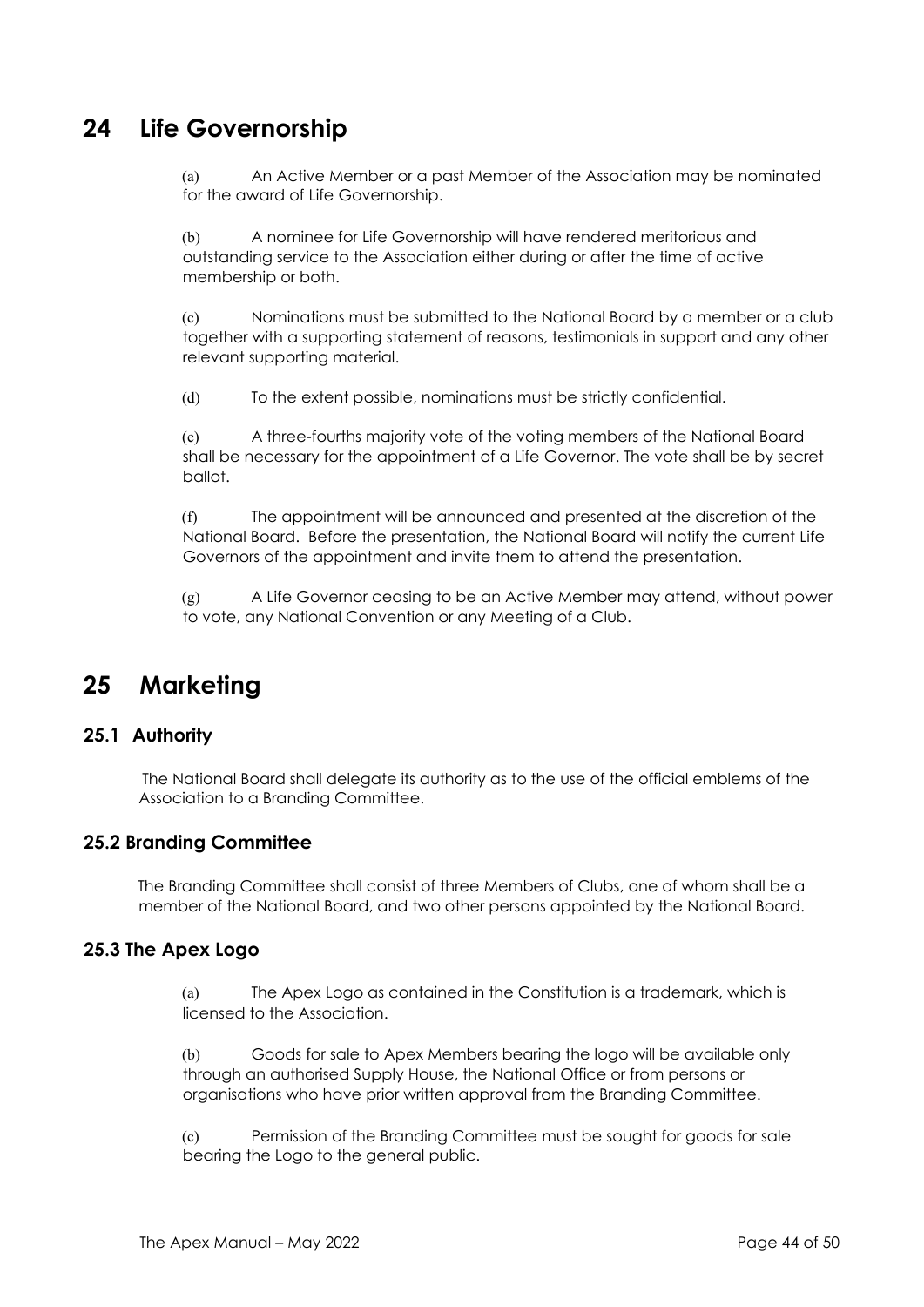# **24 Life Governorship**

(a) An Active Member or a past Member of the Association may be nominated for the award of Life Governorship.

(b) A nominee for Life Governorship will have rendered meritorious and outstanding service to the Association either during or after the time of active membership or both.

(c) Nominations must be submitted to the National Board by a member or a club together with a supporting statement of reasons, testimonials in support and any other relevant supporting material.

(d) To the extent possible, nominations must be strictly confidential.

(e) A three-fourths majority vote of the voting members of the National Board shall be necessary for the appointment of a Life Governor. The vote shall be by secret ballot.

(f) The appointment will be announced and presented at the discretion of the National Board. Before the presentation, the National Board will notify the current Life Governors of the appointment and invite them to attend the presentation.

(g) A Life Governor ceasing to be an Active Member may attend, without power to vote, any National Convention or any Meeting of a Club.

# **25 Marketing**

## **25.1 Authority**

The National Board shall delegate its authority as to the use of the official emblems of the Association to a Branding Committee.

## **25.2 Branding Committee**

The Branding Committee shall consist of three Members of Clubs, one of whom shall be a member of the National Board, and two other persons appointed by the National Board.

#### **25.3 The Apex Logo**

(a) The Apex Logo as contained in the Constitution is a trademark, which is licensed to the Association.

(b) Goods for sale to Apex Members bearing the logo will be available only through an authorised Supply House, the National Office or from persons or organisations who have prior written approval from the Branding Committee.

(c) Permission of the Branding Committee must be sought for goods for sale bearing the Logo to the general public.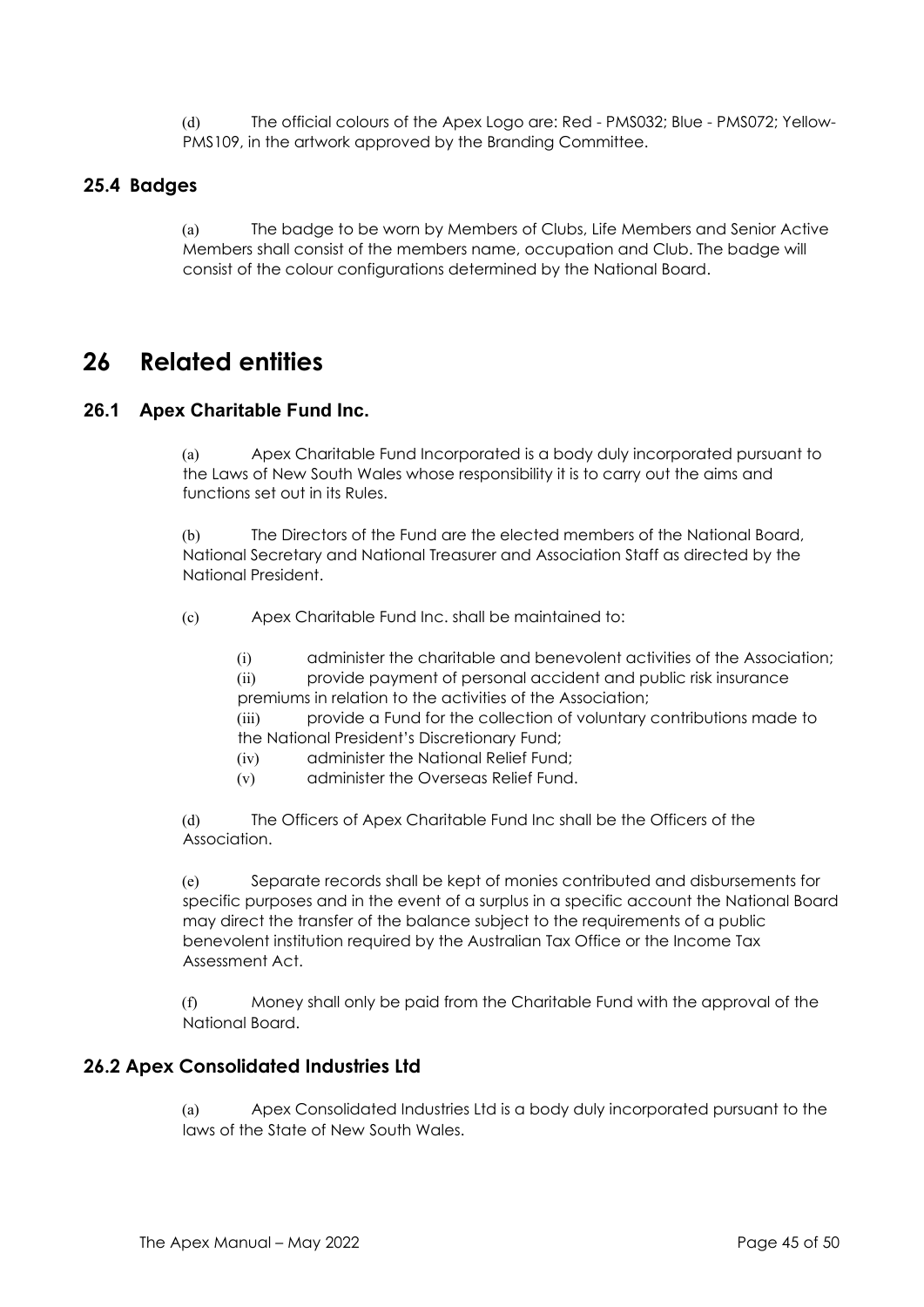(d) The official colours of the Apex Logo are: Red - PMS032; Blue - PMS072; Yellow-PMS109, in the artwork approved by the Branding Committee.

## **25.4 Badges**

(a) The badge to be worn by Members of Clubs, Life Members and Senior Active Members shall consist of the members name, occupation and Club. The badge will consist of the colour configurations determined by the National Board.

# **26 Related entities**

## **26.1 Apex Charitable Fund Inc.**

(a) Apex Charitable Fund Incorporated is a body duly incorporated pursuant to the Laws of New South Wales whose responsibility it is to carry out the aims and functions set out in its Rules.

(b) The Directors of the Fund are the elected members of the National Board, National Secretary and National Treasurer and Association Staff as directed by the National President.

(c) Apex Charitable Fund Inc. shall be maintained to:

(i) administer the charitable and benevolent activities of the Association; (ii) provide payment of personal accident and public risk insurance premiums in relation to the activities of the Association;

(iii) provide a Fund for the collection of voluntary contributions made to the National President's Discretionary Fund;

- (iv) administer the National Relief Fund;
- (v) administer the Overseas Relief Fund.

(d) The Officers of Apex Charitable Fund Inc shall be the Officers of the Association.

(e) Separate records shall be kept of monies contributed and disbursements for specific purposes and in the event of a surplus in a specific account the National Board may direct the transfer of the balance subject to the requirements of a public benevolent institution required by the Australian Tax Office or the Income Tax Assessment Act.

(f) Money shall only be paid from the Charitable Fund with the approval of the National Board.

## **26.2 Apex Consolidated Industries Ltd**

(a) Apex Consolidated Industries Ltd is a body duly incorporated pursuant to the laws of the State of New South Wales.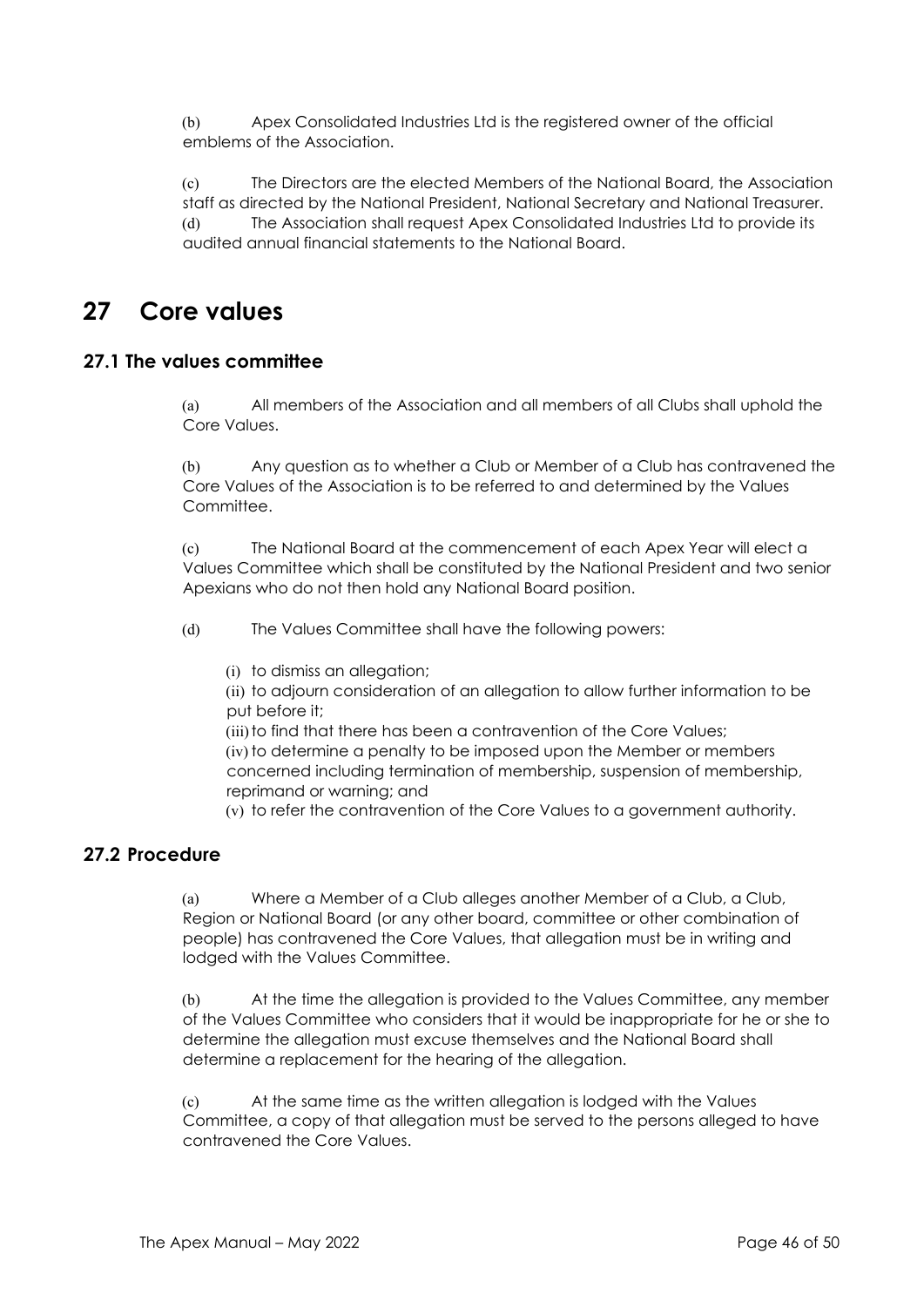(b) Apex Consolidated Industries Ltd is the registered owner of the official emblems of the Association.

(c) The Directors are the elected Members of the National Board, the Association staff as directed by the National President, National Secretary and National Treasurer. (d) The Association shall request Apex Consolidated Industries Ltd to provide its audited annual financial statements to the National Board.

# **27 Core values**

## **27.1 The values committee**

(a) All members of the Association and all members of all Clubs shall uphold the Core Values.

(b) Any question as to whether a Club or Member of a Club has contravened the Core Values of the Association is to be referred to and determined by the Values Committee.

(c) The National Board at the commencement of each Apex Year will elect a Values Committee which shall be constituted by the National President and two senior Apexians who do not then hold any National Board position.

(d) The Values Committee shall have the following powers:

(i) to dismiss an allegation;

(ii) to adjourn consideration of an allegation to allow further information to be put before it;

(iii) to find that there has been a contravention of the Core Values; (iv) to determine a penalty to be imposed upon the Member or members concerned including termination of membership, suspension of membership, reprimand or warning; and

(v) to refer the contravention of the Core Values to a government authority.

# **27.2 Procedure**

(a) Where a Member of a Club alleges another Member of a Club, a Club, Region or National Board (or any other board, committee or other combination of people) has contravened the Core Values, that allegation must be in writing and lodged with the Values Committee.

(b) At the time the allegation is provided to the Values Committee, any member of the Values Committee who considers that it would be inappropriate for he or she to determine the allegation must excuse themselves and the National Board shall determine a replacement for the hearing of the allegation.

(c) At the same time as the written allegation is lodged with the Values Committee, a copy of that allegation must be served to the persons alleged to have contravened the Core Values.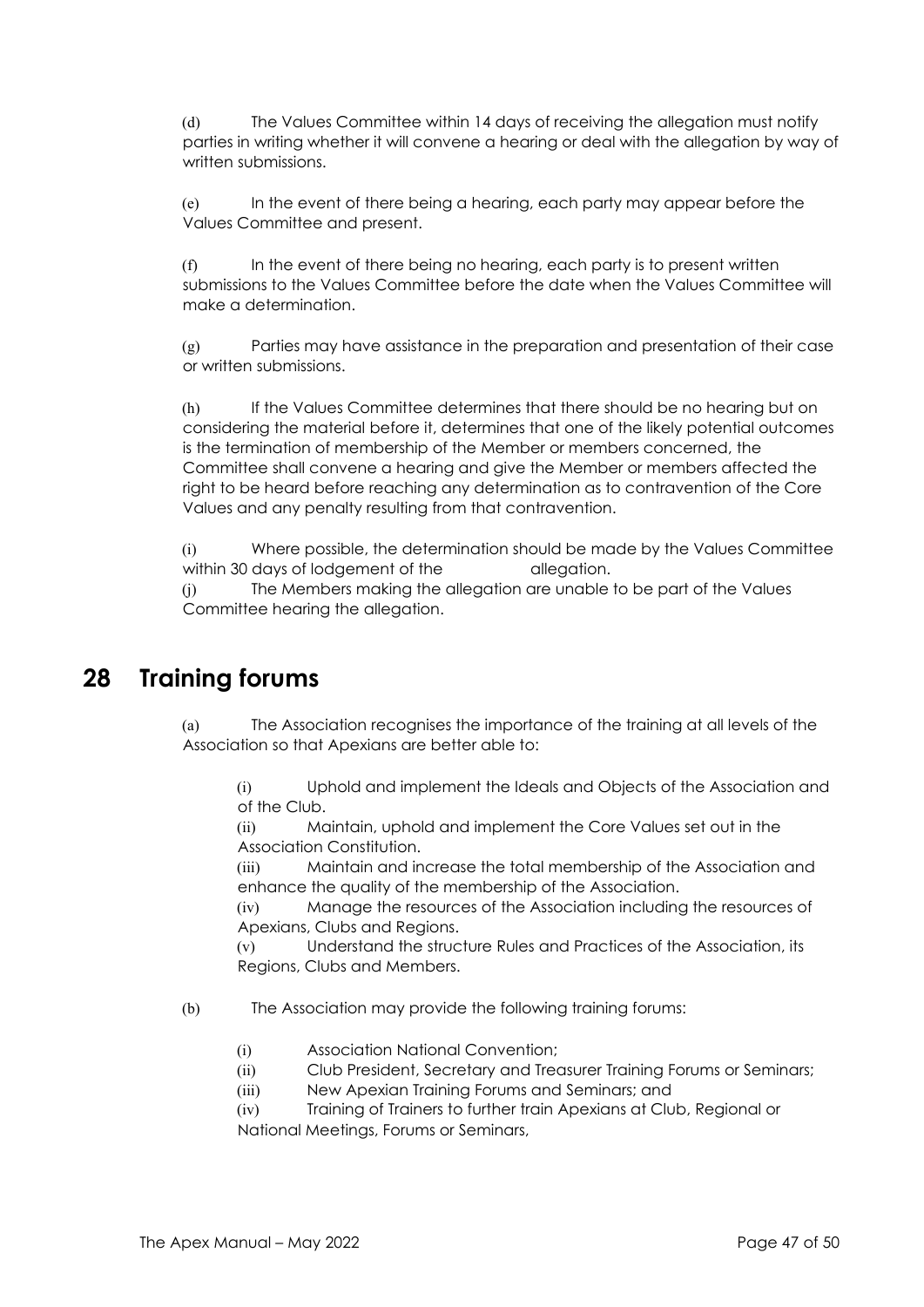(d) The Values Committee within 14 days of receiving the allegation must notify parties in writing whether it will convene a hearing or deal with the allegation by way of written submissions.

(e) In the event of there being a hearing, each party may appear before the Values Committee and present.

(f) In the event of there being no hearing, each party is to present written submissions to the Values Committee before the date when the Values Committee will make a determination.

(g) Parties may have assistance in the preparation and presentation of their case or written submissions.

(h) If the Values Committee determines that there should be no hearing but on considering the material before it, determines that one of the likely potential outcomes is the termination of membership of the Member or members concerned, the Committee shall convene a hearing and give the Member or members affected the right to be heard before reaching any determination as to contravention of the Core Values and any penalty resulting from that contravention.

(i) Where possible, the determination should be made by the Values Committee within 30 days of lodgement of the allegation.

(j) The Members making the allegation are unable to be part of the Values Committee hearing the allegation.

# **28 Training forums**

(a) The Association recognises the importance of the training at all levels of the Association so that Apexians are better able to:

(i) Uphold and implement the Ideals and Objects of the Association and of the Club.

(ii) Maintain, uphold and implement the Core Values set out in the Association Constitution.

(iii) Maintain and increase the total membership of the Association and enhance the quality of the membership of the Association.

(iv) Manage the resources of the Association including the resources of Apexians, Clubs and Regions.

(v) Understand the structure Rules and Practices of the Association, its Regions, Clubs and Members.

(b) The Association may provide the following training forums:

- (i) Association National Convention;
- (ii) Club President, Secretary and Treasurer Training Forums or Seminars;
- (iii) New Apexian Training Forums and Seminars; and

(iv) Training of Trainers to further train Apexians at Club, Regional or National Meetings, Forums or Seminars,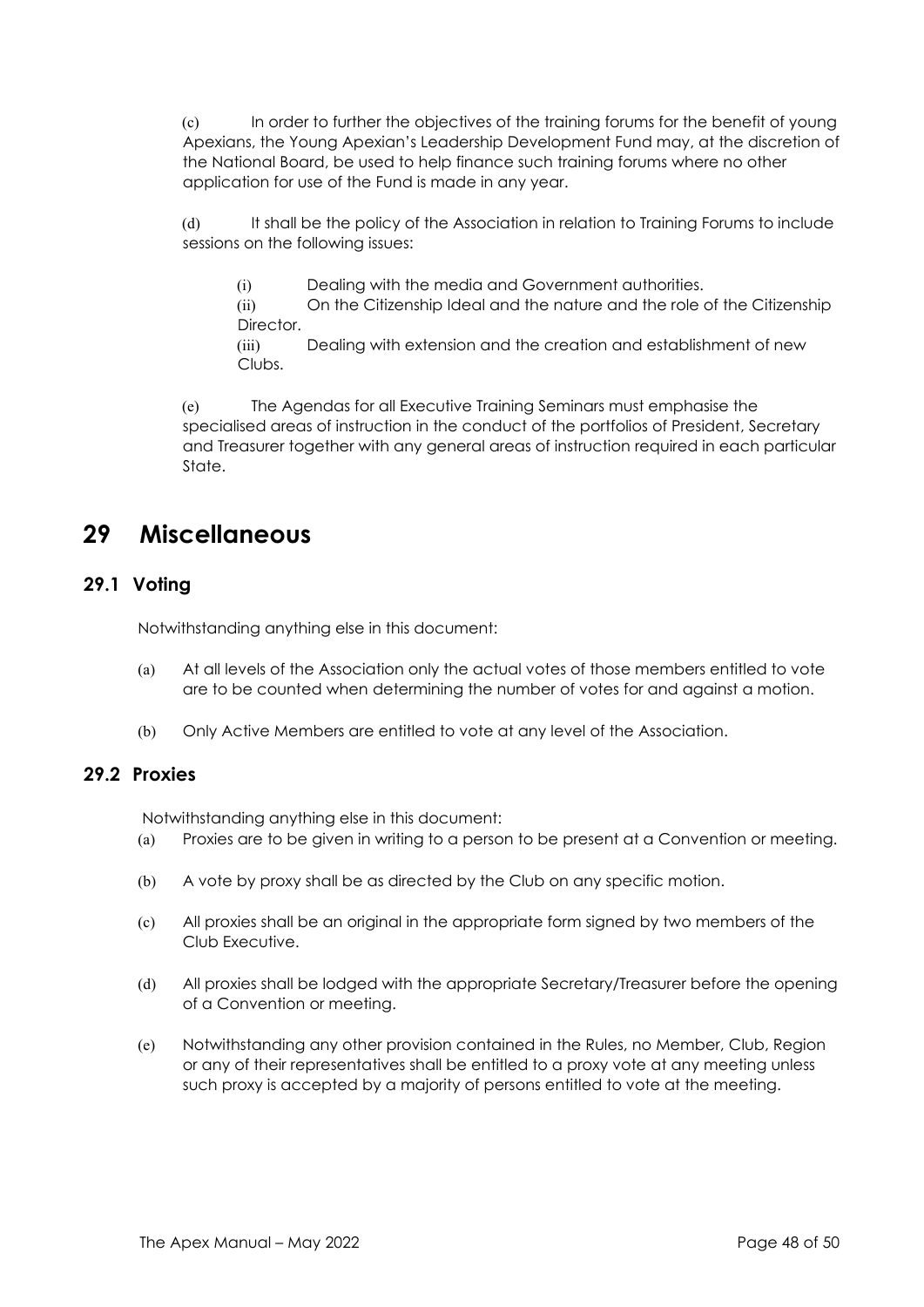(c) In order to further the objectives of the training forums for the benefit of young Apexians, the Young Apexian's Leadership Development Fund may, at the discretion of the National Board, be used to help finance such training forums where no other application for use of the Fund is made in any year.

(d) It shall be the policy of the Association in relation to Training Forums to include sessions on the following issues:

(i) Dealing with the media and Government authorities.

(ii) On the Citizenship Ideal and the nature and the role of the Citizenship Director.

(iii) Dealing with extension and the creation and establishment of new Clubs.

(e) The Agendas for all Executive Training Seminars must emphasise the specialised areas of instruction in the conduct of the portfolios of President, Secretary and Treasurer together with any general areas of instruction required in each particular State.

# **29 Miscellaneous**

# **29.1 Voting**

Notwithstanding anything else in this document:

- (a) At all levels of the Association only the actual votes of those members entitled to vote are to be counted when determining the number of votes for and against a motion.
- (b) Only Active Members are entitled to vote at any level of the Association.

# **29.2 Proxies**

Notwithstanding anything else in this document:

- (a) Proxies are to be given in writing to a person to be present at a Convention or meeting.
- (b) A vote by proxy shall be as directed by the Club on any specific motion.
- (c) All proxies shall be an original in the appropriate form signed by two members of the Club Executive.
- (d) All proxies shall be lodged with the appropriate Secretary/Treasurer before the opening of a Convention or meeting.
- (e) Notwithstanding any other provision contained in the Rules, no Member, Club, Region or any of their representatives shall be entitled to a proxy vote at any meeting unless such proxy is accepted by a majority of persons entitled to vote at the meeting.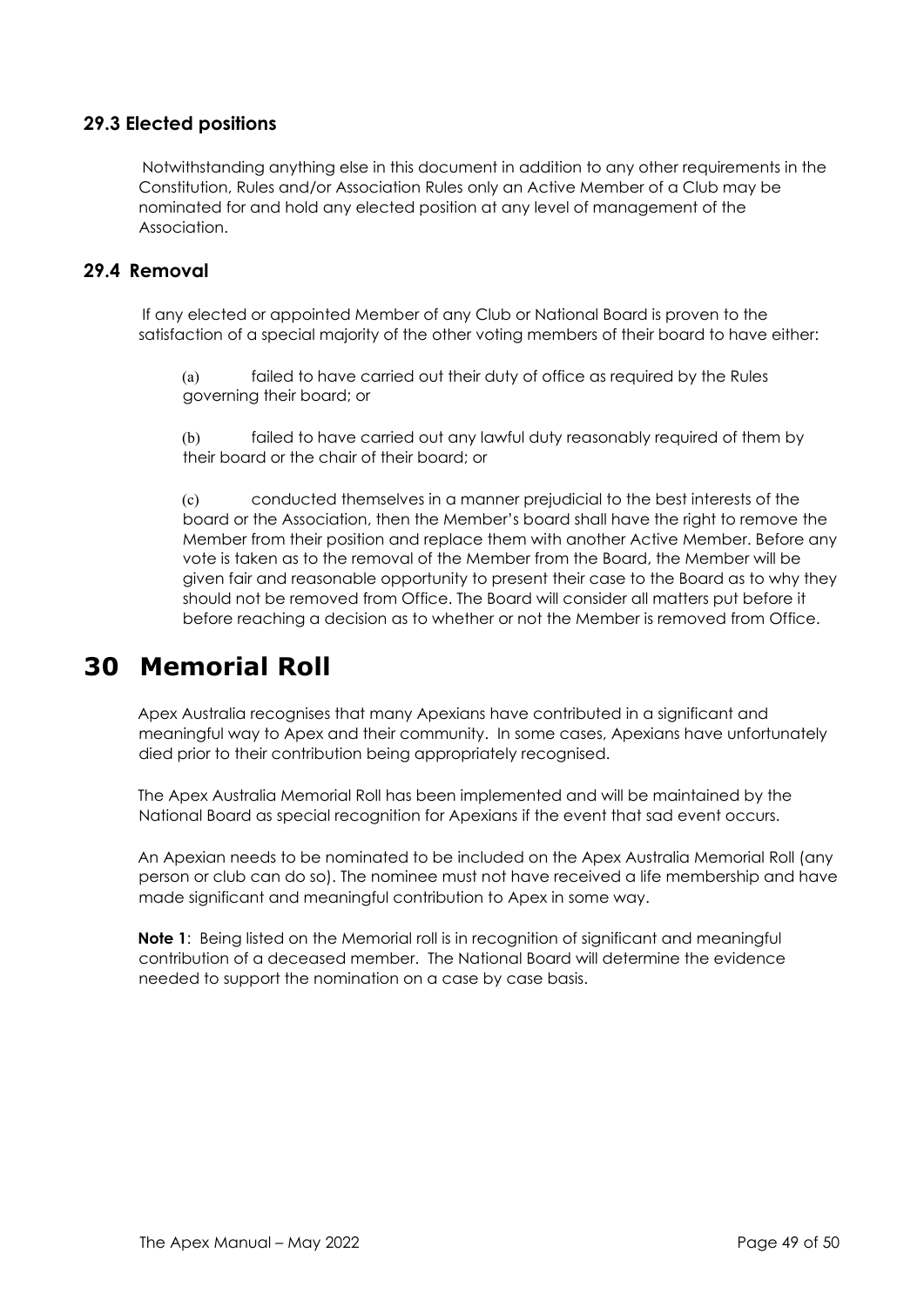# **29.3 Elected positions**

Notwithstanding anything else in this document in addition to any other requirements in the Constitution, Rules and/or Association Rules only an Active Member of a Club may be nominated for and hold any elected position at any level of management of the Association.

## **29.4 Removal**

If any elected or appointed Member of any Club or National Board is proven to the satisfaction of a special majority of the other voting members of their board to have either:

(a) failed to have carried out their duty of office as required by the Rules governing their board; or

(b) failed to have carried out any lawful duty reasonably required of them by their board or the chair of their board; or

(c) conducted themselves in a manner prejudicial to the best interests of the board or the Association, then the Member's board shall have the right to remove the Member from their position and replace them with another Active Member. Before any vote is taken as to the removal of the Member from the Board, the Member will be given fair and reasonable opportunity to present their case to the Board as to why they should not be removed from Office. The Board will consider all matters put before it before reaching a decision as to whether or not the Member is removed from Office.

# **30 Memorial Roll**

Apex Australia recognises that many Apexians have contributed in a significant and meaningful way to Apex and their community. In some cases, Apexians have unfortunately died prior to their contribution being appropriately recognised.

The Apex Australia Memorial Roll has been implemented and will be maintained by the National Board as special recognition for Apexians if the event that sad event occurs.

An Apexian needs to be nominated to be included on the Apex Australia Memorial Roll (any person or club can do so). The nominee must not have received a life membership and have made significant and meaningful contribution to Apex in some way.

**Note 1**: Being listed on the Memorial roll is in recognition of significant and meaningful contribution of a deceased member. The National Board will determine the evidence needed to support the nomination on a case by case basis.